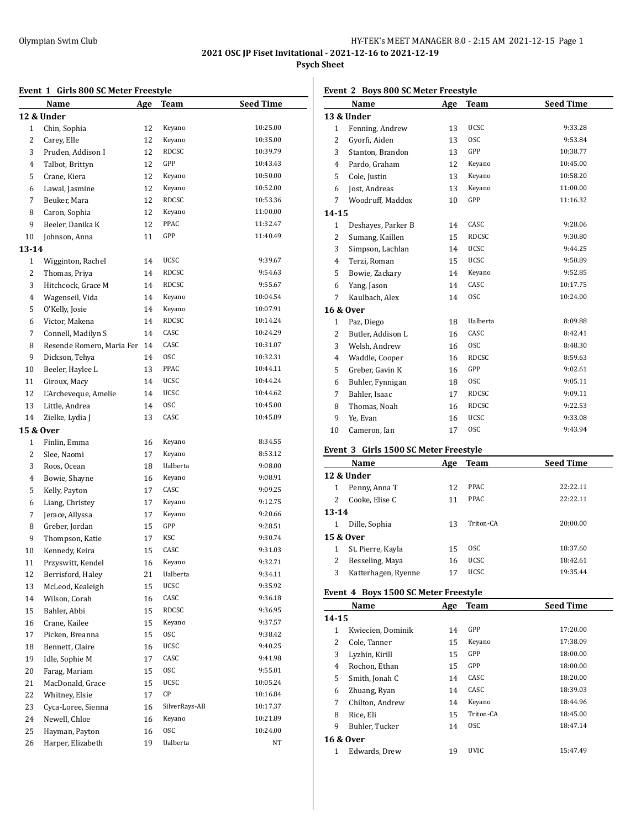## Olympian Swim Club HY-TEK's MEET MANAGER 8.0 - 2:15 AM 2021-12-15 Page 1

**2021 OSC JP Fiset Invitational - 2021-12-16 to 2021-12-19**

## **Psych Sheet**

## **Event 1 Girls 800 SC Meter Freestyle**

|              | Буснг т<br>and one of meter ricestyle |            |               |                  |  |  |
|--------------|---------------------------------------|------------|---------------|------------------|--|--|
|              | <u>Name</u>                           | <u>Age</u> | <b>Team</b>   | <b>Seed Time</b> |  |  |
|              | 12 & Under                            |            |               |                  |  |  |
| $\mathbf{1}$ | Chin, Sophia                          | 12         | Keyano        | 10:25.00         |  |  |
| 2            | Carey, Elle                           | 12         | Keyano        | 10:35.00         |  |  |
| 3            | Pruden, Addison I                     | 12         | <b>RDCSC</b>  | 10:39.79         |  |  |
| 4            | Talbot, Brittyn                       | 12         | GPP           | 10:43.43         |  |  |
| 5            | Crane, Kiera                          | 12         | Keyano        | 10:50.00         |  |  |
| 6            | Lawal, Jasmine                        | 12         | Keyano        | 10:52.00         |  |  |
| 7            | Beuker, Mara                          | 12         | <b>RDCSC</b>  | 10:53.36         |  |  |
| 8            | Caron, Sophia                         | 12         | Keyano        | 11:00.00         |  |  |
| 9            | Beeler, Danika K                      | 12         | PPAC          | 11:32.47         |  |  |
| 10           | Johnson, Anna                         | 11         | GPP           | 11:40.49         |  |  |
| $13 - 14$    |                                       |            |               |                  |  |  |
| $\mathbf{1}$ | Wigginton, Rachel                     | 14         | UCSC          | 9:39.67          |  |  |
| 2            | Thomas, Priya                         | 14         | RDCSC         | 9:54.63          |  |  |
| 3            | Hitchcock, Grace M                    | 14         | RDCSC         | 9:55.67          |  |  |
| 4            | Wagenseil, Vida                       | 14         | Keyano        | 10:04.54         |  |  |
| 5            | O'Kelly, Josie                        | 14         | Keyano        | 10:07.91         |  |  |
| 6            | Victor, Makena                        | 14         | RDCSC         | 10:14.24         |  |  |
| 7            | Connell, Madilyn S                    | 14         | CASC          | 10:24.29         |  |  |
| 8            | Resende Romero, Maria Fer             | 14         | CASC          | 10:31.07         |  |  |
| 9            | Dickson, Tehya                        | 14         | 0SC           | 10:32.31         |  |  |
| 10           | Beeler, Haylee L                      | 13         | PPAC          | 10:44.11         |  |  |
| 11           | Giroux, Macy                          | 14         | <b>UCSC</b>   | 10:44.24         |  |  |
|              | L'Archeveque, Amelie                  |            | UCSC          | 10:44.62         |  |  |
| 12           |                                       | 14         | <b>OSC</b>    | 10:45.00         |  |  |
| 13           | Little, Andrea                        | 14         | CASC          | 10:45.89         |  |  |
| 14           | Zielke, Lydia J                       | 13         |               |                  |  |  |
| 15 & Over    |                                       |            |               |                  |  |  |
| $\mathbf{1}$ | Finlin, Emma                          | 16         | Keyano        | 8:34.55          |  |  |
| 2            | Slee, Naomi                           | 17         | Keyano        | 8:53.12          |  |  |
| 3            | Roos, Ocean                           | 18         | Ualberta      | 9:08.00          |  |  |
| 4            | Bowie, Shayne                         | 16         | Keyano        | 9:08.91          |  |  |
| 5            | Kelly, Payton                         | 17         | CASC          | 9:09.25          |  |  |
| 6            | Liang, Christey                       | 17         | Keyano        | 9:12.75          |  |  |
| 7            | Jerace, Allyssa                       | 17         | Keyano        | 9:20.66          |  |  |
| 8            | Greber, Jordan                        | 15         | GPP           | 9:28.51          |  |  |
| 9            | Thompson, Katie                       | 17         | KSC           | 9:30.74          |  |  |
| 10           | Kennedy, Keira                        | 15         | CASC          | 9:31.03          |  |  |
| $11\,$       | Przyswitt, Kendel                     | 16         | Keyano        | 9:32.71          |  |  |
| 12           | Berrisford, Haley                     | 21         | Ualberta      | 9:34.11          |  |  |
| 13           | McLeod, Kealeigh                      | 15         | UCSC          | 9:35.92          |  |  |
| 14           | Wilson, Corah                         | 16         | CASC          | 9:36.18          |  |  |
| 15           | Bahler, Abbi                          | 15         | RDCSC         | 9:36.95          |  |  |
| 16           | Crane, Kailee                         | 15         | Keyano        | 9:37.57          |  |  |
| 17           | Picken, Breanna                       | 15         | <b>OSC</b>    | 9:38.42          |  |  |
| 18           | Bennett, Claire                       | 16         | UCSC          | 9:40.25          |  |  |
| 19           | Idle, Sophie M                        | 17         | CASC          | 9:41.98          |  |  |
| 20           | Farag, Mariam                         | 15         | <b>OSC</b>    | 9:55.01          |  |  |
| 21           | MacDonald, Grace                      | 15         | UCSC          | 10:05.24         |  |  |
| 22           | Whitney, Elsie                        | 17         | СP            | 10:16.84         |  |  |
| 23           | Cyca-Loree, Sienna                    | 16         | SilverRays-AB | 10:17.37         |  |  |
| 24           | Newell, Chloe                         | 16         | Keyano        | 10:21.89         |  |  |
| 25           | Hayman, Payton                        | 16         | 0SC           | 10:24.00         |  |  |
| 26           | Harper, Elizabeth                     | 19         | Ualberta      | NT               |  |  |

## **Event 2 Boys 800 SC Meter Freestyle**

|              | <u>Name</u>                           | Age        | <b>Team</b> | <b>Seed Time</b> |
|--------------|---------------------------------------|------------|-------------|------------------|
|              | 13 & Under                            |            |             |                  |
| 1            | Fenning, Andrew                       | 13         | UCSC        | 9:33.28          |
| 2            | Gyorfi, Aiden                         | 13         | 0SC         | 9:53.84          |
| 3            | Stanton, Brandon                      | 13         | GPP         | 10:38.77         |
| 4            | Pardo, Graham                         | 12         | Keyano      | 10:45.00         |
| 5            | Cole, Justin                          | 13         | Keyano      | 10:58.20         |
| 6            | Jost, Andreas                         | 13         | Keyano      | 11:00.00         |
| 7            | Woodruff, Maddox                      | 10         | GPP         | 11:16.32         |
| 14-15        |                                       |            |             |                  |
| 1            | Deshayes, Parker B                    | 14         | CASC        | 9:28.06          |
| 2            | Sumang, Kaillen                       | 15         | RDCSC       | 9:30.80          |
| 3            | Simpson, Lachlan                      | 14         | <b>UCSC</b> | 9:44.25          |
| 4            | Terzi, Roman                          | 15         | <b>UCSC</b> | 9:50.89          |
| 5            | Bowie, Zackary                        | 14         | Keyano      | 9:52.85          |
| 6            | Yang, Jason                           | 14         | CASC        | 10:17.75         |
| 7            | Kaulbach, Alex                        | 14         | 0SC         | 10:24.00         |
|              | 16 & Over                             |            |             |                  |
| $\mathbf{1}$ | Paz, Diego                            | 18         | Ualberta    | 8:09.88          |
| 2            | Butler, Addison L                     | 16         | CASC        | 8:42.41          |
| 3            | Welsh, Andrew                         | 16         | 0SC         | 8:48.30          |
| 4            | Waddle, Cooper                        | 16         | RDCSC       | 8:59.63          |
| 5            | Greber, Gavin K                       | 16         | GPP         | 9:02.61          |
| 6            | Buhler, Fynnigan                      | 18         | 0SC         | 9:05.11          |
| 7            | Bahler, Isaac                         | 17         | RDCSC       | 9:09.11          |
| 8            | Thomas, Noah                          | 16         | RDCSC       | 9:22.53          |
| 9            | Ye, Evan                              | 16         | UCSC        | 9:33.08          |
| 10           | Cameron, Ian                          | 17         | 0SC         | 9:43.94          |
|              | Event 3 Girls 1500 SC Meter Freestyle |            |             |                  |
|              | Name                                  | <u>Age</u> | <b>Team</b> | <b>Seed Time</b> |
|              | 12 & Under                            |            |             |                  |
| 1            | Penny, Anna T                         | 12         | PPAC        | 22:22.11         |
| 2            | Cooke, Elise C                        | 11         | PPAC        | 22:22.11         |
| $13 - 14$    |                                       |            |             |                  |
| 1            | Dille, Sophia                         | 13         | Triton-CA   | 20:00.00         |
|              | 15 & Over                             |            |             |                  |
| 1            | St. Pierre, Kayla                     | 15         | osc         | 18:37.60         |
| 2            | Besseling, Maya                       | 16         | <b>UCSC</b> | 18:42.61         |
| 3            | Katterhagen, Ryenne                   | 17         | UCSC        | 19:35.44         |
|              |                                       |            |             |                  |
|              | Event 4 Boys 1500 SC Meter Freestyle  |            |             |                  |
|              | Name                                  | Age        | Team        | <b>Seed Time</b> |
| $14 - 15$    |                                       |            |             |                  |
| $\mathbf{1}$ | Kwiecien, Dominik                     | 14         | GPP         | 17:20.00         |
| 2            | Cole, Tanner                          | 15         | Keyano      | 17:38.09         |
| 3            | Lyzhin, Kirill                        | 15         | GPP         | 18:00.00         |
| 4            | Rochon, Ethan                         | 15         | GPP         | 18:00.00         |
| 5            | Smith, Jonah C                        | 14         | CASC        | 18:20.00         |
| 6            | Zhuang, Ryan                          | 14         | CASC        | 18:39.03         |
| 7            | Chilton, Andrew                       | 14         | Keyano      | 18:44.96         |
| 8            | Rice, Eli                             | 15         | Triton-CA   | 18:45.00         |
| 9            | Buhler, Tucker                        | 14         | 0SC         | 18:47.14         |
|              | 16 & Over<br>Edwards, Drew            | 19         | <b>UVIC</b> | 15:47.49         |
| $\mathbf{1}$ |                                       |            |             |                  |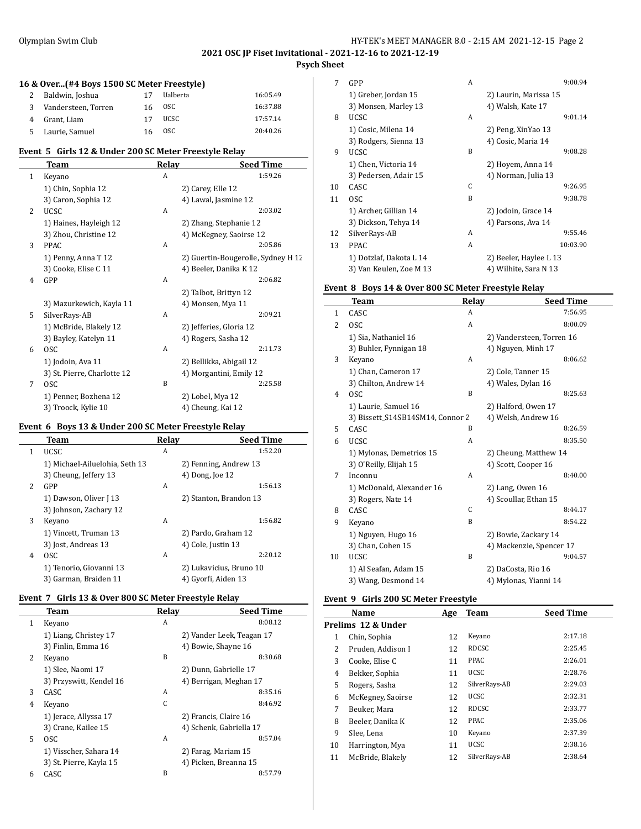## **2021 OSC JP Fiset Invitational - 2021-12-16 to 2021-12-19 Psych Sheet**

#### **16 & Over...(#4 Boys 1500 SC Meter Freestyle)**

| 2 Baldwin, Joshua     | 17 | Ualberta | 16:05.49 |
|-----------------------|----|----------|----------|
| 3 Vandersteen, Torren |    | 16 OSC   | 16:37.88 |
| 4 Grant, Liam         | 17 | UCSC     | 17:57.14 |
| 5 Laurie, Samuel      | 16 | OSC.     | 20:40.26 |

#### **Event 5 Girls 12 & Under 200 SC Meter Freestyle Relay**

|              | Team                        | Relay | <b>Seed Time</b>                   |
|--------------|-----------------------------|-------|------------------------------------|
| $\mathbf{1}$ | Keyano                      | A     | 1:59.26                            |
|              | 1) Chin, Sophia 12          |       | 2) Carey, Elle 12                  |
|              | 3) Caron, Sophia 12         |       | 4) Lawal, Jasmine 12               |
| 2            | <b>UCSC</b>                 | A     | 2:03.02                            |
|              | 1) Haines, Hayleigh 12      |       | 2) Zhang, Stephanie 12             |
|              | 3) Zhou, Christine 12       |       | 4) McKegney, Saoirse 12            |
| 3            | <b>PPAC</b>                 | A     | 2:05.86                            |
|              | 1) Penny, Anna T 12         |       | 2) Guertin-Bougerolle, Sydney H 12 |
|              | 3) Cooke, Elise C 11        |       | 4) Beeler, Danika K 12             |
| 4            | GPP                         | A     | 2:06.82                            |
|              |                             |       | 2) Talbot, Brittyn 12              |
|              | 3) Mazurkewich, Kayla 11    |       | 4) Monsen, Mya 11                  |
| 5            | SilverRays-AB               | A     | 2:09.21                            |
|              | 1) McBride, Blakely 12      |       | 2) Jefferies, Gloria 12            |
|              | 3) Bayley, Katelyn 11       |       | 4) Rogers, Sasha 12                |
| 6            | <b>OSC</b>                  | A     | 2:11.73                            |
|              | 1) Jodoin, Ava 11           |       | 2) Bellikka, Abigail 12            |
|              | 3) St. Pierre, Charlotte 12 |       | 4) Morgantini, Emily 12            |
| 7            | <b>OSC</b>                  | B     | 2:25.58                            |
|              | 1) Penner, Bozhena 12       |       | 2) Lobel, Mya 12                   |
|              | 3) Troock, Kylie 10         |       | 4) Cheung, Kai 12                  |

#### **Event 6 Boys 13 & Under 200 SC Meter Freestyle Relay**

|   | Team                           | Relay | <b>Seed Time</b>        |
|---|--------------------------------|-------|-------------------------|
| 1 | <b>UCSC</b>                    | A     | 1:52.20                 |
|   | 1) Michael-Ailuelohia, Seth 13 |       | 2) Fenning, Andrew 13   |
|   | 3) Cheung, Jeffery 13          |       | 4) Dong, Joe 12         |
| 2 | GPP                            | A     | 1:56.13                 |
|   | 1) Dawson, Oliver [13]         |       | 2) Stanton, Brandon 13  |
|   | 3) Johnson, Zachary 12         |       |                         |
| 3 | Keyano                         | A     | 1:56.82                 |
|   | 1) Vincett, Truman 13          |       | 2) Pardo, Graham 12     |
|   | 3) Jost, Andreas 13            |       | 4) Cole, Justin 13      |
| 4 | OSC.                           | A     | 2:20.12                 |
|   | 1) Tenorio, Giovanni 13        |       | 2) Lukavicius, Bruno 10 |
|   | 3) Garman, Braiden 11          |       | 4) Gyorfi, Aiden 13     |

#### **Event 7 Girls 13 & Over 800 SC Meter Freestyle Relay**

|              | EVENT / GILLS IS & OVEL OUD SUMELET FLEESLYLE REIAV |       |                           |
|--------------|-----------------------------------------------------|-------|---------------------------|
|              | <b>Team</b>                                         | Relay | <b>Seed Time</b>          |
| $\mathbf{1}$ | Keyano                                              | A     | 8:08.12                   |
|              | 1) Liang, Christey 17                               |       | 2) Vander Leek, Teagan 17 |
|              | 3) Finlin, Emma 16                                  |       | 4) Bowie, Shayne 16       |
| 2            | Keyano                                              | B     | 8:30.68                   |
|              | 1) Slee, Naomi 17                                   |       | 2) Dunn, Gabrielle 17     |
|              | 3) Przyswitt, Kendel 16                             |       | 4) Berrigan, Meghan 17    |
| 3            | CASC                                                | A     | 8:35.16                   |
| 4            | Keyano                                              | C     | 8:46.92                   |
|              | 1) Jerace, Allyssa 17                               |       | 2) Francis, Claire 16     |
|              | 3) Crane, Kailee 15                                 |       | 4) Schenk, Gabriella 17   |
| 5            | 0SC                                                 | A     | 8:57.04                   |
|              | 1) Visscher, Sahara 14                              |       | 2) Farag, Mariam 15       |
|              | 3) St. Pierre, Kayla 15                             |       | 4) Picken, Breanna 15     |
| 6            | CASC                                                | B     | 8:57.79                   |
|              |                                                     |       |                           |

| 7  | GPP                     | A |                        | 9:00.94  |
|----|-------------------------|---|------------------------|----------|
|    | 1) Greber, Jordan 15    |   | 2) Laurin, Marissa 15  |          |
|    | 3) Monsen, Marley 13    |   | 4) Walsh, Kate 17      |          |
| 8  | UCSC                    | A |                        | 9:01.14  |
|    | 1) Cosic, Milena 14     |   | 2) Peng, XinYao 13     |          |
|    | 3) Rodgers, Sienna 13   |   | 4) Cosic, Maria 14     |          |
| 9  | <b>UCSC</b>             | B |                        | 9:08.28  |
|    | 1) Chen, Victoria 14    |   | 2) Hoyem, Anna 14      |          |
|    | 3) Pedersen, Adair 15   |   | 4) Norman, Julia 13    |          |
| 10 | CASC                    | C |                        | 9:26.95  |
| 11 | 0SC                     | B |                        | 9:38.78  |
|    | 1) Archer, Gillian 14   |   | 2) Jodoin, Grace 14    |          |
|    | 3) Dickson, Tehya 14    |   | 4) Parsons, Ava 14     |          |
| 12 | SilverRays-AB           | A |                        | 9:55.46  |
| 13 | PPAC.                   | A |                        | 10:03.90 |
|    | 1) Dotzlaf, Dakota L 14 |   | 2) Beeler, Haylee L 13 |          |
|    | 3) Van Keulen, Zoe M 13 |   | 4) Wilhite, Sara N 13  |          |

## **Event 8 Boys 14 & Over 800 SC Meter Freestyle Relay**

|                | Team                             | Relay | <b>Seed Time</b>          |
|----------------|----------------------------------|-------|---------------------------|
| 1              | CASC                             | A     | 7:56.95                   |
| 2              | <b>OSC</b>                       | A     | 8:00.09                   |
|                | 1) Sia, Nathaniel 16             |       | 2) Vandersteen, Torren 16 |
|                | 3) Buhler, Fynnigan 18           |       | 4) Nguyen, Minh 17        |
| 3              | Keyano                           | A     | 8:06.62                   |
|                | 1) Chan, Cameron 17              |       | 2) Cole, Tanner 15        |
|                | 3) Chilton, Andrew 14            |       | 4) Wales, Dylan 16        |
| $\overline{4}$ | <b>OSC</b>                       | B     | 8:25.63                   |
|                | 1) Laurie, Samuel 16             |       | 2) Halford, Owen 17       |
|                | 3) Bissett S14SB14SM14, Connor 2 |       | 4) Welsh, Andrew 16       |
| 5              | CASC                             | B     | 8:26.59                   |
| 6              | <b>UCSC</b>                      | A     | 8:35.50                   |
|                | 1) Mylonas, Demetrios 15         |       | 2) Cheung, Matthew 14     |
|                | 3) O'Reilly, Elijah 15           |       | 4) Scott, Cooper 16       |
| 7              | Inconnu                          | A     | 8:40.00                   |
|                | 1) McDonald, Alexander 16        |       | 2) Lang, Owen 16          |
|                | 3) Rogers, Nate 14               |       | 4) Scoullar, Ethan 15     |
| 8              | CASC                             | C     | 8:44.17                   |
| 9              | Keyano                           | B     | 8:54.22                   |
|                | 1) Nguyen, Hugo 16               |       | 2) Bowie, Zackary 14      |
|                | 3) Chan, Cohen 15                |       | 4) Mackenzie, Spencer 17  |
| 10             | <b>UCSC</b>                      | B     | 9:04.57                   |
|                | 1) Al Seafan, Adam 15            |       | 2) DaCosta, Rio 16        |
|                | 3) Wang, Desmond 14              |       | 4) Mylonas, Yianni 14     |

## **Event 9 Girls 200 SC Meter Freestyle**

|    | Name               | Age | Team          | <b>Seed Time</b> |
|----|--------------------|-----|---------------|------------------|
|    | Prelims 12 & Under |     |               |                  |
| 1  | Chin, Sophia       | 12  | Keyano        | 2:17.18          |
| 2  | Pruden, Addison I  | 12  | <b>RDCSC</b>  | 2:25.45          |
| 3  | Cooke, Elise C     | 11  | PPAC          | 2:26.01          |
| 4  | Bekker, Sophia     | 11  | <b>UCSC</b>   | 2:28.76          |
| 5  | Rogers, Sasha      | 12  | SilverRays-AB | 2:29.03          |
| 6  | McKegney, Saoirse  | 12  | <b>UCSC</b>   | 2:32.31          |
| 7  | Beuker, Mara       | 12  | <b>RDCSC</b>  | 2:33.77          |
| 8  | Beeler, Danika K   | 12  | PPAC          | 2:35.06          |
| 9  | Slee, Lena         | 10  | Keyano        | 2:37.39          |
| 10 | Harrington, Mya    | 11  | <b>UCSC</b>   | 2:38.16          |
| 11 | McBride, Blakely   | 12  | SilverRays-AB | 2:38.64          |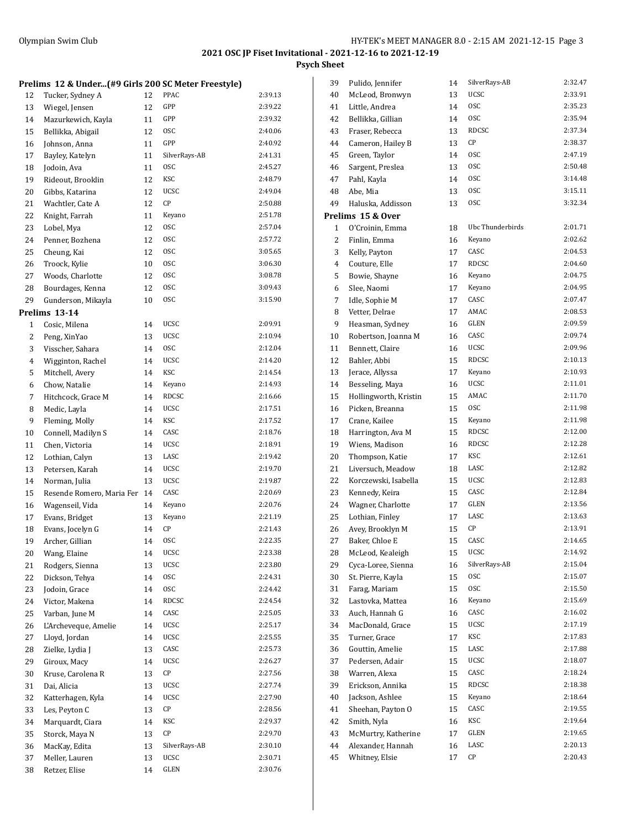**Psych Sheet**

|    | Prelims 12 & Under(#9 Girls 200 SC Meter Freestyle) |    |               |         |
|----|-----------------------------------------------------|----|---------------|---------|
| 12 | Tucker, Sydney A                                    | 12 | PPAC          | 2:39.13 |
| 13 | Wiegel, Jensen                                      | 12 | GPP           | 2:39.22 |
| 14 | Mazurkewich, Kayla                                  | 11 | GPP           | 2:39.32 |
| 15 | Bellikka, Abigail                                   | 12 | <b>OSC</b>    | 2:40.06 |
| 16 | Johnson, Anna                                       | 11 | GPP           | 2:40.92 |
| 17 | Bayley, Katelyn                                     | 11 | SilverRays-AB | 2:41.31 |
| 18 | Jodoin, Ava                                         | 11 | <b>OSC</b>    | 2:45.27 |
| 19 | Rideout, Brooklin                                   | 12 | KSC           | 2:48.79 |
| 20 | Gibbs. Katarina                                     | 12 | <b>UCSC</b>   | 2:49.04 |
| 21 | Wachtler, Cate A                                    | 12 | CP            | 2:50.88 |
| 22 | Knight, Farrah                                      | 11 | Keyano        | 2:51.78 |
| 23 | Lobel, Mya                                          | 12 | <b>OSC</b>    | 2:57.04 |
| 24 | Penner, Bozhena                                     | 12 | <b>OSC</b>    | 2:57.72 |
| 25 | Cheung, Kai                                         | 12 | <b>OSC</b>    | 3:05.65 |
| 26 | Troock, Kylie                                       | 10 | <b>OSC</b>    | 3:06.30 |
| 27 | Woods, Charlotte                                    | 12 | <b>OSC</b>    | 3:08.78 |
| 28 | Bourdages, Kenna                                    | 12 | <b>OSC</b>    | 3:09.43 |
| 29 | Gunderson, Mikayla                                  | 10 | 0SC           | 3:15.90 |
|    | Prelims 13-14                                       |    |               |         |
| 1  | Cosic, Milena                                       | 14 | <b>UCSC</b>   | 2:09.91 |
| 2  | Peng, XinYao                                        | 13 | <b>UCSC</b>   | 2:10.94 |
| 3  | Visscher, Sahara                                    | 14 | <b>OSC</b>    | 2:12.04 |
| 4  | Wigginton, Rachel                                   | 14 | <b>UCSC</b>   | 2:14.20 |
| 5  | Mitchell, Avery                                     | 14 | KSC           | 2:14.54 |
| 6  | Chow, Natalie                                       | 14 | Keyano        | 2:14.93 |
| 7  | Hitchcock, Grace M                                  | 14 | RDCSC         | 2:16.66 |
| 8  | Medic, Layla                                        | 14 | <b>UCSC</b>   | 2:17.51 |
| 9  | Fleming, Molly                                      | 14 | KSC           | 2:17.52 |
| 10 | Connell, Madilyn S                                  | 14 | CASC          | 2:18.76 |
| 11 | Chen, Victoria                                      | 14 | <b>UCSC</b>   | 2:18.91 |
| 12 | Lothian, Calyn                                      | 13 | LASC          | 2:19.42 |
| 13 | Petersen, Karah                                     | 14 | UCSC          | 2:19.70 |
| 14 | Norman, Julia                                       | 13 | <b>UCSC</b>   | 2:19.87 |
| 15 | Resende Romero, Maria Fer                           | 14 | CASC          | 2:20.69 |
| 16 | Wagenseil, Vida                                     | 14 | Keyano        | 2:20.76 |
| 17 | Evans, Bridget                                      | 13 | Keyano        | 2:21.19 |
| 18 | Evans, Jocelyn G                                    | 14 | СP            | 2:21.43 |
| 19 | Archer, Gillian                                     | 14 | 0SC           | 2:22.35 |
| 20 | Wang, Elaine                                        | 14 | UCSC          | 2:23.38 |
| 21 | Rodgers, Sienna                                     | 13 | UCSC          | 2:23.80 |
| 22 | Dickson, Tehya                                      | 14 | 0SC           | 2:24.31 |
| 23 | Jodoin, Grace                                       | 14 | <b>OSC</b>    | 2:24.42 |
| 24 | Victor, Makena                                      | 14 | RDCSC         | 2:24.54 |
| 25 | Varban, June M                                      | 14 | CASC          | 2:25.05 |
| 26 | L'Archeveque, Amelie                                | 14 | UCSC          | 2:25.17 |
| 27 | Lloyd, Jordan                                       | 14 | UCSC          | 2:25.55 |
|    | Zielke, Lydia J                                     |    | CASC          | 2:25.73 |
| 28 |                                                     | 13 | UCSC          | 2:26.27 |
| 29 | Giroux, Macy<br>Kruse, Carolena R                   | 14 | СP            | 2:27.56 |
| 30 |                                                     | 13 | UCSC          | 2:27.74 |
| 31 | Dai, Alicia                                         | 13 | UCSC          | 2:27.90 |
| 32 | Katterhagen, Kyla                                   | 14 | СP            | 2:28.56 |
| 33 | Les, Peyton C                                       | 13 |               |         |
| 34 | Marquardt, Ciara                                    | 14 | KSC           | 2:29.37 |
| 35 | Storck, Maya N                                      | 13 | СP            | 2:29.70 |
| 36 | MacKay, Edita                                       | 13 | SilverRays-AB | 2:30.10 |
| 37 | Meller, Lauren                                      | 13 | UCSC          | 2:30.71 |
| 38 | Retzer, Elise                                       | 14 | GLEN          | 2:30.76 |

| 39           | Pulido, Jennifer      | 14 | SilverRays-AB    | 2:32.47 |
|--------------|-----------------------|----|------------------|---------|
| 40           | McLeod, Bronwyn       | 13 | <b>UCSC</b>      | 2:33.91 |
| 41           | Little, Andrea        | 14 | <b>OSC</b>       | 2:35.23 |
| 42           | Bellikka, Gillian     | 14 | 0SC              | 2:35.94 |
| 43           | Fraser, Rebecca       | 13 | <b>RDCSC</b>     | 2:37.34 |
| 44           | Cameron, Hailey B     | 13 | СP               | 2:38.37 |
| 45           | Green, Taylor         | 14 | <b>OSC</b>       | 2:47.19 |
| 46           | Sargent, Preslea      | 13 | <b>OSC</b>       | 2:50.48 |
| 47           | Pahl, Kayla           | 14 | <b>OSC</b>       | 3:14.48 |
| 48           | Abe, Mia              | 13 | 0SC              | 3:15.11 |
| 49           | Haluska, Addisson     | 13 | 0SC              | 3:32.34 |
|              | Prelims 15 & Over     |    |                  |         |
| $\mathbf{1}$ | O'Croinin, Emma       | 18 | Ubc Thunderbirds | 2:01.71 |
| 2            | Finlin, Emma          | 16 | Keyano           | 2:02.62 |
| 3            | Kelly, Payton         | 17 | CASC             | 2:04.53 |
| 4            | Couture, Elle         | 17 | <b>RDCSC</b>     | 2:04.60 |
| 5            |                       | 16 | Keyano           | 2:04.75 |
|              | Bowie, Shayne         |    |                  | 2:04.95 |
| 6            | Slee, Naomi           | 17 | Keyano<br>CASC   | 2:07.47 |
| 7            | Idle, Sophie M        | 17 | AMAC             |         |
| 8            | Vetter, Delrae        | 17 |                  | 2:08.53 |
| 9            | Heasman, Sydney       | 16 | <b>GLEN</b>      | 2:09.59 |
| 10           | Robertson, Joanna M   | 16 | CASC             | 2:09.74 |
| 11           | Bennett, Claire       | 16 | <b>UCSC</b>      | 2:09.96 |
| 12           | Bahler, Abbi          | 15 | RDCSC            | 2:10.13 |
| 13           | Jerace, Allyssa       | 17 | Keyano           | 2:10.93 |
| 14           | Besseling, Maya       | 16 | UCSC             | 2:11.01 |
| 15           | Hollingworth, Kristin | 15 | AMAC             | 2:11.70 |
| 16           | Picken, Breanna       | 15 | <b>OSC</b>       | 2:11.98 |
| 17           | Crane, Kailee         | 15 | Keyano           | 2:11.98 |
| 18           | Harrington, Ava M     | 15 | RDCSC            | 2:12.00 |
| 19           | Wiens, Madison        | 16 | <b>RDCSC</b>     | 2:12.28 |
| 20           | Thompson, Katie       | 17 | KSC              | 2:12.61 |
| 21           | Liversuch, Meadow     | 18 | LASC             | 2:12.82 |
| 22           | Korczewski, Isabella  | 15 | UCSC             | 2:12.83 |
| 23           | Kennedy, Keira        | 15 | CASC             | 2:12.84 |
| 24           | Wagner, Charlotte     | 17 | <b>GLEN</b>      | 2:13.56 |
| 25           | Lothian, Finley       | 17 | LASC             | 2:13.63 |
| 26           | Avey, Brooklyn M      | 15 | СP               | 2:13.91 |
| 27           | Baker, Chloe E        | 15 | CASC             | 2:14.65 |
| 28           | McLeod, Kealeigh      | 15 | UCSC             | 2:14.92 |
| 29           | Cyca-Loree, Sienna    | 16 | SilverRays-AB    | 2:15.04 |
| 30           | St. Pierre, Kayla     | 15 | 0SC              | 2:15.07 |
| 31           | Farag, Mariam         | 15 | 0SC              | 2:15.50 |
| 32           | Lastovka, Mattea      | 16 | Keyano           | 2:15.69 |
| 33           | Auch, Hannah G        | 16 | CASC             | 2:16.02 |
| 34           | MacDonald, Grace      | 15 | UCSC             | 2:17.19 |
| 35           | Turner, Grace         | 17 | KSC              | 2:17.83 |
| 36           | Gouttin, Amelie       | 15 | LASC             | 2:17.88 |
|              | Pedersen, Adair       |    | UCSC             | 2:18.07 |
| 37           | Warren, Alexa         | 15 | CASC             | 2:18.24 |
| 38           |                       | 15 | RDCSC            | 2:18.38 |
| 39           | Erickson, Annika      | 15 |                  | 2:18.64 |
| 40           | Jackson, Ashlee       | 15 | Keyano           |         |
| 41           | Sheehan, Payton O     | 15 | CASC             | 2:19.55 |
| 42           | Smith, Nyla           | 16 | KSC              | 2:19.64 |
| 43           | McMurtry, Katherine   | 17 | GLEN             | 2:19.65 |
| 44           | Alexander, Hannah     | 16 | LASC             | 2:20.13 |
| 45           | Whitney, Elsie        | 17 | СP               | 2:20.43 |
|              |                       |    |                  |         |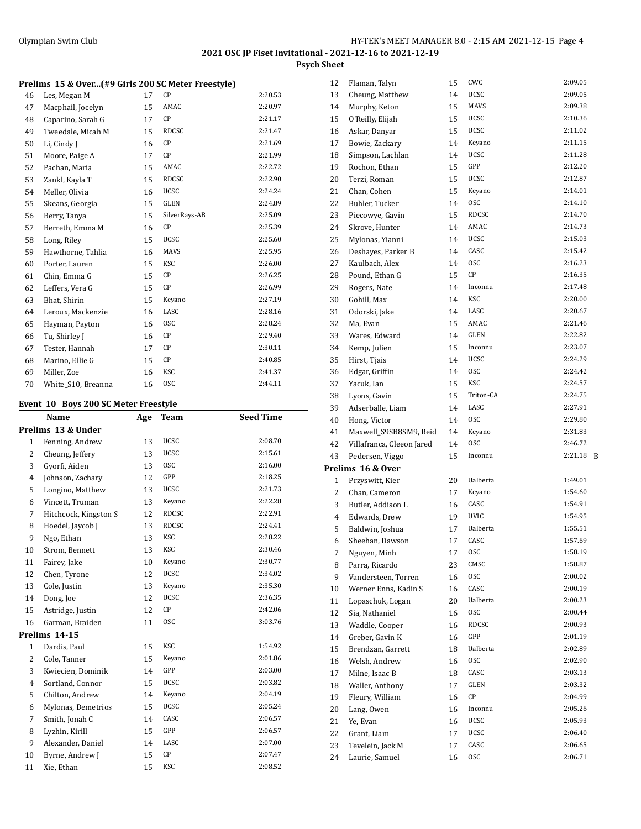**Psych Sheet**

#### **Prelims 15 & Over...(#9 Girls 200 SC Meter Freestyle)**

| 46 | Les, Megan M       | 17 | СP            | 2:20.53 |
|----|--------------------|----|---------------|---------|
| 47 | Macphail, Jocelyn  | 15 | AMAC          | 2:20.97 |
| 48 | Caparino, Sarah G  | 17 | CP            | 2:21.17 |
| 49 | Tweedale, Micah M  | 15 | RDCSC         | 2:21.47 |
| 50 | Li, Cindy J        | 16 | CP            | 2:21.69 |
| 51 | Moore, Paige A     | 17 | СP            | 2:21.99 |
| 52 | Pachan, Maria      | 15 | AMAC          | 2:22.72 |
| 53 | Zankl, Kayla T     | 15 | RDCSC         | 2:22.90 |
| 54 | Meller, Olivia     | 16 | UCSC          | 2:24.24 |
| 55 | Skeans, Georgia    | 15 | <b>GLEN</b>   | 2:24.89 |
| 56 | Berry, Tanya       | 15 | SilverRays-AB | 2:25.09 |
| 57 | Berreth, Emma M    | 16 | СP            | 2:25.39 |
| 58 | Long, Riley        | 15 | <b>UCSC</b>   | 2:25.60 |
| 59 | Hawthorne, Tahlia  | 16 | <b>MAVS</b>   | 2:25.95 |
| 60 | Porter, Lauren     | 15 | <b>KSC</b>    | 2:26.00 |
| 61 | Chin, Emma G       | 15 | СP            | 2:26.25 |
| 62 | Leffers, Vera G    | 15 | СP            | 2:26.99 |
| 63 | Bhat, Shirin       | 15 | Keyano        | 2:27.19 |
| 64 | Leroux, Mackenzie  | 16 | LASC          | 2:28.16 |
| 65 | Hayman, Payton     | 16 | <b>OSC</b>    | 2:28.24 |
| 66 | Tu, Shirley J      | 16 | СP            | 2:29.40 |
| 67 | Tester, Hannah     | 17 | СP            | 2:30.11 |
| 68 | Marino, Ellie G    | 15 | СP            | 2:40.85 |
| 69 | Miller, Zoe        | 16 | <b>KSC</b>    | 2:41.37 |
| 70 | White_S10, Breanna | 16 | <b>OSC</b>    | 2:44.11 |

## **Event 10 Boys 200 SC Meter Freestyle**

|                | Name                  | Age | <b>Team</b>  | <b>Seed Time</b> |
|----------------|-----------------------|-----|--------------|------------------|
|                | Prelims 13 & Under    |     |              |                  |
| 1              | Fenning, Andrew       | 13  | <b>UCSC</b>  | 2:08.70          |
| $\overline{2}$ | Cheung, Jeffery       | 13  | <b>UCSC</b>  | 2:15.61          |
| 3              | Gyorfi, Aiden         | 13  | <b>OSC</b>   | 2:16.00          |
| 4              | Johnson, Zachary      | 12  | GPP          | 2:18.25          |
| 5              | Longino, Matthew      | 13  | <b>UCSC</b>  | 2:21.73          |
| 6              | Vincett, Truman       | 13  | Keyano       | 2:22.28          |
| 7              | Hitchcock, Kingston S | 12  | <b>RDCSC</b> | 2:22.91          |
| 8              | Hoedel, Jaycob J      | 13  | <b>RDCSC</b> | 2:24.41          |
| 9              | Ngo, Ethan            | 13  | <b>KSC</b>   | 2:28.22          |
| 10             | Strom, Bennett        | 13  | <b>KSC</b>   | 2:30.46          |
| 11             | Fairey, Jake          | 10  | Keyano       | 2:30.77          |
| 12             | Chen, Tyrone          | 12  | <b>UCSC</b>  | 2:34.02          |
| 13             | Cole, Justin          | 13  | Keyano       | 2:35.30          |
| 14             | Dong, Joe             | 12  | <b>UCSC</b>  | 2:36.35          |
| 15             | Astridge, Justin      | 12  | CP           | 2:42.06          |
| 16             | Garman, Braiden       | 11  | <b>OSC</b>   | 3:03.76          |
|                | Prelims 14-15         |     |              |                  |
| $\mathbf{1}$   | Dardis, Paul          | 15  | <b>KSC</b>   | 1:54.92          |
| $\overline{2}$ | Cole, Tanner          | 15  | Keyano       | 2:01.86          |
| 3              | Kwiecien, Dominik     | 14  | GPP          | 2:03.00          |
| 4              | Sortland, Connor      | 15  | <b>UCSC</b>  | 2:03.82          |
| 5              | Chilton, Andrew       | 14  | Keyano       | 2:04.19          |
| 6              | Mylonas, Demetrios    | 15  | <b>UCSC</b>  | 2:05.24          |
| 7              | Smith, Jonah C        | 14  | CASC         | 2:06.57          |
| 8              | Lyzhin, Kirill        | 15  | GPP          | 2:06.57          |
| 9              | Alexander, Daniel     | 14  | LASC         | 2:07.00          |
| 10             | Byrne, Andrew J       | 15  | CP           | 2:07.47          |
| 11             | Xie, Ethan            | 15  | <b>KSC</b>   | 2:08.52          |

| 12           | Flaman, Talyn             | 15 | CWC          | 2:09.05 |   |
|--------------|---------------------------|----|--------------|---------|---|
| 13           | Cheung, Matthew           | 14 | UCSC         | 2:09.05 |   |
| 14           | Murphy, Keton             | 15 | <b>MAVS</b>  | 2:09.38 |   |
| 15           | O'Reilly, Elijah          | 15 | <b>UCSC</b>  | 2:10.36 |   |
| 16           | Askar, Danyar             | 15 | <b>UCSC</b>  | 2:11.02 |   |
| 17           | Bowie, Zackary            | 14 | Keyano       | 2:11.15 |   |
| 18           | Simpson, Lachlan          | 14 | <b>UCSC</b>  | 2:11.28 |   |
| 19           | Rochon, Ethan             | 15 | GPP          | 2:12.20 |   |
| 20           | Terzi, Roman              | 15 | <b>UCSC</b>  | 2:12.87 |   |
| 21           | Chan, Cohen               | 15 | Keyano       | 2:14.01 |   |
| 22           | Buhler, Tucker            | 14 | <b>OSC</b>   | 2:14.10 |   |
| 23           | Piecowye, Gavin           | 15 | <b>RDCSC</b> | 2:14.70 |   |
| 24           | Skrove, Hunter            | 14 | AMAC         | 2:14.73 |   |
| 25           | Mylonas, Yianni           | 14 | <b>UCSC</b>  | 2:15.03 |   |
| 26           | Deshayes, Parker B        | 14 | CASC         | 2:15.42 |   |
| 27           | Kaulbach, Alex            | 14 | 0SC          | 2:16.23 |   |
| 28           | Pound, Ethan G            | 15 | CP           | 2:16.35 |   |
| 29           | Rogers, Nate              | 14 | Inconnu      | 2:17.48 |   |
| 30           | Gohill, Max               | 14 | KSC          | 2:20.00 |   |
| 31           | Odorski, Jake             | 14 | LASC         | 2:20.67 |   |
| 32           | Ma, Evan                  | 15 | AMAC         | 2:21.46 |   |
| 33           | Wares, Edward             | 14 | GLEN         | 2:22.82 |   |
| 34           | Kemp, Julien              | 15 | Inconnu      | 2:23.07 |   |
| 35           | Hirst, Tjais              | 14 | <b>UCSC</b>  | 2:24.29 |   |
| 36           | Edgar, Griffin            | 14 | <b>OSC</b>   | 2:24.42 |   |
| 37           | Yacuk, Ian                | 15 | <b>KSC</b>   | 2:24.57 |   |
| 38           | Lyons, Gavin              | 15 | Triton-CA    | 2:24.75 |   |
| 39           | Adserballe, Liam          | 14 | LASC         | 2:27.91 |   |
| 40           | Hong, Victor              | 14 | <b>OSC</b>   | 2:29.80 |   |
| 41           | Maxwell_S9SB8SM9, Reid    | 14 | Keyano       | 2:31.83 |   |
| 42           | Villafranca, Cleeon Jared | 14 | 0SC          | 2:46.72 |   |
| 43           | Pedersen, Viggo           | 15 | Inconnu      | 2:21.18 | B |
|              | Prelims 16 & Over         |    |              |         |   |
| $\mathbf{1}$ | Przyswitt, Kier           | 20 | Ualberta     | 1:49.01 |   |
| 2            | Chan, Cameron             | 17 | Keyano       | 1:54.60 |   |
| 3            | Butler, Addison L         | 16 | CASC         | 1:54.91 |   |
| 4            | Edwards, Drew             | 19 | <b>UVIC</b>  | 1:54.95 |   |
| 5            | Baldwin, Joshua           | 17 | Ualberta     | 1:55.51 |   |
| 6            | Sheehan, Dawson           | 17 | CASC         | 1:57.69 |   |
| 7            | Nguyen, Minh              | 17 | osc          | 1:58.19 |   |
| 8            | Parra, Ricardo            | 23 | CMSC         | 1:58.87 |   |
| 9            | Vandersteen, Torren       | 16 | 0SC          | 2:00.02 |   |
| 10           | Werner Enns, Kadin S      | 16 | CASC         | 2:00.19 |   |
| 11           | Lopaschuk, Logan          | 20 | Ualberta     | 2:00.23 |   |
| 12           | Sia, Nathaniel            | 16 | 0SC          | 2:00.44 |   |
| 13           | Waddle, Cooper            | 16 | RDCSC        | 2:00.93 |   |
| 14           | Greber, Gavin K           | 16 | GPP          | 2:01.19 |   |
| 15           | Brendzan, Garrett         | 18 | Ualberta     | 2:02.89 |   |
| 16           | Welsh, Andrew             | 16 | 0SC          | 2:02.90 |   |
| 17           | Milne, Isaac B            | 18 | CASC         | 2:03.13 |   |
| 18           | Waller, Anthony           | 17 | GLEN         | 2:03.32 |   |
| 19           | Fleury, William           | 16 | СP           | 2:04.99 |   |
| 20           | Lang, Owen                | 16 | Inconnu      | 2:05.26 |   |
| 21           | Ye, Evan                  | 16 | UCSC         | 2:05.93 |   |
| 22           | Grant, Liam               | 17 | UCSC         | 2:06.40 |   |
| 23           | Tevelein, Jack M          | 17 | CASC         | 2:06.65 |   |
| 24           | Laurie, Samuel            | 16 | 0SC          | 2:06.71 |   |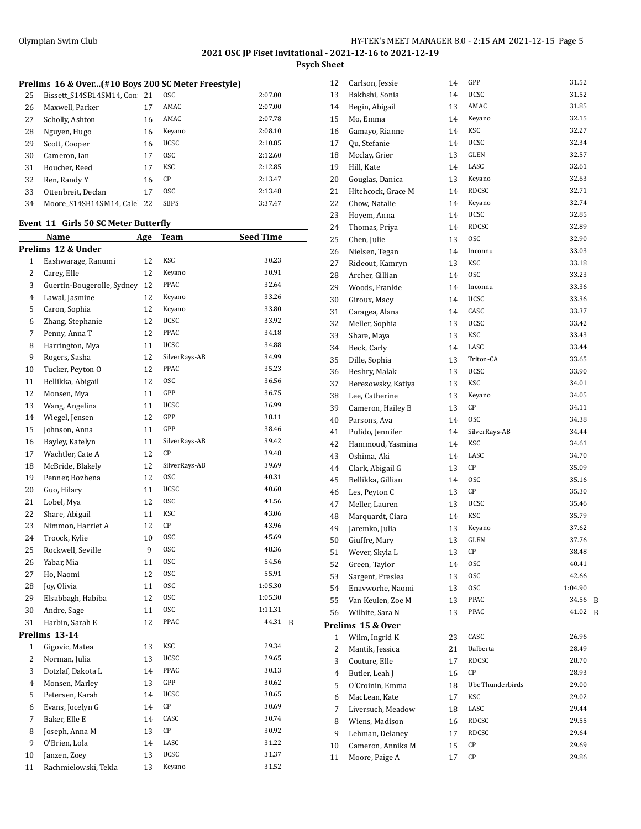**Psych Sheet**

## **Prelims 16 & Over...(#10 Boys 200 SC Meter Freestyle)**

| 25 | Bissett S14SB14SM14, Con: 21 |    | <b>OSC</b>  | 2:07.00 |
|----|------------------------------|----|-------------|---------|
| 26 | Maxwell, Parker              | 17 | AMAC        | 2:07.00 |
| 27 | Scholly, Ashton              | 16 | AMAC        | 2:07.78 |
| 28 | Nguyen, Hugo                 | 16 | Keyano      | 2:08.10 |
| 29 | Scott, Cooper                | 16 | <b>UCSC</b> | 2:10.85 |
| 30 | Cameron, Ian                 | 17 | <b>OSC</b>  | 2:12.60 |
| 31 | Boucher, Reed                | 17 | KSC         | 2:12.85 |
| 32 | Ren, Randy Y                 | 16 | CP          | 2:13.47 |
| 33 | Ottenbreit, Declan           | 17 | 0SC         | 2:13.48 |
| 34 | Moore S14SB14SM14. Cale      | 22 | <b>SBPS</b> | 3:37.47 |

## **Event 11 Girls 50 SC Meter Butterfly**

|                | Name                       | <u>Age</u> | <u>Team</u>            | <u>Seed Time</u> |   |
|----------------|----------------------------|------------|------------------------|------------------|---|
|                | Prelims 12 & Under         |            |                        |                  |   |
| $\mathbf{1}$   | Eashwarage, Ranumi         | 12         | <b>KSC</b>             | 30.23            |   |
| $\overline{c}$ | Carey, Elle                | 12         | Keyano                 | 30.91            |   |
| 3              | Guertin-Bougerolle, Sydney | 12         | PPAC                   | 32.64            |   |
| $\overline{4}$ | Lawal, Jasmine             | 12         | Keyano                 | 33.26            |   |
| 5              | Caron, Sophia              | 12         | Keyano                 | 33.80            |   |
| 6              | Zhang, Stephanie           | 12         | UCSC                   | 33.92            |   |
| $\overline{7}$ | Penny, Anna T              | 12         | PPAC                   | 34.18            |   |
| 8              | Harrington, Mya            | 11         | UCSC                   | 34.88            |   |
| 9              | Rogers, Sasha              | 12         | SilverRays-AB          | 34.99            |   |
| 10             | Tucker, Peyton O           | 12         | PPAC                   | 35.23            |   |
| 11             | Bellikka, Abigail          | 12         | <b>OSC</b>             | 36.56            |   |
| 12             | Monsen, Mya                | 11         | GPP                    | 36.75            |   |
| 13             | Wang, Angelina             | 11         | <b>UCSC</b>            | 36.99            |   |
| 14             | Wiegel, Jensen             | 12         | GPP                    | 38.11            |   |
| 15             | Johnson, Anna              | 11         | GPP                    | 38.46            |   |
| 16             | Bayley, Katelyn            | 11         | SilverRays-AB          | 39.42            |   |
| 17             | Wachtler, Cate A           | 12         | CP                     | 39.48            |   |
| 18             | McBride, Blakely           | 12         | SilverRays-AB          | 39.69            |   |
| 19             | Penner, Bozhena            | 12         | <b>OSC</b>             | 40.31            |   |
| 20             | Guo, Hilary                | 11         | UCSC                   | 40.60            |   |
| 21             | Lobel, Mya                 | 12         | 0SC                    | 41.56            |   |
| 22             | Share, Abigail             | 11         | <b>KSC</b>             | 43.06            |   |
| 23             | Nimmon, Harriet A          | 12         | CP                     | 43.96            |   |
| 24             | Troock, Kylie              | 10         | <b>OSC</b>             | 45.69            |   |
| 25             | Rockwell, Seville          | 9          | <b>OSC</b>             | 48.36            |   |
| 26             | Yabar, Mia                 | 11         | <b>OSC</b>             | 54.56            |   |
| 27             | Ho, Naomi                  | 12         | <b>OSC</b>             | 55.91            |   |
| 28             | Joy, Olivia                | 11         | <b>OSC</b>             | 1:05.30          |   |
| 29             | Elsabbagh, Habiba          | 12         | <b>OSC</b>             | 1:05.30          |   |
| 30             | Andre, Sage                | 11         | <b>OSC</b>             | 1:11.31          |   |
| 31             | Harbin, Sarah E            | 12         | PPAC                   | 44.31            | B |
|                | Prelims 13-14              |            |                        |                  |   |
| 1              | Gigovic, Matea             | 13         | KSC                    | 29.34            |   |
| 2              | Norman, Julia              | 13         | UCSC                   | 29.65            |   |
| 3              | Dotzlaf, Dakota L          | 14         | PPAC                   | 30.13            |   |
| $\overline{4}$ | Monsen, Marley             | 13         | GPP                    | 30.62            |   |
| 5              | Petersen, Karah            | 14         | UCSC                   | 30.65            |   |
| 6              | Evans, Jocelyn G           | 14         | $\mathsf{C}\mathsf{P}$ | 30.69            |   |
| 7              | Baker, Elle E              | 14         | CASC                   | 30.74            |   |
| 8              | Joseph, Anna M             | 13         | СP                     | 30.92            |   |
| 9              | O'Brien, Lola              | 14         | LASC                   | 31.22            |   |
| 10             | Janzen, Zoey               | 13         | <b>UCSC</b>            | 31.37            |   |
| 11             | Rachmielowski, Tekla       | 13         | Keyano                 | 31.52            |   |

| 12 | Carlson, Jessie    | 14 | GPP                   | 31.52          |   |
|----|--------------------|----|-----------------------|----------------|---|
| 13 | Bakhshi, Sonia     | 14 | <b>UCSC</b>           | 31.52          |   |
| 14 | Begin, Abigail     | 13 | AMAC                  | 31.85          |   |
| 15 | Mo, Emma           | 14 | Keyano                | 32.15          |   |
| 16 | Gamayo, Rianne     | 14 | KSC                   | 32.27          |   |
| 17 | Qu, Stefanie       | 14 | <b>UCSC</b>           | 32.34          |   |
| 18 | Mcclay, Grier      | 13 | GLEN                  | 32.57          |   |
| 19 | Hill, Kate         | 14 | LASC                  | 32.61          |   |
| 20 | Gouglas, Danica    | 13 | Keyano                | 32.63          |   |
| 21 | Hitchcock, Grace M | 14 | <b>RDCSC</b>          | 32.71          |   |
| 22 | Chow, Natalie      | 14 | Keyano                | 32.74          |   |
| 23 | Hovem, Anna        | 14 | <b>UCSC</b>           | 32.85          |   |
| 24 | Thomas, Priya      | 14 | <b>RDCSC</b>          | 32.89          |   |
| 25 | Chen, Julie        | 13 | <b>OSC</b>            | 32.90          |   |
| 26 | Nielsen, Tegan     | 14 | Inconnu               | 33.03          |   |
| 27 | Rideout, Kamryn    | 13 | KSC                   | 33.18          |   |
| 28 | Archer, Gillian    | 14 | <b>OSC</b>            | 33.23          |   |
| 29 | Woods, Frankie     | 14 | Inconnu               | 33.36          |   |
| 30 | Giroux, Macy       | 14 | <b>UCSC</b>           | 33.36          |   |
| 31 | Caragea, Alana     | 14 | CASC                  | 33.37          |   |
| 32 | Meller, Sophia     | 13 | <b>UCSC</b>           | 33.42          |   |
| 33 | Share, Maya        | 13 | KSC                   | 33.43          |   |
| 34 | Beck, Carly        | 14 | LASC                  | 33.44          |   |
| 35 | Dille, Sophia      | 13 | Triton-CA             | 33.65          |   |
| 36 | Beshry, Malak      | 13 | UCSC                  | 33.90          |   |
| 37 | Berezowsky, Katiya | 13 | KSC                   | 34.01          |   |
| 38 | Lee, Catherine     | 13 | Keyano                | 34.05          |   |
| 39 | Cameron, Hailey B  | 13 | СP                    | 34.11          |   |
| 40 | Parsons, Ava       | 14 | 0SC                   | 34.38          |   |
| 41 | Pulido, Jennifer   | 14 | SilverRays-AB         | 34.44          |   |
| 42 | Hammoud, Yasmina   | 14 | KSC                   | 34.61          |   |
| 43 | Oshima, Aki        | 14 | LASC                  | 34.70          |   |
| 44 | Clark, Abigail G   | 13 | CP                    | 35.09          |   |
| 45 | Bellikka, Gillian  | 14 | <sub>OSC</sub>        | 35.16          |   |
| 46 | Les, Peyton C      | 13 | CP                    | 35.30          |   |
| 47 | Meller, Lauren     | 13 | <b>UCSC</b>           | 35.46          |   |
|    |                    |    | KSC                   | 35.79          |   |
| 48 | Marquardt, Ciara   | 14 |                       | 37.62          |   |
| 49 | Jaremko, Julia     | 13 | Keyano<br><b>GLEN</b> | 37.76          |   |
| 50 | Giuffre, Mary      | 13 |                       |                |   |
| 51 | Wever, Skyla L     | 13 | CP                    | 38.48          |   |
| 52 | Green, Taylor      | 14 | 0SC<br>0SC            | 40.41<br>42.66 |   |
| 53 | Sargent, Preslea   | 13 |                       |                |   |
| 54 | Enavworhe, Naomi   | 13 | 0SC                   | 1:04.90        |   |
| 55 | Van Keulen, Zoe M  | 13 | PPAC<br>PPAC          | 34.56<br>41.02 | B |
| 56 | Wilhite, Sara N    | 13 |                       |                | B |
|    | Prelims 15 & Over  |    |                       |                |   |
| 1  | Wilm, Ingrid K     | 23 | CASC                  | 26.96          |   |
| 2  | Mantik, Jessica    | 21 | Ualberta              | 28.49          |   |
| 3  | Couture, Elle      | 17 | <b>RDCSC</b>          | 28.70          |   |
| 4  | Butler, Leah J     | 16 | СP                    | 28.93          |   |
| 5  | O'Croinin, Emma    | 18 | Ubc Thunderbirds      | 29.00          |   |
| 6  | MacLean, Kate      | 17 | KSC                   | 29.02          |   |
| 7  | Liversuch, Meadow  | 18 | LASC                  | 29.44          |   |
| 8  | Wiens, Madison     | 16 | RDCSC                 | 29.55          |   |
| 9  | Lehman, Delaney    | 17 | RDCSC                 | 29.64          |   |
| 10 | Cameron, Annika M  | 15 | CР                    | 29.69          |   |
| 11 | Moore, Paige A     | 17 | CР                    | 29.86          |   |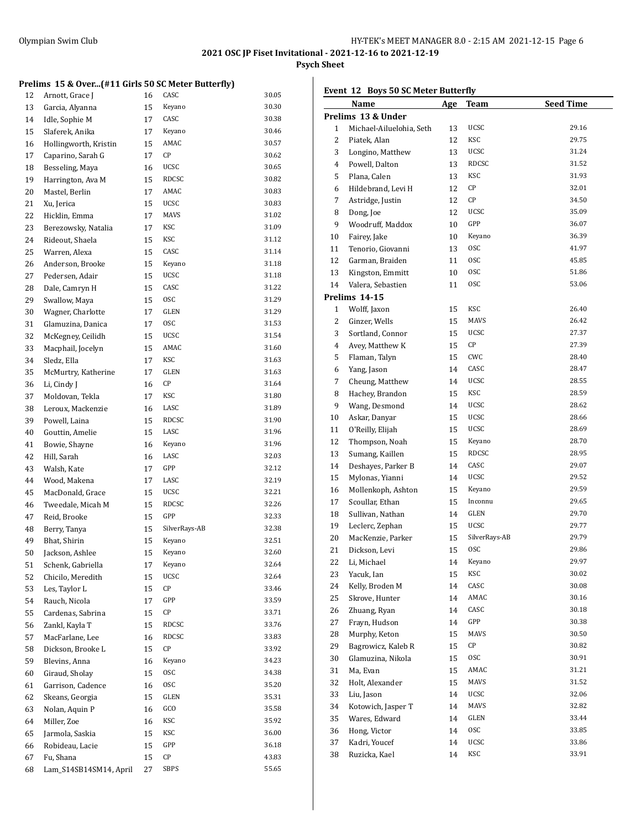**Psych Sheet**

## **Prelims 15 & Over...(#11 Girls 50 SC Meter Butterfly)**

| 12 | Arnott, Grace J                     | 16 | CASC          | 30.05 |
|----|-------------------------------------|----|---------------|-------|
| 13 | Garcia, Alyanna                     | 15 | Keyano        | 30.30 |
| 14 | Idle, Sophie M                      | 17 | CASC          | 30.38 |
| 15 | Slaferek, Anika                     | 17 | Keyano        | 30.46 |
| 16 | Hollingworth, Kristin               | 15 | AMAC          | 30.57 |
| 17 | Caparino, Sarah G                   | 17 | CP            | 30.62 |
| 18 | Besseling, Maya                     | 16 | <b>UCSC</b>   | 30.65 |
| 19 | Harrington, Ava M                   | 15 | <b>RDCSC</b>  | 30.82 |
| 20 | Mastel, Berlin                      | 17 | AMAC          | 30.83 |
| 21 | Xu, Jerica                          | 15 | <b>UCSC</b>   | 30.83 |
| 22 | Hicklin, Emma                       | 17 | MAVS          | 31.02 |
| 23 | Berezowsky, Natalia                 | 17 | KSC           | 31.09 |
| 24 | Rideout, Shaela                     | 15 | KSC           | 31.12 |
| 25 | Warren, Alexa                       | 15 | CASC          | 31.14 |
|    |                                     | 15 | Keyano        | 31.18 |
| 26 | Anderson, Brooke<br>Pedersen, Adair |    | <b>UCSC</b>   | 31.18 |
| 27 |                                     | 15 | CASC          | 31.22 |
| 28 | Dale, Camryn H                      | 15 | <b>OSC</b>    |       |
| 29 | Swallow, Maya                       | 15 |               | 31.29 |
| 30 | Wagner, Charlotte                   | 17 | GLEN          | 31.29 |
| 31 | Glamuzina, Danica                   | 17 | <b>OSC</b>    | 31.53 |
| 32 | McKegney, Ceilidh                   | 15 | <b>UCSC</b>   | 31.54 |
| 33 | Macphail, Jocelyn                   | 15 | AMAC          | 31.60 |
| 34 | Sledz, Ella                         | 17 | KSC           | 31.63 |
| 35 | McMurtry, Katherine                 | 17 | GLEN          | 31.63 |
| 36 | Li, Cindy J                         | 16 | CP            | 31.64 |
| 37 | Moldovan, Tekla                     | 17 | KSC           | 31.80 |
| 38 | Leroux, Mackenzie                   | 16 | LASC          | 31.89 |
| 39 | Powell, Laina                       | 15 | RDCSC         | 31.90 |
| 40 | Gouttin, Amelie                     | 15 | LASC          | 31.96 |
| 41 | Bowie, Shayne                       | 16 | Keyano        | 31.96 |
| 42 | Hill, Sarah                         | 16 | LASC          | 32.03 |
| 43 | Walsh, Kate                         | 17 | GPP           | 32.12 |
| 44 | Wood, Makena                        | 17 | LASC          | 32.19 |
| 45 | MacDonald, Grace                    | 15 | <b>UCSC</b>   | 32.21 |
| 46 | Tweedale, Micah M                   | 15 | RDCSC         | 32.26 |
| 47 | Reid, Brooke                        | 15 | GPP           | 32.33 |
| 48 | Berry, Tanya                        | 15 | SilverRays-AB | 32.38 |
| 49 | Bhat, Shirin                        | 15 | Keyano        | 32.51 |
| 50 | Jackson, Ashlee                     | 15 | Keyano        | 32.60 |
| 51 | Schenk, Gabriella                   | 17 | Keyano        | 32.64 |
| 52 | Chicilo, Meredith                   | 15 | <b>UCSC</b>   | 32.64 |
| 53 | Les, Taylor L                       | 15 | СP            | 33.46 |
| 54 | Rauch, Nicola                       | 17 | GPP           | 33.59 |
| 55 | Cardenas, Sabrina                   | 15 | CP            | 33.71 |
| 56 | Zankl, Kayla T                      | 15 | RDCSC         | 33.76 |
| 57 | MacFarlane, Lee                     | 16 | RDCSC         | 33.83 |
| 58 | Dickson, Brooke L                   | 15 | СP            | 33.92 |
| 59 | Blevins, Anna                       | 16 | Keyano        | 34.23 |
| 60 | Giraud, Sholay                      | 15 | 0SC           | 34.38 |
| 61 | Garrison, Cadence                   | 16 | 0SC           | 35.20 |
| 62 | Skeans, Georgia                     | 15 | GLEN          | 35.31 |
| 63 | Nolan, Aquin P                      | 16 | GCO           | 35.58 |
| 64 | Miller, Zoe                         | 16 | KSC           | 35.92 |
| 65 | Jarmola, Saskia                     | 15 | KSC           | 36.00 |
| 66 | Robideau, Lacie                     | 15 | GPP           | 36.18 |
| 67 | Fu, Shana                           | 15 | СP            | 43.83 |
| 68 | Lam_S14SB14SM14, April              | 27 | <b>SBPS</b>   | 55.65 |
|    |                                     |    |               |       |

## **Event 12 Boys 50 SC Meter Butterfly**

|                | <b>Name</b>              | <u>Age</u> | <u>Team</u>   | <b>Seed Time</b> |
|----------------|--------------------------|------------|---------------|------------------|
|                | Prelims 13 & Under       |            |               |                  |
| 1              | Michael-Ailuelohia, Seth | 13         | UCSC          | 29.16            |
| 2              | Piatek, Alan             | 12         | KSC           | 29.75            |
| 3              | Longino, Matthew         | 13         | UCSC          | 31.24            |
| $\overline{4}$ | Powell, Dalton           | 13         | RDCSC         | 31.52            |
| 5              | Plana, Calen             | 13         | KSC           | 31.93            |
| 6              | Hildebrand, Levi H       | 12         | СP            | 32.01            |
| 7              | Astridge, Justin         | 12         | СP            | 34.50            |
| 8              | Dong, Joe                | 12         | <b>UCSC</b>   | 35.09            |
| 9              | Woodruff, Maddox         | 10         | GPP           | 36.07            |
| 10             | Fairey, Jake             | 10         | Keyano        | 36.39            |
| 11             | Tenorio, Giovanni        | 13         | 0SC           | 41.97            |
| 12             | Garman, Braiden          | 11         | 0SC           | 45.85            |
| 13             | Kingston, Emmitt         | 10         | 0SC           | 51.86            |
| 14             | Valera, Sebastien        | 11         | 0SC           | 53.06            |
|                | Prelims 14-15            |            |               |                  |
| $\mathbf{1}$   | Wolff, Jaxon             | 15         | KSC           | 26.40            |
| 2              | Ginzer, Wells            | 15         | MAVS          | 26.42            |
| 3              | Sortland, Connor         | 15         | UCSC          | 27.37            |
| 4              | Avey, Matthew K          | 15         | CP            | 27.39            |
| 5              | Flaman, Talyn            | 15         | CWC           | 28.40            |
| 6              | Yang, Jason              | 14         | CASC          | 28.47            |
| 7              | Cheung, Matthew          | 14         | UCSC          | 28.55            |
| 8              | Hachey, Brandon          | 15         | KSC           | 28.59            |
| 9              | Wang, Desmond            | 14         | UCSC          | 28.62            |
| 10             | Askar, Danyar            | 15         | UCSC          | 28.66            |
| 11             | O'Reilly, Elijah         | 15         | UCSC          | 28.69            |
| 12             | Thompson, Noah           | 15         | Keyano        | 28.70            |
| 13             | Sumang, Kaillen          | 15         | <b>RDCSC</b>  | 28.95            |
| 14             | Deshayes, Parker B       | 14         | CASC          | 29.07            |
| 15             | Mylonas, Yianni          | 14         | UCSC          | 29.52            |
| 16             | Mollenkoph, Ashton       | 15         | Keyano        | 29.59            |
| 17             | Scoullar, Ethan          | 15         | Inconnu       | 29.65            |
| 18             | Sullivan, Nathan         | 14         | GLEN          | 29.70            |
| 19             | Leclerc, Zephan          | 15         | <b>UCSC</b>   | 29.77            |
| 20             | MacKenzie, Parker        | 15         | SilverRays-AB | 29.79            |
| 21             | Dickson, Levi            | 15         | 0SC           | 29.86            |
| 22             | Li, Michael              | 14         | Keyano        | 29.97            |
| 23             | Yacuk, Ian               | 15         | KSC           | 30.02            |
| 24             | Kelly, Broden M          | 14         | CASC          | 30.08            |
| 25             | Skrove, Hunter           | 14         | AMAC          | 30.16            |
| 26             | Zhuang, Ryan             | 14         | CASC          | 30.18            |
| 27             | Frayn, Hudson            | 14         | GPP           | 30.38            |
| 28             | Murphy, Keton            | 15         | MAVS          | 30.50            |
| 29             | Bagrowicz, Kaleb R       | 15         | СP            | 30.82            |
| 30             | Glamuzina, Nikola        | 15         | 0SC           | 30.91            |
| 31             | Ma, Evan                 | 15         | AMAC          | 31.21            |
| 32             | Holt, Alexander          | 15         | MAVS          | 31.52            |
| 33             | Liu, Jason               | 14         | UCSC          | 32.06            |
| 34             | Kotowich, Jasper T       | 14         | MAVS          | 32.82            |
| 35             | Wares, Edward            | 14         | GLEN          | 33.44            |
| 36             | Hong, Victor             | 14         | 0SC           | 33.85            |
| 37             | Kadri, Youcef            | 14         | UCSC          | 33.86            |
| 38             | Ruzicka, Kael            | 14         | KSC           | 33.91            |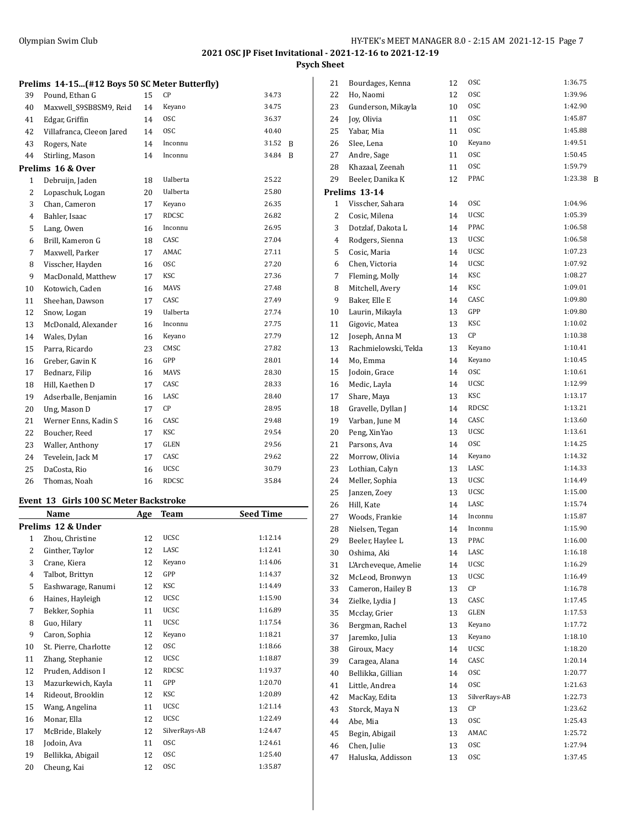**Psych Sheet**

| Prelims 14-15(#12 Boys 50 SC Meter Butterfly) |  |  |  |  |  |  |  |  |
|-----------------------------------------------|--|--|--|--|--|--|--|--|
|-----------------------------------------------|--|--|--|--|--|--|--|--|

| 39             | Pound, Ethan G            | 15 | CP              | 34.73 |   |
|----------------|---------------------------|----|-----------------|-------|---|
| 40             | Maxwell_S9SB8SM9, Reid    | 14 | Keyano          | 34.75 |   |
| 41             | Edgar, Griffin            | 14 | <b>OSC</b>      | 36.37 |   |
| 42             | Villafranca, Cleeon Jared | 14 | <b>OSC</b>      | 40.40 |   |
| 43             | Rogers, Nate              | 14 | Inconnu         | 31.52 | B |
| 44             | Stirling, Mason           | 14 | Inconnu         | 34.84 | B |
|                | Prelims 16 & Over         |    |                 |       |   |
| $\mathbf{1}$   | Debruijn, Jaden           | 18 | <b>Ualberta</b> | 25.22 |   |
| $\overline{c}$ | Lopaschuk, Logan          | 20 | <b>Ualberta</b> | 25.80 |   |
| 3              | Chan, Cameron             | 17 | Keyano          | 26.35 |   |
| $\overline{4}$ | Bahler, Isaac             | 17 | RDCSC           | 26.82 |   |
| 5              | Lang, Owen                | 16 | Inconnu         | 26.95 |   |
| 6              | Brill, Kameron G          | 18 | CASC            | 27.04 |   |
| 7              | Maxwell, Parker           | 17 | AMAC            | 27.11 |   |
| 8              | Visscher, Hayden          | 16 | <b>OSC</b>      | 27.20 |   |
| 9              | MacDonald, Matthew        | 17 | <b>KSC</b>      | 27.36 |   |
| 10             | Kotowich, Caden           | 16 | MAVS            | 27.48 |   |
| 11             | Sheehan, Dawson           | 17 | CASC            | 27.49 |   |
| 12             | Snow, Logan               | 19 | <b>Ualberta</b> | 27.74 |   |
| 13             | McDonald, Alexander       | 16 | Inconnu         | 27.75 |   |
| 14             | Wales, Dylan              | 16 | Keyano          | 27.79 |   |
| 15             | Parra, Ricardo            | 23 | CMSC            | 27.82 |   |
| 16             | Greber, Gavin K           | 16 | GPP             | 28.01 |   |
| 17             | Bednarz, Filip            | 16 | <b>MAVS</b>     | 28.30 |   |
| 18             | Hill, Kaethen D           | 17 | CASC            | 28.33 |   |
| 19             | Adserballe, Benjamin      | 16 | LASC            | 28.40 |   |
| 20             | Ung, Mason D              | 17 | CP              | 28.95 |   |
| 21             | Werner Enns, Kadin S      | 16 | CASC            | 29.48 |   |
| 22             | Boucher, Reed             | 17 | KSC             | 29.54 |   |
| 23             | Waller, Anthony           | 17 | GLEN            | 29.56 |   |
| 24             | Tevelein, Jack M          | 17 | CASC            | 29.62 |   |
| 25             | DaCosta, Rio              | 16 | <b>UCSC</b>     | 30.79 |   |
| 26             | Thomas, Noah              | 16 | <b>RDCSC</b>    | 35.84 |   |

## **Event 13 Girls 100 SC Meter Backstroke**

|    | Name                  | Age | Team          | <b>Seed Time</b> |
|----|-----------------------|-----|---------------|------------------|
|    | Prelims 12 & Under    |     |               |                  |
| 1  | Zhou, Christine       | 12  | <b>UCSC</b>   | 1:12.14          |
| 2  | Ginther, Taylor       | 12  | LASC          | 1:12.41          |
| 3  | Crane, Kiera          | 12  | Keyano        | 1:14.06          |
| 4  | Talbot, Brittyn       | 12  | GPP           | 1:14.37          |
| 5  | Eashwarage, Ranumi    | 12  | KSC           | 1:14.49          |
| 6  | Haines, Hayleigh      | 12  | <b>UCSC</b>   | 1:15.90          |
| 7  | Bekker, Sophia        | 11  | <b>UCSC</b>   | 1:16.89          |
| 8  | Guo, Hilary           | 11  | <b>UCSC</b>   | 1:17.54          |
| 9  | Caron, Sophia         | 12  | Keyano        | 1:18.21          |
| 10 | St. Pierre, Charlotte | 12  | <b>OSC</b>    | 1:18.66          |
| 11 | Zhang, Stephanie      | 12  | <b>UCSC</b>   | 1:18.87          |
| 12 | Pruden, Addison I     | 12  | <b>RDCSC</b>  | 1:19.37          |
| 13 | Mazurkewich, Kayla    | 11  | GPP           | 1:20.70          |
| 14 | Rideout, Brooklin     | 12  | KSC           | 1:20.89          |
| 15 | Wang, Angelina        | 11  | <b>UCSC</b>   | 1:21.14          |
| 16 | Monar, Ella           | 12  | <b>UCSC</b>   | 1:22.49          |
| 17 | McBride, Blakely      | 12  | SilverRays-AB | 1:24.47          |
| 18 | Jodoin, Ava           | 11  | <b>OSC</b>    | 1:24.61          |
| 19 | Bellikka, Abigail     | 12  | <b>OSC</b>    | 1:25.40          |
| 20 | Cheung, Kai           | 12  | <b>OSC</b>    | 1:35.87          |

| 21 | Bourdages, Kenna     | 12 | 0SC           | 1:36.75      |
|----|----------------------|----|---------------|--------------|
| 22 | Ho, Naomi            | 12 | 0SC           | 1:39.96      |
| 23 | Gunderson, Mikayla   | 10 | 0SC           | 1:42.90      |
| 24 | Joy, Olivia          | 11 | 0SC           | 1:45.87      |
| 25 | Yabar, Mia           | 11 | 0SC           | 1:45.88      |
| 26 | Slee, Lena           | 10 | Keyano        | 1:49.51      |
| 27 | Andre, Sage          | 11 | 0SC           | 1:50.45      |
| 28 | Khazaal, Zeenah      | 11 | <b>OSC</b>    | 1:59.79      |
| 29 | Beeler, Danika K     | 12 | PPAC          | 1:23.38<br>B |
|    | Prelims 13-14        |    |               |              |
| 1  | Visscher, Sahara     | 14 | 0SC           | 1:04.96      |
| 2  | Cosic, Milena        | 14 | UCSC          | 1:05.39      |
| 3  | Dotzlaf, Dakota L    | 14 | PPAC          | 1:06.58      |
| 4  | Rodgers, Sienna      | 13 | <b>UCSC</b>   | 1:06.58      |
| 5  | Cosic, Maria         | 14 | UCSC          | 1:07.23      |
| 6  | Chen, Victoria       | 14 | UCSC          | 1:07.92      |
| 7  | Fleming, Molly       | 14 | KSC           | 1:08.27      |
| 8  | Mitchell, Avery      | 14 | KSC           | 1:09.01      |
| 9  | Baker, Elle E        | 14 | CASC          | 1:09.80      |
| 10 | Laurin, Mikayla      | 13 | GPP           | 1:09.80      |
| 11 | Gigovic, Matea       | 13 | KSC           | 1:10.02      |
| 12 | Joseph, Anna M       | 13 | СP            | 1:10.38      |
| 13 | Rachmielowski, Tekla | 13 | Keyano        | 1:10.41      |
| 14 | Mo, Emma             | 14 | Keyano        | 1:10.45      |
| 15 | Jodoin, Grace        | 14 | 0SC           | 1:10.61      |
| 16 | Medic, Layla         | 14 | UCSC          | 1:12.99      |
| 17 | Share, Maya          | 13 | KSC           | 1:13.17      |
| 18 | Gravelle, Dyllan J   | 14 | RDCSC         | 1:13.21      |
| 19 | Varban, June M       | 14 | CASC          | 1:13.60      |
| 20 | Peng, XinYao         | 13 | UCSC          | 1:13.61      |
| 21 | Parsons, Ava         | 14 | 0SC           | 1:14.25      |
| 22 | Morrow, Olivia       | 14 | Keyano        | 1:14.32      |
| 23 | Lothian, Calyn       | 13 | LASC          | 1:14.33      |
| 24 | Meller, Sophia       | 13 | UCSC          | 1:14.49      |
| 25 | Janzen, Zoey         | 13 | UCSC          | 1:15.00      |
| 26 | Hill, Kate           | 14 | LASC          | 1:15.74      |
| 27 | Woods, Frankie       | 14 | Inconnu       | 1:15.87      |
| 28 | Nielsen, Tegan       | 14 | Inconnu       | 1:15.90      |
| 29 | Beeler, Haylee L     | 13 | PPAC          | 1:16.00      |
| 30 | Oshima, Aki          | 14 | LASC          | 1:16.18      |
| 31 | L'Archeveque, Amelie | 14 | UCSC          | 1:16.29      |
| 32 | McLeod, Bronwyn      | 13 | UCSC          | 1:16.49      |
| 33 | Cameron, Hailey B    | 13 | СP            | 1:16.78      |
| 34 | Zielke, Lydia J      | 13 | CASC          | 1:17.45      |
| 35 | Mcclay, Grier        | 13 | GLEN          | 1:17.53      |
| 36 | Bergman, Rachel      | 13 | Keyano        | 1:17.72      |
| 37 | Jaremko, Julia       | 13 | Keyano        | 1:18.10      |
| 38 | Giroux, Macy         | 14 | <b>UCSC</b>   | 1:18.20      |
| 39 | Caragea, Alana       | 14 | CASC          | 1:20.14      |
| 40 | Bellikka, Gillian    | 14 | 0SC           | 1:20.77      |
| 41 | Little, Andrea       | 14 | 0SC           | 1:21.63      |
| 42 | MacKay, Edita        | 13 | SilverRays-AB | 1:22.73      |
| 43 | Storck, Maya N       | 13 | СP            | 1:23.62      |
| 44 | Abe, Mia             | 13 | 0SC           | 1:25.43      |
| 45 | Begin, Abigail       | 13 | AMAC          | 1:25.72      |
| 46 | Chen, Julie          | 13 | 0SC           | 1:27.94      |
| 47 | Haluska, Addisson    | 13 | 0SC           | 1:37.45      |
|    |                      |    |               |              |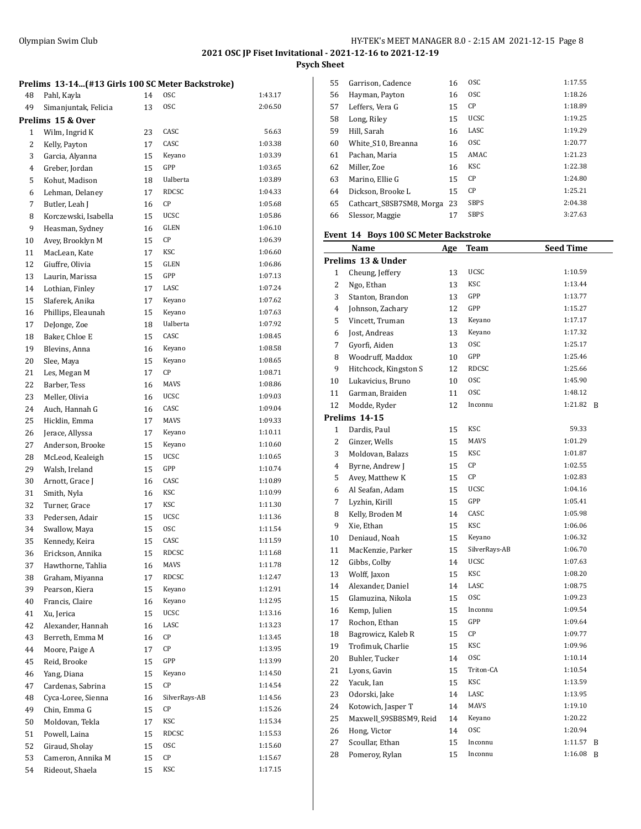**Psych Sheet**

| Prelims 13-14(#13 Girls 100 SC Meter Backstroke) |  |  |
|--------------------------------------------------|--|--|
|                                                  |  |  |

| 48 | Pahl, Kayla          | 14 | 0SC           | 1:43.17 |
|----|----------------------|----|---------------|---------|
| 49 | Simanjuntak, Felicia | 13 | <b>OSC</b>    | 2:06.50 |
|    | Prelims 15 & Over    |    |               |         |
| 1  | Wilm, Ingrid K       | 23 | CASC          | 56.63   |
| 2  | Kelly, Payton        | 17 | CASC          | 1:03.38 |
| 3  | Garcia, Alyanna      | 15 | Keyano        | 1:03.39 |
| 4  | Greber, Jordan       | 15 | GPP           | 1:03.65 |
| 5  | Kohut, Madison       | 18 | Ualberta      | 1:03.89 |
| 6  | Lehman, Delaney      | 17 | <b>RDCSC</b>  | 1:04.33 |
| 7  | Butler, Leah J       | 16 | CP            | 1:05.68 |
| 8  | Korczewski, Isabella | 15 | <b>UCSC</b>   | 1:05.86 |
| 9  | Heasman, Sydney      | 16 | GLEN          | 1:06.10 |
| 10 | Avey, Brooklyn M     | 15 | СP            | 1:06.39 |
| 11 | MacLean, Kate        | 17 | KSC           | 1:06.60 |
| 12 | Giuffre, Olivia      | 15 | GLEN          | 1:06.86 |
| 13 |                      | 15 | GPP           | 1:07.13 |
|    | Laurin, Marissa      |    | LASC          | 1:07.24 |
| 14 | Lothian, Finley      | 17 |               | 1:07.62 |
| 15 | Slaferek, Anika      | 17 | Keyano        |         |
| 16 | Phillips, Eleaunah   | 15 | Keyano        | 1:07.63 |
| 17 | DeJonge, Zoe         | 18 | Ualberta      | 1:07.92 |
| 18 | Baker, Chloe E       | 15 | CASC          | 1:08.45 |
| 19 | Blevins, Anna        | 16 | Keyano        | 1:08.58 |
| 20 | Slee, Maya           | 15 | Keyano        | 1:08.65 |
| 21 | Les, Megan M         | 17 | CP            | 1:08.71 |
| 22 | Barber, Tess         | 16 | <b>MAVS</b>   | 1:08.86 |
| 23 | Meller, Olivia       | 16 | UCSC          | 1:09.03 |
| 24 | Auch, Hannah G       | 16 | CASC          | 1:09.04 |
| 25 | Hicklin, Emma        | 17 | <b>MAVS</b>   | 1:09.33 |
| 26 | Jerace, Allyssa      | 17 | Keyano        | 1:10.11 |
| 27 | Anderson, Brooke     | 15 | Keyano        | 1:10.60 |
| 28 | McLeod, Kealeigh     | 15 | <b>UCSC</b>   | 1:10.65 |
| 29 | Walsh, Ireland       | 15 | GPP           | 1:10.74 |
| 30 | Arnott, Grace J      | 16 | CASC          | 1:10.89 |
| 31 | Smith, Nyla          | 16 | KSC           | 1:10.99 |
| 32 | Turner, Grace        | 17 | KSC           | 1:11.30 |
| 33 | Pedersen, Adair      | 15 | <b>UCSC</b>   | 1:11.36 |
| 34 | Swallow, Maya        | 15 | <b>OSC</b>    | 1:11.54 |
| 35 | Kennedy, Keira       | 15 | CASC          | 1:11.59 |
| 36 | Erickson, Annika     | 15 | <b>RDCSC</b>  | 1:11.68 |
| 37 | Hawthorne, Tahlia    | 16 | MAVS          | 1:11.78 |
| 38 | Graham, Miyanna      | 17 | RDCSC         | 1:12.47 |
| 39 | Pearson, Kiera       | 15 | Keyano        | 1:12.91 |
| 40 | Francis, Claire      | 16 | Keyano        | 1:12.95 |
| 41 | Xu, Jerica           | 15 | UCSC          | 1:13.16 |
| 42 | Alexander, Hannah    | 16 | LASC          | 1:13.23 |
| 43 | Berreth, Emma M      | 16 | СP            | 1:13.45 |
| 44 | Moore, Paige A       | 17 | СP            | 1:13.95 |
| 45 | Reid, Brooke         | 15 | GPP           | 1:13.99 |
| 46 | Yang, Diana          | 15 | Keyano        | 1:14.50 |
| 47 | Cardenas, Sabrina    | 15 | CP            | 1:14.54 |
| 48 | Cyca-Loree, Sienna   | 16 | SilverRays-AB | 1:14.56 |
| 49 | Chin, Emma G         | 15 | CP            | 1:15.26 |
|    | Moldovan, Tekla      |    | KSC           | 1:15.34 |
| 50 |                      | 17 | RDCSC         |         |
| 51 | Powell, Laina        | 15 |               | 1:15.53 |
| 52 | Giraud, Sholay       | 15 | 0SC           | 1:15.60 |
| 53 | Cameron, Annika M    | 15 | CP            | 1:15.67 |
| 54 | Rideout, Shaela      | 15 | <b>KSC</b>    | 1:17.15 |

| 55 | Garrison, Cadence        | 16 | <sub>OSC</sub> | 1:17.55 |
|----|--------------------------|----|----------------|---------|
| 56 | Hayman, Payton           | 16 | <b>OSC</b>     | 1:18.26 |
| 57 | Leffers, Vera G          | 15 | <b>CP</b>      | 1:18.89 |
| 58 | Long, Riley              | 15 | <b>UCSC</b>    | 1:19.25 |
| 59 | Hill, Sarah              | 16 | LASC           | 1:19.29 |
| 60 | White S10, Breanna       | 16 | <sub>OSC</sub> | 1:20.77 |
| 61 | Pachan, Maria            | 15 | AMAC           | 1:21.23 |
| 62 | Miller, Zoe              | 16 | <b>KSC</b>     | 1:22.38 |
| 63 | Marino, Ellie G          | 15 | CP             | 1:24.80 |
| 64 | Dickson, Brooke L        | 15 | CP             | 1:25.21 |
| 65 | Cathcart S8SB7SM8, Morga | 23 | <b>SBPS</b>    | 2:04.38 |
| 66 | Slessor, Maggie          | 17 | <b>SBPS</b>    | 3:27.63 |
|    |                          |    |                |         |

## **Event 14 Boys 100 SC Meter Backstroke**

|                | <u>Name</u>            | <u>Age</u> | <u>Team</u>   | <b>Seed Time</b> |   |
|----------------|------------------------|------------|---------------|------------------|---|
|                | Prelims 13 & Under     |            |               |                  |   |
| $\mathbf{1}$   | Cheung, Jeffery        | 13         | UCSC          | 1:10.59          |   |
| $\overline{c}$ | Ngo, Ethan             | 13         | <b>KSC</b>    | 1:13.44          |   |
| 3              | Stanton, Brandon       | 13         | GPP           | 1:13.77          |   |
| 4              | Johnson, Zachary       | 12         | GPP           | 1:15.27          |   |
| 5              | Vincett, Truman        | 13         | Keyano        | 1:17.17          |   |
| 6              | Jost, Andreas          | 13         | Keyano        | 1:17.32          |   |
| $\overline{7}$ | Gyorfi, Aiden          | 13         | 0SC           | 1:25.17          |   |
| 8              | Woodruff, Maddox       | 10         | GPP           | 1:25.46          |   |
| 9              | Hitchcock, Kingston S  | 12         | <b>RDCSC</b>  | 1:25.66          |   |
| 10             | Lukavicius, Bruno      | 10         | 0SC           | 1:45.90          |   |
| 11             | Garman, Braiden        | 11         | <b>OSC</b>    | 1:48.12          |   |
| 12             | Modde, Ryder           | 12         | Inconnu       | 1:21.82          | B |
|                | Prelims 14-15          |            |               |                  |   |
| $\mathbf{1}$   | Dardis, Paul           | 15         | <b>KSC</b>    | 59.33            |   |
| $\overline{2}$ | Ginzer, Wells          | 15         | <b>MAVS</b>   | 1:01.29          |   |
| 3              | Moldovan, Balazs       | 15         | KSC           | 1:01.87          |   |
| $\overline{4}$ | Byrne, Andrew J        | 15         | CP            | 1:02.55          |   |
| 5              | Avey, Matthew K        | 15         | CP            | 1:02.83          |   |
| 6              | Al Seafan, Adam        | 15         | <b>UCSC</b>   | 1:04.16          |   |
| $\overline{7}$ | Lyzhin, Kirill         | 15         | GPP           | 1:05.41          |   |
| 8              | Kelly, Broden M        | 14         | CASC          | 1:05.98          |   |
| 9              | Xie, Ethan             | 15         | <b>KSC</b>    | 1:06.06          |   |
| 10             | Deniaud, Noah          | 15         | Keyano        | 1:06.32          |   |
| 11             | MacKenzie, Parker      | 15         | SilverRays-AB | 1:06.70          |   |
| 12             | Gibbs, Colby           | 14         | UCSC          | 1:07.63          |   |
| 13             | Wolff, Jaxon           | 15         | KSC           | 1:08.20          |   |
| 14             | Alexander, Daniel      | 14         | LASC          | 1:08.75          |   |
| 15             | Glamuzina, Nikola      | 15         | 0SC           | 1:09.23          |   |
| 16             | Kemp, Julien           | 15         | Inconnu       | 1:09.54          |   |
| 17             | Rochon, Ethan          | 15         | GPP           | 1:09.64          |   |
| 18             | Bagrowicz, Kaleb R     | 15         | CP            | 1:09.77          |   |
| 19             | Trofimuk, Charlie      | 15         | <b>KSC</b>    | 1:09.96          |   |
| 20             | Buhler, Tucker         | 14         | <b>OSC</b>    | 1:10.14          |   |
| 21             | Lyons, Gavin           | 15         | Triton-CA     | 1:10.54          |   |
| 22             | Yacuk, Ian             | 15         | KSC           | 1:13.59          |   |
| 23             | Odorski, Jake          | 14         | LASC          | 1:13.95          |   |
| 24             | Kotowich, Jasper T     | 14         | <b>MAVS</b>   | 1:19.10          |   |
| 25             | Maxwell_S9SB8SM9, Reid | 14         | Keyano        | 1:20.22          |   |
| 26             | Hong, Victor           | 14         | <b>OSC</b>    | 1:20.94          |   |
| 27             | Scoullar, Ethan        | 15         | Inconnu       | 1:11.57          | B |
| 28             | Pomeroy, Rylan         | 15         | Inconnu       | 1:16.08          | B |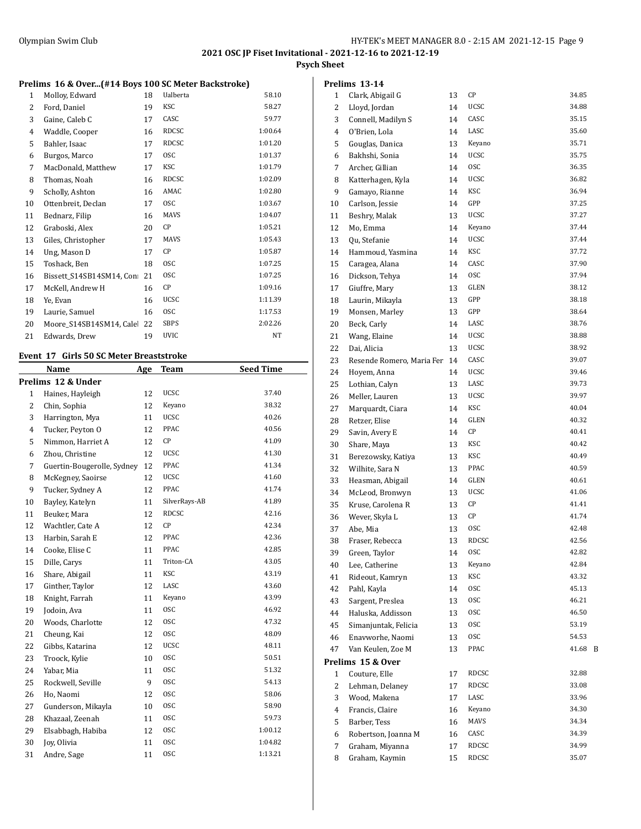**Psych Sheet**

#### **Prelims 16 & Over...(#14 Boys 100 SC Meter Backstroke)**

| $\mathbf{1}$   | Molloy, Edward           | 18 | Ualberta     | 58.10   |
|----------------|--------------------------|----|--------------|---------|
| 2              | Ford, Daniel             | 19 | KSC          | 58.27   |
| 3              | Gaine, Caleb C           | 17 | CASC         | 59.77   |
| $\overline{4}$ | Waddle, Cooper           | 16 | RDCSC        | 1:00.64 |
| 5              | Bahler, Isaac            | 17 | <b>RDCSC</b> | 1:01.20 |
| 6              | Burgos, Marco            | 17 | <b>OSC</b>   | 1:01.37 |
| 7              | MacDonald, Matthew       | 17 | KSC          | 1:01.79 |
| 8              | Thomas, Noah             | 16 | RDCSC        | 1:02.09 |
| 9              | Scholly, Ashton          | 16 | AMAC         | 1:02.80 |
| 10             | Ottenbreit, Declan       | 17 | <b>OSC</b>   | 1:03.67 |
| 11             | Bednarz, Filip           | 16 | <b>MAVS</b>  | 1:04.07 |
| 12             | Graboski, Alex           | 20 | СP           | 1:05.21 |
| 13             | Giles, Christopher       | 17 | <b>MAVS</b>  | 1:05.43 |
| 14             | Ung, Mason D             | 17 | CP           | 1:05.87 |
| 15             | Toshack, Ben             | 18 | <b>OSC</b>   | 1:07.25 |
| 16             | Bissett S14SB14SM14, Con | 21 | <b>OSC</b>   | 1:07.25 |
| 17             | McKell, Andrew H         | 16 | СP           | 1:09.16 |
| 18             | Ye, Evan                 | 16 | UCSC         | 1:11.39 |
| 19             | Laurie, Samuel           | 16 | <b>OSC</b>   | 1:17.53 |
| 20             | Moore_S14SB14SM14, Cale  | 22 | <b>SBPS</b>  | 2:02.26 |
| 21             | Edwards, Drew            | 19 | <b>UVIC</b>  | NT      |
|                |                          |    |              |         |

#### **Event 17 Girls 50 SC Meter Breaststroke**

|                | Name                       | Age | <b>Team</b>   | <b>Seed Time</b> |
|----------------|----------------------------|-----|---------------|------------------|
|                | Prelims 12 & Under         |     |               |                  |
| $\mathbf{1}$   | Haines, Hayleigh           | 12  | <b>UCSC</b>   | 37.40            |
| $\overline{c}$ | Chin, Sophia               | 12  | Keyano        | 38.32            |
| 3              | Harrington, Mya            | 11  | <b>UCSC</b>   | 40.26            |
| $\overline{4}$ | Tucker, Peyton O           | 12  | PPAC          | 40.56            |
| 5              | Nimmon, Harriet A          | 12  | CP            | 41.09            |
| 6              | Zhou, Christine            | 12  | <b>UCSC</b>   | 41.30            |
| 7              | Guertin-Bougerolle, Sydney | 12  | PPAC          | 41.34            |
| 8              | McKegney, Saoirse          | 12  | <b>UCSC</b>   | 41.60            |
| 9              | Tucker, Sydney A           | 12  | PPAC          | 41.74            |
| 10             | Bayley, Katelyn            | 11  | SilverRays-AB | 41.89            |
| 11             | Beuker, Mara               | 12  | <b>RDCSC</b>  | 42.16            |
| 12             | Wachtler, Cate A           | 12  | CP            | 42.34            |
| 13             | Harbin, Sarah E            | 12  | PPAC          | 42.36            |
| 14             | Cooke, Elise C             | 11  | PPAC          | 42.85            |
| 15             | Dille, Carys               | 11  | Triton-CA     | 43.05            |
| 16             | Share, Abigail             | 11  | KSC           | 43.19            |
| 17             | Ginther, Taylor            | 12  | LASC          | 43.60            |
| 18             | Knight, Farrah             | 11  | Keyano        | 43.99            |
| 19             | Jodoin, Ava                | 11  | <b>OSC</b>    | 46.92            |
| 20             | Woods, Charlotte           | 12  | <b>OSC</b>    | 47.32            |
| 21             | Cheung, Kai                | 12  | <b>OSC</b>    | 48.09            |
| 22             | Gibbs, Katarina            | 12  | <b>UCSC</b>   | 48.11            |
| 23             | Troock, Kylie              | 10  | <b>OSC</b>    | 50.51            |
| 24             | Yabar, Mia                 | 11  | <b>OSC</b>    | 51.32            |
| 25             | Rockwell, Seville          | 9   | <b>OSC</b>    | 54.13            |
| 26             | Ho, Naomi                  | 12  | <b>OSC</b>    | 58.06            |
| 27             | Gunderson, Mikayla         | 10  | <b>OSC</b>    | 58.90            |
| 28             | Khazaal, Zeenah            | 11  | <b>OSC</b>    | 59.73            |
| 29             | Elsabbagh, Habiba          | 12  | <b>OSC</b>    | 1:00.12          |
| 30             | Joy, Olivia                | 11  | <b>OSC</b>    | 1:04.82          |
| 31             | Andre, Sage                | 11  | <b>OSC</b>    | 1:13.21          |

|              | Prelims 13-14             |    |              |       |   |
|--------------|---------------------------|----|--------------|-------|---|
| 1            | Clark, Abigail G          | 13 | СP           | 34.85 |   |
| 2            | Lloyd, Jordan             | 14 | UCSC         | 34.88 |   |
| 3            | Connell, Madilyn S        | 14 | CASC         | 35.15 |   |
| 4            | O'Brien. Lola             | 14 | LASC         | 35.60 |   |
| 5            | Gouglas, Danica           | 13 | Keyano       | 35.71 |   |
| 6            | Bakhshi, Sonia            | 14 | UCSC         | 35.75 |   |
| 7            | Archer, Gillian           | 14 | <b>OSC</b>   | 36.35 |   |
| 8            |                           | 14 | <b>UCSC</b>  | 36.82 |   |
|              | Katterhagen, Kyla         |    | KSC          | 36.94 |   |
| 9            | Gamayo, Rianne            | 14 | GPP          | 37.25 |   |
| 10           | Carlson, Jessie           | 14 | UCSC         | 37.27 |   |
| 11           | Beshry, Malak             | 13 | Keyano       | 37.44 |   |
| 12           | Mo, Emma                  | 14 | <b>UCSC</b>  | 37.44 |   |
| 13           | Qu, Stefanie              | 14 |              |       |   |
| 14           | Hammoud, Yasmina          | 14 | KSC          | 37.72 |   |
| 15           | Caragea, Alana            | 14 | CASC         | 37.90 |   |
| 16           | Dickson, Tehya            | 14 | <b>OSC</b>   | 37.94 |   |
| 17           | Giuffre, Mary             | 13 | <b>GLEN</b>  | 38.12 |   |
| 18           | Laurin, Mikayla           | 13 | GPP          | 38.18 |   |
| 19           | Monsen, Marley            | 13 | GPP          | 38.64 |   |
| 20           | Beck, Carly               | 14 | LASC         | 38.76 |   |
| 21           | Wang, Elaine              | 14 | UCSC         | 38.88 |   |
| 22           | Dai, Alicia               | 13 | <b>UCSC</b>  | 38.92 |   |
| 23           | Resende Romero, Maria Fer | 14 | CASC         | 39.07 |   |
| 24           | Hoyem, Anna               | 14 | UCSC         | 39.46 |   |
| 25           | Lothian, Calyn            | 13 | LASC         | 39.73 |   |
| 26           | Meller, Lauren            | 13 | UCSC         | 39.97 |   |
| 27           | Marquardt, Ciara          | 14 | KSC          | 40.04 |   |
| 28           | Retzer, Elise             | 14 | GLEN         | 40.32 |   |
| 29           | Savin, Avery E            | 14 | СP           | 40.41 |   |
| 30           | Share, Maya               | 13 | KSC          | 40.42 |   |
| 31           | Berezowsky, Katiya        | 13 | KSC          | 40.49 |   |
| 32           | Wilhite, Sara N           | 13 | PPAC         | 40.59 |   |
| 33           | Heasman, Abigail          | 14 | GLEN         | 40.61 |   |
| 34           | McLeod, Bronwyn           | 13 | <b>UCSC</b>  | 41.06 |   |
| 35           | Kruse, Carolena R         | 13 | СP           | 41.41 |   |
| 36           | Wever, Skyla L            | 13 | СP           | 41.74 |   |
| 37           | Abe. Mia                  | 13 | 0SC          | 42.48 |   |
| 38           | Fraser, Rebecca           | 13 | <b>RDCSC</b> | 42.56 |   |
| 39           | Green, Taylor             | 14 | 0SC          | 42.82 |   |
| 40           | Lee, Catherine            | 13 | Keyano       | 42.84 |   |
| 41           | Rideout, Kamryn           | 13 | KSC          | 43.32 |   |
| 42           | Pahl, Kayla               | 14 | 0SC          | 45.13 |   |
| 43           | Sargent, Preslea          | 13 | 0SC          | 46.21 |   |
| 44           | Haluska, Addisson         | 13 | 0SC          | 46.50 |   |
| 45           | Simanjuntak, Felicia      | 13 | 0SC          | 53.19 |   |
| 46           | Enavworhe, Naomi          | 13 | 0SC          | 54.53 |   |
| 47           | Van Keulen, Zoe M         | 13 | PPAC         | 41.68 | B |
|              | Prelims 15 & Over         |    |              |       |   |
| $\mathbf{1}$ | Couture, Elle             | 17 | RDCSC        | 32.88 |   |
| 2            | Lehman, Delaney           | 17 | RDCSC        | 33.08 |   |
| 3            | Wood, Makena              | 17 | LASC         | 33.96 |   |
| 4            | Francis, Claire           | 16 | Keyano       | 34.30 |   |
| 5            | Barber, Tess              | 16 | MAVS         | 34.34 |   |
| 6            | Robertson, Joanna M       | 16 | CASC         | 34.39 |   |
| 7            | Graham, Miyanna           | 17 | RDCSC        | 34.99 |   |
| 8            | Graham, Kaymin            | 15 | RDCSC        | 35.07 |   |
|              |                           |    |              |       |   |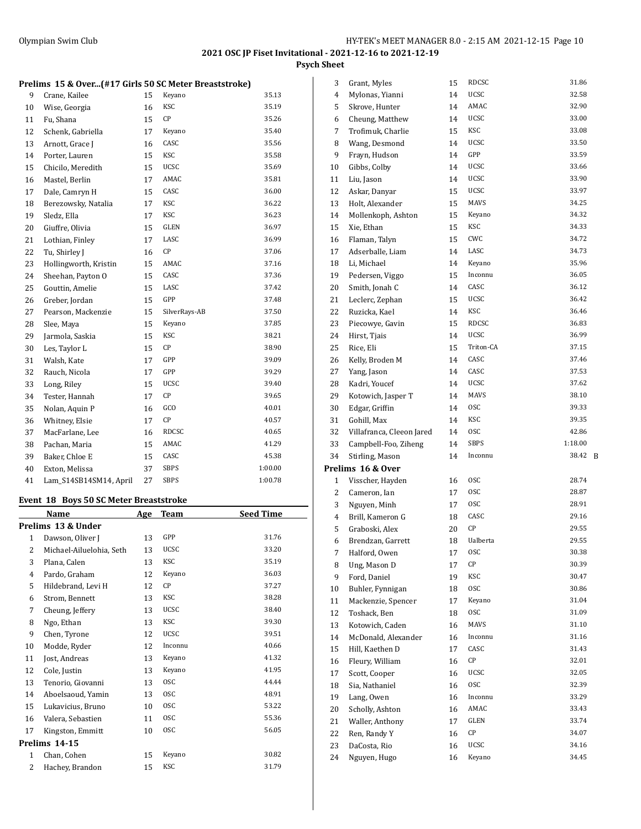**Psych Sheet**

|                 | Prelims 15 & Over(#17 Girls 50 SC Meter Breaststroke) |       |
|-----------------|-------------------------------------------------------|-------|
| 9 Crane, Kailee | 15 Keyano                                             | 35.13 |

| 10 | Wise, Georgia          | 16 | <b>KSC</b>    | 35.19   |
|----|------------------------|----|---------------|---------|
| 11 | Fu, Shana              | 15 | CP            | 35.26   |
| 12 | Schenk, Gabriella      | 17 | Keyano        | 35.40   |
| 13 | Arnott, Grace J        | 16 | CASC          | 35.56   |
| 14 | Porter, Lauren         | 15 | KSC           | 35.58   |
| 15 | Chicilo, Meredith      | 15 | <b>UCSC</b>   | 35.69   |
| 16 | Mastel, Berlin         | 17 | AMAC          | 35.81   |
| 17 | Dale, Camryn H         | 15 | CASC          | 36.00   |
| 18 | Berezowsky, Natalia    | 17 | KSC           | 36.22   |
| 19 | Sledz, Ella            | 17 | KSC           | 36.23   |
| 20 | Giuffre, Olivia        | 15 | GLEN          | 36.97   |
| 21 | Lothian, Finley        | 17 | LASC          | 36.99   |
| 22 | Tu, Shirley J          | 16 | CP            | 37.06   |
| 23 | Hollingworth, Kristin  | 15 | AMAC          | 37.16   |
| 24 | Sheehan, Payton O      | 15 | CASC          | 37.36   |
| 25 | Gouttin, Amelie        | 15 | LASC          | 37.42   |
| 26 | Greber, Jordan         | 15 | GPP           | 37.48   |
| 27 | Pearson, Mackenzie     | 15 | SilverRays-AB | 37.50   |
| 28 | Slee, Maya             | 15 | Keyano        | 37.85   |
| 29 | Jarmola, Saskia        | 15 | <b>KSC</b>    | 38.21   |
| 30 | Les, Taylor L          | 15 | СP            | 38.90   |
| 31 | Walsh, Kate            | 17 | GPP           | 39.09   |
| 32 | Rauch, Nicola          | 17 | GPP           | 39.29   |
| 33 | Long, Riley            | 15 | <b>UCSC</b>   | 39.40   |
| 34 | Tester, Hannah         | 17 | СP            | 39.65   |
| 35 | Nolan, Aquin P         | 16 | GCO           | 40.01   |
| 36 | Whitney, Elsie         | 17 | CP            | 40.57   |
| 37 | MacFarlane, Lee        | 16 | RDCSC         | 40.65   |
| 38 | Pachan, Maria          | 15 | AMAC          | 41.29   |
| 39 | Baker, Chloe E         | 15 | CASC          | 45.38   |
| 40 | Exton, Melissa         | 37 | <b>SBPS</b>   | 1:00.00 |
| 41 | Lam_S14SB14SM14, April | 27 | <b>SBPS</b>   | 1:00.78 |
|    |                        |    |               |         |

#### **Event 18 Boys 50 SC Meter Breaststroke**

|              | Name                     | Age | <b>Team</b> | <b>Seed Time</b> |
|--------------|--------------------------|-----|-------------|------------------|
|              | Prelims 13 & Under       |     |             |                  |
| 1            | Dawson, Oliver J         | 13  | GPP         | 31.76            |
| 2            | Michael-Ailuelohia, Seth | 13  | <b>UCSC</b> | 33.20            |
| 3            | Plana, Calen             | 13  | KSC         | 35.19            |
| 4            | Pardo, Graham            | 12  | Keyano      | 36.03            |
| 5            | Hildebrand, Levi H       | 12  | CP          | 37.27            |
| 6            | Strom, Bennett           | 13  | <b>KSC</b>  | 38.28            |
| 7            | Cheung, Jeffery          | 13  | <b>UCSC</b> | 38.40            |
| 8            | Ngo, Ethan               | 13  | KSC         | 39.30            |
| 9            | Chen, Tyrone             | 12  | <b>UCSC</b> | 39.51            |
| 10           | Modde, Ryder             | 12  | Inconnu     | 40.66            |
| 11           | Jost, Andreas            | 13  | Keyano      | 41.32            |
| 12           | Cole, Justin             | 13  | Keyano      | 41.95            |
| 13           | Tenorio, Giovanni        | 13  | <b>OSC</b>  | 44.44            |
| 14           | Aboelsaoud, Yamin        | 13  | <b>OSC</b>  | 48.91            |
| 15           | Lukavicius, Bruno        | 10  | <b>OSC</b>  | 53.22            |
| 16           | Valera, Sebastien        | 11  | <b>OSC</b>  | 55.36            |
| 17           | Kingston, Emmitt         | 10  | <b>OSC</b>  | 56.05            |
|              | Prelims 14-15            |     |             |                  |
| $\mathbf{1}$ | Chan, Cohen              | 15  | Keyano      | 30.82            |
| 2            | Hachey, Brandon          | 15  | KSC         | 31.79            |

| 3            | Grant, Myles              | 15 | RDCSC       | 31.86   |   |
|--------------|---------------------------|----|-------------|---------|---|
| 4            | Mylonas, Yianni           | 14 | UCSC        | 32.58   |   |
| 5            | Skrove, Hunter            | 14 | AMAC        | 32.90   |   |
| 6            | Cheung, Matthew           | 14 | <b>UCSC</b> | 33.00   |   |
| 7            | Trofimuk, Charlie         | 15 | KSC         | 33.08   |   |
| 8            | Wang, Desmond             | 14 | UCSC        | 33.50   |   |
| 9            | Frayn, Hudson             | 14 | GPP         | 33.59   |   |
| 10           | Gibbs, Colby              | 14 | UCSC        | 33.66   |   |
| 11           | Liu, Jason                | 14 | <b>UCSC</b> | 33.90   |   |
| 12           | Askar, Danyar             | 15 | <b>UCSC</b> | 33.97   |   |
| 13           | Holt, Alexander           | 15 | <b>MAVS</b> | 34.25   |   |
| 14           | Mollenkoph, Ashton        | 15 | Keyano      | 34.32   |   |
| 15           | Xie, Ethan                | 15 | KSC         | 34.33   |   |
| 16           | Flaman, Talyn             | 15 | CWC         | 34.72   |   |
| 17           | Adserballe, Liam          | 14 | LASC        | 34.73   |   |
| 18           | Li, Michael               | 14 | Keyano      | 35.96   |   |
| 19           | Pedersen, Viggo           | 15 | Inconnu     | 36.05   |   |
| 20           | Smith, Jonah C            | 14 | CASC        | 36.12   |   |
| 21           | Leclerc, Zephan           | 15 | <b>UCSC</b> | 36.42   |   |
| 22           | Ruzicka, Kael             | 14 | <b>KSC</b>  | 36.46   |   |
| 23           |                           | 15 | RDCSC       | 36.83   |   |
|              | Piecowye, Gavin           |    | <b>UCSC</b> | 36.99   |   |
| 24           | Hirst, Tjais              | 14 | Triton-CA   | 37.15   |   |
| 25           | Rice, Eli                 | 15 |             | 37.46   |   |
| 26           | Kelly, Broden M           | 14 | CASC        | 37.53   |   |
| 27           | Yang, Jason               | 14 | CASC        |         |   |
| 28           | Kadri, Youcef             | 14 | UCSC        | 37.62   |   |
| 29           | Kotowich, Jasper T        | 14 | <b>MAVS</b> | 38.10   |   |
| 30           | Edgar, Griffin            | 14 | 0SC         | 39.33   |   |
| 31           | Gohill, Max               | 14 | KSC         | 39.35   |   |
| 32           | Villafranca, Cleeon Jared | 14 | <b>OSC</b>  | 42.86   |   |
| 33           | Campbell-Foo, Ziheng      | 14 | SBPS        | 1:18.00 |   |
| 34           | Stirling, Mason           | 14 | Inconnu     | 38.42   | B |
|              | Prelims 16 & Over         |    |             |         |   |
| $\mathbf{1}$ | Visscher, Hayden          | 16 | <b>OSC</b>  | 28.74   |   |
| 2            | Cameron, Ian              | 17 | <b>OSC</b>  | 28.87   |   |
| 3            | Nguyen, Minh              | 17 | <b>OSC</b>  | 28.91   |   |
| 4            | Brill, Kameron G          | 18 | CASC        | 29.16   |   |
| 5            | Graboski, Alex            | 20 | СP          | 29.55   |   |
| 6            | Brendzan, Garrett         | 18 | Ualberta    | 29.55   |   |
| 7            | Halford, Owen             | 17 | osc         | 30.38   |   |
| 8            | Ung, Mason D              | 17 | СP          | 30.39   |   |
| 9            | Ford, Daniel              | 19 | KSC         | 30.47   |   |
| 10           | Buhler, Fynnigan          | 18 | 0SC         | 30.86   |   |
| 11           | Mackenzie, Spencer        | 17 | Keyano      | 31.04   |   |
| 12           | Toshack, Ben              | 18 | 0SC         | 31.09   |   |
| 13           | Kotowich, Caden           | 16 | MAVS        | 31.10   |   |
| 14           | McDonald, Alexander       | 16 | Inconnu     | 31.16   |   |
| 15           | Hill, Kaethen D           | 17 | CASC        | 31.43   |   |
| 16           | Fleury, William           | 16 | СP          | 32.01   |   |
| 17           | Scott, Cooper             | 16 | UCSC        | 32.05   |   |
| 18           | Sia, Nathaniel            | 16 | <b>OSC</b>  | 32.39   |   |
| 19           | Lang, Owen                | 16 | Inconnu     | 33.29   |   |
| 20           | Scholly, Ashton           | 16 | AMAC        | 33.43   |   |
| 21           | Waller, Anthony           | 17 | GLEN        | 33.74   |   |
| 22           | Ren, Randy Y              | 16 | СP          | 34.07   |   |
| 23           | DaCosta, Rio              |    | UCSC        | 34.16   |   |
|              |                           | 16 |             |         |   |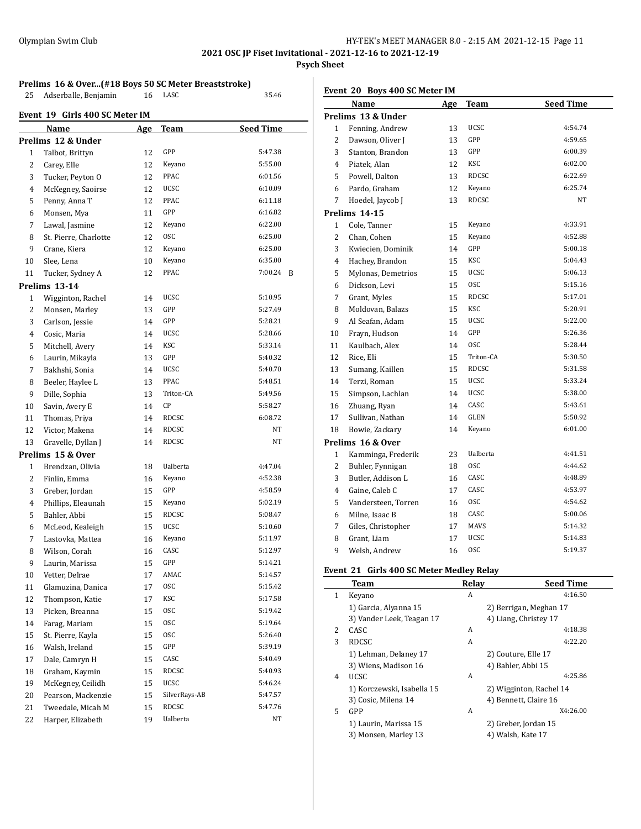## **Psych Sheet**

**Prelims 16 & Over...(#18 Boys 50 SC Meter Breaststroke)**

25 Adserballe, Benjamin 16 LASC 35.46

| Event 19 Girls 400 SC Meter IM |                       |            |               |                  |  |  |
|--------------------------------|-----------------------|------------|---------------|------------------|--|--|
|                                | Name                  | <b>Age</b> | <b>Team</b>   | <b>Seed Time</b> |  |  |
|                                | Prelims 12 & Under    |            |               |                  |  |  |
| 1                              | Talbot, Brittyn       | 12         | GPP           | 5:47.38          |  |  |
| 2                              | Carey, Elle           | 12         | Keyano        | 5:55.00          |  |  |
| 3                              | Tucker, Peyton O      | 12         | PPAC          | 6:01.56          |  |  |
| 4                              | McKegney, Saoirse     | 12         | <b>UCSC</b>   | 6:10.09          |  |  |
| 5                              | Penny, Anna T         | 12         | PPAC          | 6:11.18          |  |  |
| 6                              | Monsen, Mya           | 11         | GPP           | 6:16.82          |  |  |
| 7                              | Lawal, Jasmine        | 12         | Keyano        | 6:22.00          |  |  |
| 8                              | St. Pierre, Charlotte | 12         | <b>OSC</b>    | 6:25.00          |  |  |
| 9                              | Crane, Kiera          | 12         | Keyano        | 6:25.00          |  |  |
| 10                             | Slee, Lena            | 10         | Keyano        | 6:35.00          |  |  |
| 11                             | Tucker, Sydney A      | 12         | PPAC          | 7:00.24<br>B     |  |  |
|                                | Prelims 13-14         |            |               |                  |  |  |
| 1                              | Wigginton, Rachel     | 14         | UCSC          | 5:10.95          |  |  |
| 2                              | Monsen, Marley        | 13         | GPP           | 5:27.49          |  |  |
| 3                              | Carlson, Jessie       | 14         | GPP           | 5:28.21          |  |  |
| 4                              | Cosic, Maria          | 14         | <b>UCSC</b>   | 5:28.66          |  |  |
| 5                              | Mitchell, Avery       | 14         | KSC           | 5:33.14          |  |  |
| 6                              | Laurin, Mikayla       | 13         | GPP           | 5:40.32          |  |  |
| 7                              | Bakhshi, Sonia        | 14         | <b>UCSC</b>   | 5:40.70          |  |  |
| 8                              | Beeler, Haylee L      | 13         | PPAC          | 5:48.51          |  |  |
| 9                              | Dille, Sophia         | 13         | Triton-CA     | 5:49.56          |  |  |
| 10                             | Savin, Avery E        | 14         | СP            | 5:58.27          |  |  |
| 11                             | Thomas, Priya         | 14         | RDCSC         | 6:08.72          |  |  |
| 12                             | Victor, Makena        | 14         | RDCSC         | NT               |  |  |
| 13                             | Gravelle, Dyllan J    | 14         | RDCSC         | NT               |  |  |
|                                | Prelims 15 & Over     |            |               |                  |  |  |
| 1                              | Brendzan, Olivia      | 18         | Ualberta      | 4:47.04          |  |  |
| 2                              | Finlin, Emma          | 16         | Keyano        | 4:52.38          |  |  |
| 3                              | Greber, Jordan        | 15         | GPP           | 4:58.59          |  |  |
| 4                              | Phillips, Eleaunah    | 15         | Keyano        | 5:02.19          |  |  |
| 5                              | Bahler, Abbi          | 15         | RDCSC         | 5:08.47          |  |  |
| 6                              | McLeod, Kealeigh      | 15         | <b>UCSC</b>   | 5:10.60          |  |  |
| 7                              | Lastovka, Mattea      | 16         | Keyano        | 5:11.97          |  |  |
| 8                              | Wilson, Corah         | 16         | CASC          | 5:12.97          |  |  |
| 9                              | Laurin, Marissa       | 15         | GPP           | 5:14.21          |  |  |
| 10                             | Vetter, Delrae        | 17         | AMAC          | 5:14.57          |  |  |
| 11                             | Glamuzina, Danica     | 17         | 0SC           | 5:15.42          |  |  |
| 12                             | Thompson, Katie       | 17         | KSC           | 5:17.58          |  |  |
| 13                             | Picken, Breanna       | 15         | 0SC           | 5:19.42          |  |  |
| 14                             | Farag, Mariam         | 15         | <b>OSC</b>    | 5:19.64          |  |  |
| 15                             | St. Pierre, Kayla     | 15         | 0SC           | 5:26.40          |  |  |
| 16                             | Walsh, Ireland        | 15         | GPP           | 5:39.19          |  |  |
| 17                             | Dale, Camryn H        | 15         | CASC          | 5:40.49          |  |  |
| 18                             | Graham, Kaymin        | 15         | RDCSC         | 5:40.93          |  |  |
| 19                             | McKegney, Ceilidh     | 15         | UCSC          | 5:46.24          |  |  |
| 20                             | Pearson, Mackenzie    | 15         | SilverRays-AB | 5:47.57          |  |  |
| 21                             | Tweedale, Micah M     | 15         | RDCSC         | 5:47.76          |  |  |
| 22                             | Harper, Elizabeth     | 19         | Ualberta      | NΤ               |  |  |

## **Event 20 Boys 400 SC Meter IM**

|                | Name                | Age | <b>Team</b>     | <b>Seed Time</b> |
|----------------|---------------------|-----|-----------------|------------------|
|                | Prelims 13 & Under  |     |                 |                  |
| 1              | Fenning, Andrew     | 13  | UCSC            | 4:54.74          |
| 2              | Dawson, Oliver J    | 13  | GPP             | 4:59.65          |
| 3              | Stanton, Brandon    | 13  | GPP             | 6:00.39          |
| 4              | Piatek, Alan        | 12  | <b>KSC</b>      | 6:02.00          |
| 5              | Powell, Dalton      | 13  | RDCSC           | 6:22.69          |
| 6              | Pardo, Graham       | 12  | Keyano          | 6:25.74          |
| 7              | Hoedel, Jaycob J    | 13  | <b>RDCSC</b>    | NT               |
|                | Prelims 14-15       |     |                 |                  |
| 1              | Cole, Tanner        | 15  | Keyano          | 4:33.91          |
| $\overline{2}$ | Chan, Cohen         | 15  | Keyano          | 4:52.88          |
| 3              | Kwiecien, Dominik   | 14  | GPP             | 5:00.18          |
| 4              | Hachey, Brandon     | 15  | <b>KSC</b>      | 5:04.43          |
| 5              | Mylonas, Demetrios  | 15  | <b>UCSC</b>     | 5:06.13          |
| 6              | Dickson, Levi       | 15  | <b>OSC</b>      | 5:15.16          |
| 7              | Grant, Myles        | 15  | <b>RDCSC</b>    | 5:17.01          |
| 8              | Moldovan, Balazs    | 15  | <b>KSC</b>      | 5:20.91          |
| 9              | Al Seafan, Adam     | 15  | UCSC            | 5:22.00          |
| 10             | Frayn, Hudson       | 14  | GPP             | 5:26.36          |
| 11             | Kaulbach, Alex      | 14  | <b>OSC</b>      | 5:28.44          |
| 12             | Rice, Eli           | 15  | Triton-CA       | 5:30.50          |
| 13             | Sumang, Kaillen     | 15  | <b>RDCSC</b>    | 5:31.58          |
| 14             | Terzi, Roman        | 15  | <b>UCSC</b>     | 5:33.24          |
| 15             | Simpson, Lachlan    | 14  | UCSC            | 5:38.00          |
| 16             | Zhuang, Ryan        | 14  | CASC            | 5:43.61          |
| 17             | Sullivan, Nathan    | 14  | GLEN            | 5:50.92          |
| 18             | Bowie, Zackary      | 14  | Keyano          | 6:01.00          |
|                | Prelims 16 & Over   |     |                 |                  |
| 1              | Kamminga, Frederik  | 23  | <b>Ualberta</b> | 4:41.51          |
| 2              | Buhler, Fynnigan    | 18  | 0SC             | 4:44.62          |
| 3              | Butler, Addison L   | 16  | CASC            | 4:48.89          |
| 4              | Gaine, Caleb C      | 17  | CASC            | 4:53.97          |
| 5              | Vandersteen, Torren | 16  | <b>OSC</b>      | 4:54.62          |
| 6              | Milne, Isaac B      | 18  | CASC            | 5:00.06          |
| 7              | Giles, Christopher  | 17  | <b>MAVS</b>     | 5:14.32          |
| 8              | Grant, Liam         | 17  | <b>UCSC</b>     | 5:14.83          |
| 9              | Welsh, Andrew       | 16  | <b>OSC</b>      | 5:19.37          |

## **Event 21 Girls 400 SC Meter Medley Relay**

|   | Team                       | Relay | <b>Seed Time</b>        |
|---|----------------------------|-------|-------------------------|
| 1 | Keyano                     | A     | 4:16.50                 |
|   | 1) Garcia, Alyanna 15      |       | 2) Berrigan, Meghan 17  |
|   | 3) Vander Leek, Teagan 17  |       | 4) Liang, Christey 17   |
| 2 | CASC                       | A     | 4:18.38                 |
| 3 | <b>RDCSC</b>               | A     | 4:22.20                 |
|   | 1) Lehman, Delaney 17      |       | 2) Couture, Elle 17     |
|   | 3) Wiens, Madison 16       |       | 4) Bahler, Abbi 15      |
| 4 | UCSC.                      | A     | 4:25.86                 |
|   | 1) Korczewski, Isabella 15 |       | 2) Wigginton, Rachel 14 |
|   | 3) Cosic, Milena 14        |       | 4) Bennett, Claire 16   |
| 5 | GPP                        | A     | X4:26.00                |
|   | 1) Laurin, Marissa 15      |       | 2) Greber, Jordan 15    |
|   | 3) Monsen, Marley 13       |       | 4) Walsh, Kate 17       |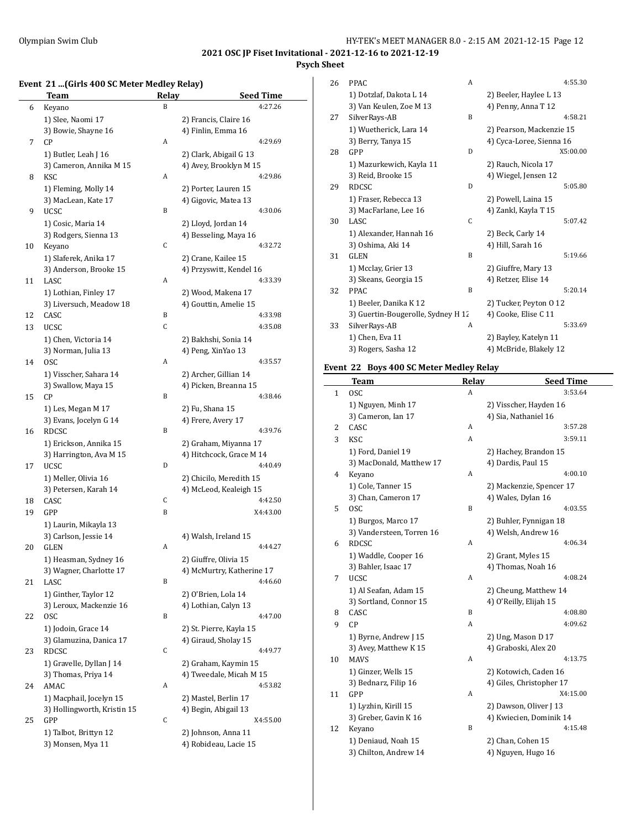$\overline{a}$ 

# **2021 OSC JP Fiset Invitational - 2021-12-16 to 2021-12-19**

# **Psych Sheet**

## **Event 21 ...(Girls 400 SC Meter Medley Relay)**

|    | <b>Team</b>                             | <b>Relay</b> | <b>Seed Time</b>                                |
|----|-----------------------------------------|--------------|-------------------------------------------------|
| 6  | Keyano                                  | B            | 4:27.26                                         |
|    | 1) Slee, Naomi 17                       |              | 2) Francis, Claire 16                           |
|    | 3) Bowie, Shayne 16                     |              | 4) Finlin, Emma 16                              |
| 7  | CP                                      | A            | 4:29.69                                         |
|    | 1) Butler, Leah J 16                    |              | 2) Clark, Abigail G 13                          |
|    | 3) Cameron, Annika M 15                 |              | 4) Avey, Brooklyn M 15                          |
| 8  | KSC                                     | A            | 4:29.86                                         |
|    | 1) Fleming, Molly 14                    |              | 2) Porter, Lauren 15                            |
|    | 3) MacLean, Kate 17                     |              | 4) Gigovic, Matea 13                            |
| 9  | <b>UCSC</b>                             | B            | 4:30.06                                         |
|    | 1) Cosic, Maria 14                      |              | 2) Lloyd, Jordan 14                             |
|    | 3) Rodgers, Sienna 13                   |              | 4) Besseling, Maya 16                           |
| 10 | Keyano                                  | С            | 4:32.72                                         |
|    | 1) Slaferek, Anika 17                   |              | 2) Crane, Kailee 15                             |
|    | 3) Anderson, Brooke 15                  |              | 4) Przyswitt, Kendel 16                         |
| 11 | LASC                                    | A            | 4:33.39                                         |
|    | 1) Lothian, Finley 17                   |              | 2) Wood, Makena 17                              |
|    | 3) Liversuch, Meadow 18                 |              | 4) Gouttin, Amelie 15                           |
| 12 | CASC                                    | B            | 4:33.98                                         |
| 13 | <b>UCSC</b>                             | C            | 4:35.08                                         |
|    | 1) Chen, Victoria 14                    |              | 2) Bakhshi, Sonia 14                            |
|    | 3) Norman, Julia 13                     |              | 4) Peng, XinYao 13                              |
| 14 | 0SC                                     | A            | 4:35.57                                         |
|    | 1) Visscher, Sahara 14                  |              | 2) Archer, Gillian 14                           |
|    | 3) Swallow, Maya 15                     |              | 4) Picken, Breanna 15                           |
| 15 | CP                                      | B            | 4:38.46                                         |
|    | 1) Les, Megan M 17                      |              | 2) Fu, Shana 15                                 |
|    | 3) Evans, Jocelyn G 14                  |              | 4) Frere, Avery 17                              |
| 16 | RDCSC                                   | B            | 4:39.76                                         |
|    | 1) Erickson, Annika 15                  |              | 2) Graham, Miyanna 17                           |
|    | 3) Harrington, Ava M 15                 |              | 4) Hitchcock, Grace M 14                        |
| 17 | <b>UCSC</b>                             | D            | 4:40.49                                         |
|    | 1) Meller, Olivia 16                    |              | 2) Chicilo, Meredith 15                         |
|    | 3) Petersen, Karah 14                   |              | 4) McLeod, Kealeigh 15                          |
| 18 | CASC                                    | С            | 4:42.50                                         |
| 19 | GPP                                     | B            | X4:43.00                                        |
|    | 1) Laurin, Mikayla 13                   |              |                                                 |
|    | 3) Carlson, Jessie 14                   |              | 4) Walsh, Ireland 15                            |
| 20 | GLEN                                    | A            | 4:44.27                                         |
|    | 1) Heasman, Sydney 16                   |              | 2) Giuffre, Olivia 15                           |
|    | 3) Wagner, Charlotte 17                 |              | 4) McMurtry, Katherine 17                       |
| 21 | LASC                                    | B            | 4:46.60                                         |
|    | 1) Ginther, Taylor 12                   |              | 2) O'Brien, Lola 14                             |
|    | 3) Leroux, Mackenzie 16                 |              | 4) Lothian, Calyn 13                            |
| 22 | <b>OSC</b>                              | B            | 4:47.00                                         |
|    | 1) Jodoin, Grace 14                     |              | 2) St. Pierre, Kayla 15<br>4) Giraud, Sholay 15 |
| 23 | 3) Glamuzina, Danica 17<br><b>RDCSC</b> | C            | 4:49.77                                         |
|    | 1) Gravelle, Dyllan J 14                |              | 2) Graham, Kaymin 15                            |
|    | 3) Thomas, Priya 14                     |              | 4) Tweedale, Micah M 15                         |
| 24 | AMAC                                    | A            | 4:53.82                                         |
|    | 1) Macphail, Jocelyn 15                 |              | 2) Mastel, Berlin 17                            |
|    | 3) Hollingworth, Kristin 15             |              | 4) Begin, Abigail 13                            |
| 25 | GPP                                     | С            | X4:55.00                                        |
|    | 1) Talbot, Brittyn 12                   |              | 2) Johnson, Anna 11                             |
|    | 3) Monsen, Mya 11                       |              | 4) Robideau, Lacie 15                           |
|    |                                         |              |                                                 |

| 26 | <b>PPAC</b>                        | A | 4:55.30                  |
|----|------------------------------------|---|--------------------------|
|    | 1) Dotzlaf, Dakota L 14            |   | 2) Beeler, Haylee L 13   |
|    | 3) Van Keulen, Zoe M 13            |   | 4) Penny, Anna T 12      |
| 27 | SilverRays-AB                      | B | 4:58.21                  |
|    | 1) Wuetherick, Lara 14             |   | 2) Pearson, Mackenzie 15 |
|    | 3) Berry, Tanya 15                 |   | 4) Cyca-Loree, Sienna 16 |
| 28 | GPP                                | D | X5:00.00                 |
|    | 1) Mazurkewich, Kayla 11           |   | 2) Rauch, Nicola 17      |
|    | 3) Reid, Brooke 15                 |   | 4) Wiegel, Jensen 12     |
| 29 | <b>RDCSC</b>                       | D | 5:05.80                  |
|    | 1) Fraser, Rebecca 13              |   | 2) Powell, Laina 15      |
|    | 3) MacFarlane, Lee 16              |   | 4) Zankl, Kayla T 15     |
| 30 | LASC.                              | C | 5:07.42                  |
|    | 1) Alexander, Hannah 16            |   | 2) Beck, Carly 14        |
|    | 3) Oshima, Aki 14                  |   | 4) Hill, Sarah 16        |
| 31 | <b>GLEN</b>                        | B | 5:19.66                  |
|    | 1) Mcclay, Grier 13                |   | 2) Giuffre, Mary 13      |
|    | 3) Skeans, Georgia 15              |   | 4) Retzer, Elise 14      |
| 32 | <b>PPAC</b>                        | B | 5:20.14                  |
|    | 1) Beeler, Danika K 12             |   | 2) Tucker, Peyton 0 12   |
|    | 3) Guertin-Bougerolle, Sydney H 12 |   | 4) Cooke, Elise C 11     |
| 33 | SilverRays-AB                      | A | 5:33.69                  |
|    | 1) Chen, Eva 11                    |   | 2) Bayley, Katelyn 11    |
|    | 3) Rogers, Sasha 12                |   | 4) McBride, Blakely 12   |

## **Event 22 Boys 400 SC Meter Medley Relay**

|              | <b>Team</b>               | <b>Relay</b> | <b>Seed Time</b>         |  |
|--------------|---------------------------|--------------|--------------------------|--|
| $\mathbf{1}$ | <b>OSC</b>                | A            | 3:53.64                  |  |
|              | 1) Nguyen, Minh 17        |              | 2) Visscher, Hayden 16   |  |
|              | 3) Cameron, Ian 17        |              | 4) Sia, Nathaniel 16     |  |
| 2            | CASC                      | A            | 3:57.28                  |  |
| 3            | KSC                       | A            | 3:59.11                  |  |
|              | 1) Ford, Daniel 19        |              | 2) Hachey, Brandon 15    |  |
|              | 3) MacDonald, Matthew 17  |              | 4) Dardis, Paul 15       |  |
| 4            | Keyano                    | A            | 4:00.10                  |  |
|              | 1) Cole, Tanner 15        |              | 2) Mackenzie, Spencer 17 |  |
|              | 3) Chan, Cameron 17       |              | 4) Wales, Dylan 16       |  |
| 5            | <b>OSC</b>                | B            | 4:03.55                  |  |
|              | 1) Burgos, Marco 17       |              | 2) Buhler, Fynnigan 18   |  |
|              | 3) Vandersteen, Torren 16 |              | 4) Welsh, Andrew 16      |  |
| 6            | <b>RDCSC</b>              | A            | 4:06.34                  |  |
|              | 1) Waddle, Cooper 16      |              | 2) Grant, Myles 15       |  |
|              | 3) Bahler, Isaac 17       |              | 4) Thomas, Noah 16       |  |
| 7            | <b>UCSC</b>               | A            | 4:08.24                  |  |
|              | 1) Al Seafan, Adam 15     |              | 2) Cheung, Matthew 14    |  |
|              | 3) Sortland, Connor 15    |              | 4) O'Reilly, Elijah 15   |  |
| 8            | CASC                      | B            | 4:08.80                  |  |
| 9            | CP                        | A            | 4:09.62                  |  |
|              | 1) Byrne, Andrew J 15     |              | 2) Ung, Mason D 17       |  |
|              | 3) Avey, Matthew K 15     |              | 4) Graboski, Alex 20     |  |
| 10           | <b>MAVS</b>               | A            | 4:13.75                  |  |
|              | 1) Ginzer, Wells 15       |              | 2) Kotowich, Caden 16    |  |
|              | 3) Bednarz, Filip 16      |              | 4) Giles, Christopher 17 |  |
| 11           | GPP                       | A            | X4:15.00                 |  |
|              | 1) Lyzhin, Kirill 15      |              | 2) Dawson, Oliver J 13   |  |
|              | 3) Greber, Gavin K 16     |              | 4) Kwiecien, Dominik 14  |  |
| 12           | Keyano                    | B            | 4:15.48                  |  |
|              | 1) Deniaud, Noah 15       |              | 2) Chan, Cohen 15        |  |
|              | 3) Chilton, Andrew 14     |              | 4) Nguyen, Hugo 16       |  |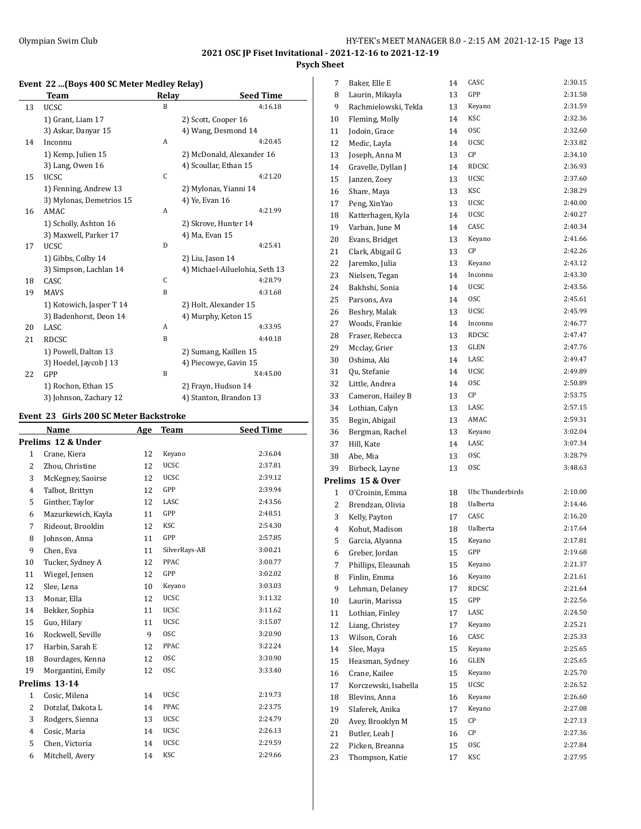## **2021 OSC JP Fiset Invitational - 2021-12-16 to 2021-12-19 Psych Sheet**

## **Event 22 ...(Boys 400 SC Meter Medley Relay)**

|    | <b>Team</b>              | <b>Relay</b> | <b>Seed Time</b>               |
|----|--------------------------|--------------|--------------------------------|
| 13 | <b>UCSC</b>              | B            | 4:16.18                        |
|    | 1) Grant, Liam 17        |              | 2) Scott, Cooper 16            |
|    | 3) Askar, Danyar 15      |              | 4) Wang, Desmond 14            |
| 14 | Inconnu                  | A            | 4:20.45                        |
|    | 1) Kemp, Julien 15       |              | 2) McDonald, Alexander 16      |
|    | 3) Lang, Owen 16         |              | 4) Scoullar, Ethan 15          |
| 15 | <b>UCSC</b>              | $\mathsf C$  | 4:21.20                        |
|    | 1) Fenning, Andrew 13    |              | 2) Mylonas, Yianni 14          |
|    | 3) Mylonas, Demetrios 15 |              | 4) Ye, Evan 16                 |
| 16 | AMAC                     | A            | 4:21.99                        |
|    | 1) Scholly, Ashton 16    |              | 2) Skrove, Hunter 14           |
|    | 3) Maxwell, Parker 17    |              | 4) Ma, Evan 15                 |
| 17 | <b>UCSC</b>              | D            | 4:25.41                        |
|    | 1) Gibbs, Colby 14       |              | 2) Liu, Jason 14               |
|    | 3) Simpson, Lachlan 14   |              | 4) Michael-Ailuelohia, Seth 13 |
| 18 | CASC                     | C            | 4:28.79                        |
| 19 | <b>MAVS</b>              | B            | 4:31.68                        |
|    | 1) Kotowich, Jasper T 14 |              | 2) Holt, Alexander 15          |
|    | 3) Badenhorst, Deon 14   |              | 4) Murphy, Keton 15            |
| 20 | LASC                     | A            | 4:33.95                        |
| 21 | <b>RDCSC</b>             | B            | 4:40.18                        |
|    | 1) Powell, Dalton 13     |              | 2) Sumang, Kaillen 15          |
|    | 3) Hoedel, Jaycob J 13   |              | 4) Piecowye, Gavin 15          |
| 22 | GPP                      | B            | X4:45.00                       |
|    | 1) Rochon, Ethan 15      |              | 2) Frayn, Hudson 14            |
|    | 3) Johnson, Zachary 12   |              | 4) Stanton, Brandon 13         |

## **Event 23 Girls 200 SC Meter Backstroke**

|                | Name               | Age | <b>Team</b>   | <b>Seed Time</b> |
|----------------|--------------------|-----|---------------|------------------|
|                | Prelims 12 & Under |     |               |                  |
| $\mathbf{1}$   | Crane, Kiera       | 12  | Keyano        | 2:36.04          |
| 2              | Zhou, Christine    | 12  | <b>UCSC</b>   | 2:37.81          |
| 3              | McKegney, Saoirse  | 12  | <b>UCSC</b>   | 2:39.12          |
| 4              | Talbot, Brittyn    | 12  | GPP           | 2:39.94          |
| 5              | Ginther, Taylor    | 12  | LASC          | 2:43.56          |
| 6              | Mazurkewich, Kayla | 11  | GPP           | 2:48.51          |
| 7              | Rideout, Brooklin  | 12  | <b>KSC</b>    | 2:54.30          |
| 8              | Johnson, Anna      | 11  | GPP           | 2:57.85          |
| 9              | Chen, Eva          | 11  | SilverRays-AB | 3:00.21          |
| 10             | Tucker, Sydney A   | 12  | PPAC          | 3:00.77          |
| 11             | Wiegel, Jensen     | 12  | GPP           | 3:02.02          |
| 12             | Slee, Lena         | 10  | Keyano        | 3:03.03          |
| 13             | Monar, Ella        | 12  | <b>UCSC</b>   | 3:11.32          |
| 14             | Bekker, Sophia     | 11  | <b>UCSC</b>   | 3:11.62          |
| 15             | Guo, Hilary        | 11  | <b>UCSC</b>   | 3:15.07          |
| 16             | Rockwell, Seville  | 9   | <b>OSC</b>    | 3:20.90          |
| 17             | Harbin, Sarah E    | 12  | <b>PPAC</b>   | 3:22.24          |
| 18             | Bourdages, Kenna   | 12  | <b>OSC</b>    | 3:30.90          |
| 19             | Morgantini, Emily  | 12  | <b>OSC</b>    | 3:33.40          |
|                | Prelims 13-14      |     |               |                  |
| $\mathbf{1}$   | Cosic, Milena      | 14  | <b>UCSC</b>   | 2:19.73          |
| $\overline{2}$ | Dotzlaf, Dakota L  | 14  | PPAC          | 2:23.75          |
| 3              | Rodgers, Sienna    | 13  | <b>UCSC</b>   | 2:24.79          |
| 4              | Cosic, Maria       | 14  | <b>UCSC</b>   | 2:26.13          |
| 5              | Chen, Victoria     | 14  | <b>UCSC</b>   | 2:29.59          |
| 6              | Mitchell, Avery    | 14  | KSC           | 2:29.66          |
|                |                    |     |               |                  |

| 7            | Baker, Elle E        | 14 | CASC             | 2:30.15 |
|--------------|----------------------|----|------------------|---------|
| 8            | Laurin, Mikayla      | 13 | GPP              | 2:31.58 |
| 9            | Rachmielowski, Tekla | 13 | Keyano           | 2:31.59 |
| 10           | Fleming, Molly       | 14 | KSC              | 2:32.36 |
| 11           | Jodoin, Grace        | 14 | 0SC              | 2:32.60 |
| 12           | Medic, Layla         | 14 | UCSC             | 2:33.82 |
| 13           | Joseph, Anna M       | 13 | CР               | 2:34.10 |
| 14           | Gravelle, Dyllan J   | 14 | RDCSC            | 2:36.93 |
| 15           | Janzen, Zoey         | 13 | UCSC             | 2:37.60 |
| 16           | Share, Maya          | 13 | KSC              | 2:38.29 |
| 17           | Peng, XinYao         | 13 | <b>UCSC</b>      | 2:40.00 |
| 18           | Katterhagen, Kyla    | 14 | UCSC             | 2:40.27 |
| 19           | Varban, June M       | 14 | CASC             | 2:40.34 |
| 20           | Evans, Bridget       | 13 | Keyano           | 2:41.66 |
| 21           | Clark, Abigail G     | 13 | СP               | 2:42.26 |
| 22           | Jaremko, Julia       | 13 | Keyano           | 2:43.12 |
| 23           | Nielsen, Tegan       | 14 | Inconnu          | 2:43.30 |
| 24           | Bakhshi, Sonia       | 14 | UCSC             | 2:43.56 |
| 25           | Parsons, Ava         | 14 | <b>OSC</b>       | 2:45.61 |
| 26           | Beshry, Malak        | 13 | <b>UCSC</b>      | 2:45.99 |
| 27           | Woods, Frankie       | 14 | Inconnu          | 2:46.77 |
| 28           | Fraser, Rebecca      | 13 | <b>RDCSC</b>     | 2:47.47 |
| 29           | Mcclay, Grier        | 13 | <b>GLEN</b>      | 2:47.76 |
| 30           | Oshima, Aki          | 14 | LASC             | 2:49.47 |
| 31           | Qu, Stefanie         | 14 | <b>UCSC</b>      | 2:49.89 |
| 32           | Little, Andrea       | 14 | <b>OSC</b>       | 2:50.89 |
| 33           | Cameron, Hailey B    | 13 | СP               | 2:53.75 |
| 34           |                      | 13 | LASC             | 2:57.15 |
|              | Lothian, Calyn       | 13 | AMAC             | 2:59.31 |
| 35           | Begin, Abigail       |    | Keyano           | 3:02.04 |
| 36           | Bergman, Rachel      | 13 | LASC             | 3:07.34 |
| 37           | Hill, Kate           | 14 | osc              | 3:28.79 |
| 38           | Abe, Mia             | 13 | 0SC              | 3:48.63 |
| 39           | Birbeck, Layne       | 13 |                  |         |
|              | Prelims 15 & Over    |    |                  |         |
| $\mathbf{1}$ | O'Croinin, Emma      | 18 | Ubc Thunderbirds | 2:10.00 |
| 2            | Brendzan, Olivia     | 18 | Ualberta         | 2:14.46 |
| 3            | Kelly, Payton        | 17 | CASC             | 2:16.20 |
| 4            | Kohut, Madison       | 18 | Ualberta         | 2:17.64 |
| 5            | Garcia, Alyanna      | 15 | Keyano           | 2:17.81 |
| 6            | Greber, Jordan       | 15 | GPP              | 2:19.68 |
| 7            | Phillips, Eleaunah   | 15 | Keyano           | 2:21.37 |
| 8            | Finlin, Emma         | 16 | Keyano           | 2:21.61 |
| 9            | Lehman, Delaney      | 17 | <b>RDCSC</b>     | 2:21.64 |
| 10           | Laurin, Marissa      | 15 | GPP              | 2:22.56 |
| 11           | Lothian, Finley      | 17 | LASC             | 2:24.50 |
| 12           | Liang, Christey      | 17 | Keyano           | 2:25.21 |
| 13           | Wilson, Corah        | 16 | CASC             | 2:25.33 |
| 14           | Slee, Maya           | 15 | Keyano           | 2:25.65 |
| 15           | Heasman, Sydney      | 16 | GLEN             | 2:25.65 |
| 16           | Crane, Kailee        | 15 | Keyano           | 2:25.70 |
| 17           | Korczewski, Isabella | 15 | UCSC             | 2:26.52 |
| 18           | Blevins, Anna        | 16 | Keyano           | 2:26.60 |
| 19           | Slaferek, Anika      | 17 | Keyano           | 2:27.08 |
| 20           | Avey, Brooklyn M     | 15 | СP               | 2:27.13 |
| 21           | Butler, Leah J       | 16 | СP               | 2:27.36 |
| 22           | Picken, Breanna      | 15 | 0SC              | 2:27.84 |
| 23           | Thompson, Katie      | 17 | KSC              | 2:27.95 |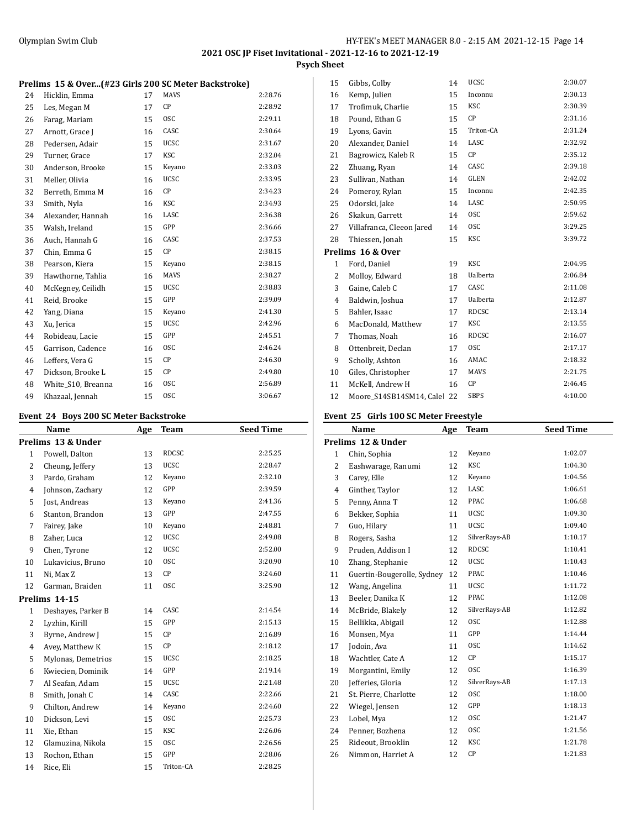**Psych Sheet**

|  |  |  |  | Prelims 15 & Over(#23 Girls 200 SC Meter Backstroke) |
|--|--|--|--|------------------------------------------------------|
|--|--|--|--|------------------------------------------------------|

| 24 | Hicklin, Emma      | 17 | <b>MAVS</b> | 2:28.76 |
|----|--------------------|----|-------------|---------|
| 25 | Les, Megan M       | 17 | CP          | 2:28.92 |
| 26 | Farag, Mariam      | 15 | <b>OSC</b>  | 2:29.11 |
| 27 | Arnott, Grace J    | 16 | CASC        | 2:30.64 |
| 28 | Pedersen, Adair    | 15 | <b>UCSC</b> | 2:31.67 |
| 29 | Turner, Grace      | 17 | KSC         | 2:32.04 |
| 30 | Anderson, Brooke   | 15 | Keyano      | 2:33.03 |
| 31 | Meller, Olivia     | 16 | <b>UCSC</b> | 2:33.95 |
| 32 | Berreth, Emma M    | 16 | CP          | 2:34.23 |
| 33 | Smith, Nyla        | 16 | <b>KSC</b>  | 2:34.93 |
| 34 | Alexander, Hannah  | 16 | LASC        | 2:36.38 |
| 35 | Walsh, Ireland     | 15 | GPP         | 2:36.66 |
| 36 | Auch, Hannah G     | 16 | CASC        | 2:37.53 |
| 37 | Chin, Emma G       | 15 | CP          | 2:38.15 |
| 38 | Pearson, Kiera     | 15 | Keyano      | 2:38.15 |
| 39 | Hawthorne, Tahlia  | 16 | MAVS        | 2:38.27 |
| 40 | McKegney, Ceilidh  | 15 | <b>UCSC</b> | 2:38.83 |
| 41 | Reid, Brooke       | 15 | GPP         | 2:39.09 |
| 42 | Yang, Diana        | 15 | Keyano      | 2:41.30 |
| 43 | Xu, Jerica         | 15 | <b>UCSC</b> | 2:42.96 |
| 44 | Robideau, Lacie    | 15 | GPP         | 2:45.51 |
| 45 | Garrison, Cadence  | 16 | <b>OSC</b>  | 2:46.24 |
| 46 | Leffers, Vera G    | 15 | СP          | 2:46.30 |
| 47 | Dickson, Brooke L  | 15 | CP          | 2:49.80 |
| 48 | White_S10, Breanna | 16 | <b>OSC</b>  | 2:56.89 |
| 49 | Khazaal, Jennah    | 15 | <b>OSC</b>  | 3:06.67 |

## **Event 24 Boys 200 SC Meter Backstroke**

| Name               | Age | <b>Team</b>  | <b>Seed Time</b> |
|--------------------|-----|--------------|------------------|
| Prelims 13 & Under |     |              |                  |
| Powell, Dalton     | 13  | <b>RDCSC</b> | 2:25.25          |
| Cheung, Jeffery    | 13  | <b>UCSC</b>  | 2:28.47          |
| Pardo, Graham      | 12  | Keyano       | 2:32.10          |
| Johnson, Zachary   | 12  | GPP          | 2:39.59          |
| Jost, Andreas      | 13  | Keyano       | 2:41.36          |
| Stanton, Brandon   | 13  | GPP          | 2:47.55          |
| Fairey, Jake       | 10  | Keyano       | 2:48.81          |
| Zaher, Luca        | 12  | <b>UCSC</b>  | 2:49.08          |
| Chen, Tyrone       | 12  | <b>UCSC</b>  | 2:52.00          |
| Lukavicius, Bruno  | 10  | <b>OSC</b>   | 3:20.90          |
| Ni, Max Z          | 13  | CP           | 3:24.60          |
| Garman, Braiden    | 11  | <b>OSC</b>   | 3:25.90          |
| Prelims 14-15      |     |              |                  |
| Deshayes, Parker B | 14  | CASC         | 2:14.54          |
| Lyzhin, Kirill     | 15  | GPP          | 2:15.13          |
| Byrne, Andrew J    | 15  | CP           | 2:16.89          |
| Avey, Matthew K    | 15  | CP           | 2:18.12          |
| Mylonas, Demetrios | 15  | <b>UCSC</b>  | 2:18.25          |
| Kwiecien, Dominik  | 14  | GPP          | 2:19.14          |
| Al Seafan, Adam    | 15  | <b>UCSC</b>  | 2:21.48          |
| Smith, Jonah C     | 14  | CASC         | 2:22.66          |
| Chilton, Andrew    | 14  | Keyano       | 2:24.60          |
| Dickson, Levi      | 15  | <b>OSC</b>   | 2:25.73          |
| Xie, Ethan         | 15  | <b>KSC</b>   | 2:26.06          |
| Glamuzina, Nikola  | 15  | <b>OSC</b>   | 2:26.56          |
| Rochon, Ethan      | 15  | GPP          | 2:28.06          |
| Rice, Eli          | 15  | Triton-CA    | 2:28.25          |
|                    |     |              |                  |

| 15           | Gibbs, Colby               | 14 | <b>UCSC</b>     | 2:30.07 |
|--------------|----------------------------|----|-----------------|---------|
| 16           | Kemp, Julien               | 15 | Inconnu         | 2:30.13 |
| 17           | Trofimuk, Charlie          | 15 | KSC             | 2:30.39 |
| 18           | Pound, Ethan G             | 15 | СP              | 2:31.16 |
| 19           | Lyons, Gavin               | 15 | Triton-CA       | 2:31.24 |
| 20           | Alexander, Daniel          | 14 | LASC            | 2:32.92 |
| 21           | Bagrowicz, Kaleb R         | 15 | СP              | 2:35.12 |
| 22           | Zhuang, Ryan               | 14 | CASC            | 2:39.18 |
| 23           | Sullivan, Nathan           | 14 | <b>GLEN</b>     | 2:42.02 |
| 24           | Pomeroy, Rylan             | 15 | Inconnu         | 2:42.35 |
| 25           | Odorski, Jake              | 14 | LASC            | 2:50.95 |
| 26           | Skakun, Garrett            | 14 | <b>OSC</b>      | 2:59.62 |
| 27           | Villafranca, Cleeon Jared  | 14 | <b>OSC</b>      | 3:29.25 |
| 28           | Thiessen, Jonah            | 15 | <b>KSC</b>      | 3:39.72 |
|              | Prelims 16 & Over          |    |                 |         |
| $\mathbf{1}$ | Ford, Daniel               | 19 | <b>KSC</b>      | 2:04.95 |
| 2            | Molloy, Edward             | 18 | <b>Ualberta</b> | 2:06.84 |
| 3            | Gaine, Caleb C             | 17 | CASC            | 2:11.08 |
| 4            | Baldwin, Joshua            | 17 | <b>Ualberta</b> | 2:12.87 |
| 5            | Bahler, Isaac              | 17 | <b>RDCSC</b>    | 2:13.14 |
| 6            | MacDonald, Matthew         | 17 | <b>KSC</b>      | 2:13.55 |
| 7            | Thomas, Noah               | 16 | <b>RDCSC</b>    | 2:16.07 |
| 8            | Ottenbreit, Declan         | 17 | <b>OSC</b>      | 2:17.17 |
| 9            | Scholly, Ashton            | 16 | AMAC            | 2:18.32 |
| 10           | Giles, Christopher         | 17 | <b>MAVS</b>     | 2:21.75 |
| 11           | McKell, Andrew H           | 16 | <b>CP</b>       | 2:46.45 |
| 12           | Moore S14SB14SM14, Cale 22 |    | <b>SBPS</b>     | 4:10.00 |
|              |                            |    |                 |         |

## **Event 25 Girls 100 SC Meter Freestyle**

| Name                  | Age | Team                       | <b>Seed Time</b> |
|-----------------------|-----|----------------------------|------------------|
| Prelims 12 & Under    |     |                            |                  |
| Chin, Sophia          | 12  | Keyano                     | 1:02.07          |
| Eashwarage, Ranumi    | 12  | <b>KSC</b>                 | 1:04.30          |
| Carey, Elle           | 12  | Keyano                     | 1:04.56          |
| Ginther, Taylor       | 12  | LASC                       | 1:06.61          |
| Penny, Anna T         | 12  | PPAC                       | 1:06.68          |
| Bekker, Sophia        | 11  | UCSC                       | 1:09.30          |
| Guo, Hilary           | 11  | UCSC                       | 1:09.40          |
| Rogers, Sasha         | 12  | SilverRays-AB              | 1:10.17          |
| Pruden, Addison I     | 12  | <b>RDCSC</b>               | 1:10.41          |
| Zhang, Stephanie      | 12  | <b>UCSC</b>                | 1:10.43          |
|                       | 12  | PPAC                       | 1:10.46          |
| Wang, Angelina        | 11  | UCSC                       | 1:11.72          |
| Beeler, Danika K      | 12  | PPAC                       | 1:12.08          |
| McBride, Blakely      | 12  | SilverRays-AB              | 1:12.82          |
| Bellikka, Abigail     | 12  | <b>OSC</b>                 | 1:12.88          |
| Monsen, Mya           | 11  | GPP                        | 1:14.44          |
| Jodoin, Ava           | 11  | <b>OSC</b>                 | 1:14.62          |
| Wachtler, Cate A      | 12  | CP                         | 1:15.17          |
| Morgantini, Emily     | 12  | <b>OSC</b>                 | 1:16.39          |
| Jefferies, Gloria     | 12  | SilverRays-AB              | 1:17.13          |
| St. Pierre, Charlotte | 12  | <b>OSC</b>                 | 1:18.00          |
| Wiegel, Jensen        | 12  | GPP                        | 1:18.13          |
| Lobel, Mya            | 12  | <b>OSC</b>                 | 1:21.47          |
| Penner, Bozhena       | 12  | <b>OSC</b>                 | 1:21.56          |
| Rideout, Brooklin     | 12  | <b>KSC</b>                 | 1:21.78          |
| Nimmon, Harriet A     | 12  | CP                         | 1:21.83          |
|                       |     | Guertin-Bougerolle, Sydney |                  |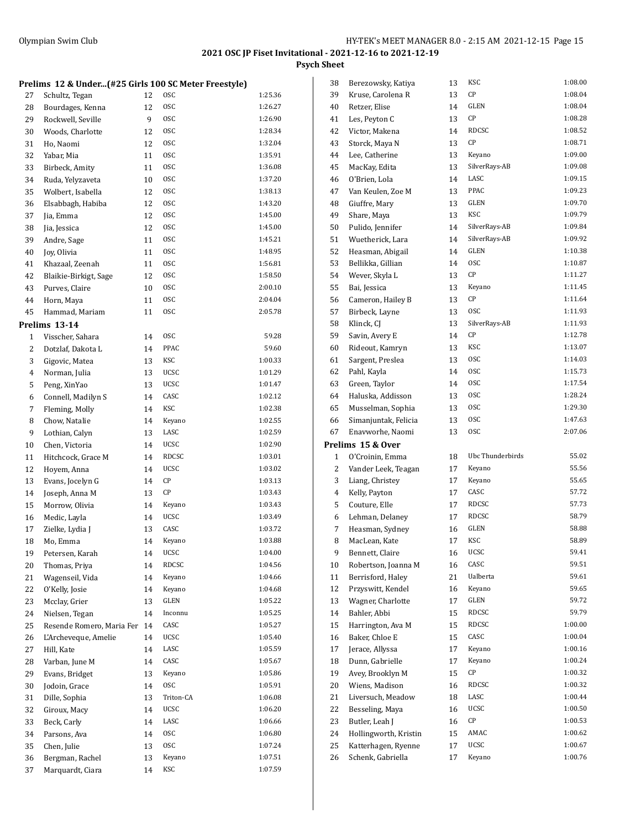**Psych Sheet**

|    | Prelims 12 & Under(#25 Girls 100 SC Meter Freestyle) |    |             |         |
|----|------------------------------------------------------|----|-------------|---------|
| 27 | Schultz, Tegan                                       | 12 | 0SC         | 1:25.36 |
| 28 | Bourdages, Kenna                                     | 12 | 0SC         | 1:26.27 |
| 29 | Rockwell, Seville                                    | 9  | 0SC         | 1:26.90 |
| 30 | Woods, Charlotte                                     | 12 | 0SC         | 1:28.34 |
| 31 | Ho, Naomi                                            | 12 | 0SC         | 1:32.04 |
| 32 | Yabar, Mia                                           | 11 | <b>OSC</b>  | 1:35.91 |
| 33 | Birbeck, Amity                                       | 11 | 0SC         | 1:36.08 |
| 34 | Ruda, Yelyzaveta                                     | 10 | 0SC         | 1:37.20 |
| 35 | Wolbert, Isabella                                    | 12 | 0SC         | 1:38.13 |
| 36 | Elsabbagh, Habiba                                    | 12 | 0SC         | 1:43.20 |
| 37 | Jia, Emma                                            | 12 | 0SC         | 1:45.00 |
| 38 | Jia, Jessica                                         | 12 | 0SC         | 1:45.00 |
| 39 | Andre, Sage                                          | 11 | 0SC         | 1:45.21 |
| 40 | Joy, Olivia                                          | 11 | 0SC         | 1:48.95 |
| 41 | Khazaal, Zeenah                                      | 11 | 0SC         | 1:56.81 |
| 42 | Blaikie-Birkigt, Sage                                | 12 | 0SC         | 1:58.50 |
| 43 | Purves, Claire                                       | 10 | 0SC         | 2:00.10 |
| 44 | Horn, Maya                                           | 11 | <b>OSC</b>  | 2:04.04 |
| 45 | Hammad, Mariam                                       | 11 | 0SC         | 2:05.78 |
|    | Prelims 13-14                                        |    |             |         |
| 1  | Visscher, Sahara                                     | 14 | <b>OSC</b>  | 59.28   |
| 2  | Dotzlaf, Dakota L                                    | 14 | PPAC        | 59.60   |
| 3  | Gigovic, Matea                                       | 13 | KSC         | 1:00.33 |
| 4  | Norman, Julia                                        | 13 | <b>UCSC</b> | 1:01.29 |
| 5  | Peng, XinYao                                         | 13 | <b>UCSC</b> | 1:01.47 |
| 6  | Connell, Madilyn S                                   | 14 | CASC        | 1:02.12 |
| 7  | Fleming, Molly                                       | 14 | KSC         | 1:02.38 |
| 8  | Chow, Natalie                                        | 14 | Keyano      | 1:02.55 |
| 9  | Lothian, Calyn                                       | 13 | LASC        | 1:02.59 |
| 10 | Chen, Victoria                                       | 14 | <b>UCSC</b> | 1:02.90 |
| 11 | Hitchcock, Grace M                                   | 14 | RDCSC       | 1:03.01 |
| 12 | Hoyem, Anna                                          | 14 | <b>UCSC</b> | 1:03.02 |
| 13 | Evans, Jocelyn G                                     | 14 | СP          | 1:03.13 |
| 14 | Joseph, Anna M                                       | 13 | СP          | 1:03.43 |
| 15 | Morrow, Olivia                                       | 14 | Keyano      | 1:03.43 |
| 16 | Medic, Layla                                         | 14 | <b>UCSC</b> | 1:03.49 |
| 17 | Zielke, Lydia J                                      | 13 | CASC        | 1:03.72 |
| 18 | Mo, Emma                                             | 14 | Keyano      | 1:03.88 |
| 19 | Petersen, Karah                                      | 14 | UCSC        | 1:04.00 |
| 20 | Thomas, Priva                                        | 14 | RDCSC       | 1:04.56 |
| 21 | Wagenseil, Vida                                      | 14 | Keyano      | 1:04.66 |
| 22 | O'Kelly, Josie                                       | 14 | Keyano      | 1:04.68 |
| 23 | Mcclay, Grier                                        | 13 | GLEN        | 1:05.22 |
| 24 | Nielsen, Tegan                                       | 14 | Inconnu     | 1:05.25 |
| 25 | Resende Romero, Maria Fer                            | 14 | CASC        | 1:05.27 |
| 26 | L'Archeveque, Amelie                                 | 14 | UCSC        | 1:05.40 |
| 27 | Hill, Kate                                           | 14 | LASC        | 1:05.59 |
| 28 | Varban, June M                                       | 14 | CASC        | 1:05.67 |
| 29 | Evans, Bridget                                       | 13 | Keyano      | 1:05.86 |
| 30 | Jodoin, Grace                                        | 14 | 0SC         | 1:05.91 |
| 31 | Dille, Sophia                                        | 13 | Triton-CA   | 1:06.08 |
| 32 | Giroux, Macy                                         | 14 | UCSC        | 1:06.20 |
| 33 | Beck, Carly                                          | 14 | LASC        | 1:06.66 |
| 34 | Parsons, Ava                                         | 14 | 0SC         | 1:06.80 |
| 35 | Chen, Julie                                          | 13 | 0SC         | 1:07.24 |
| 36 | Bergman, Rachel                                      | 13 | Keyano      | 1:07.51 |
| 37 | Marquardt, Ciara                                     | 14 | KSC         | 1:07.59 |

| 38 | Berezowsky, Katiya                        | 13 | KSC              | 1:08.00 |
|----|-------------------------------------------|----|------------------|---------|
| 39 | Kruse, Carolena R                         | 13 | СP               | 1:08.04 |
| 40 | Retzer, Elise                             | 14 | <b>GLEN</b>      | 1:08.04 |
| 41 | Les, Peyton C                             | 13 | CР               | 1:08.28 |
| 42 | Victor, Makena                            | 14 | <b>RDCSC</b>     | 1:08.52 |
| 43 | Storck, Maya N                            | 13 | СP               | 1:08.71 |
| 44 | Lee, Catherine                            | 13 | Keyano           | 1:09.00 |
| 45 | MacKay, Edita                             | 13 | SilverRays-AB    | 1:09.08 |
| 46 | O'Brien, Lola                             | 14 | LASC             | 1:09.15 |
| 47 | Van Keulen, Zoe M                         | 13 | PPAC             | 1:09.23 |
| 48 | Giuffre, Mary                             | 13 | GLEN             | 1:09.70 |
| 49 | Share, Maya                               | 13 | <b>KSC</b>       | 1:09.79 |
| 50 | Pulido, Jennifer                          | 14 | SilverRays-AB    | 1:09.84 |
| 51 | Wuetherick, Lara                          | 14 | SilverRays-AB    | 1:09.92 |
| 52 | Heasman, Abigail                          | 14 | <b>GLEN</b>      | 1:10.38 |
| 53 | Bellikka, Gillian                         | 14 | 0SC              | 1:10.87 |
| 54 | Wever, Skyla L                            | 13 | CP               | 1:11.27 |
| 55 | Bai, Jessica                              | 13 | Keyano           | 1:11.45 |
| 56 | Cameron, Hailey B                         | 13 | СP               | 1:11.64 |
| 57 | Birbeck, Layne                            | 13 | <b>OSC</b>       | 1:11.93 |
| 58 | Klinck, CJ                                | 13 | SilverRays-AB    | 1:11.93 |
| 59 | Savin, Avery E                            | 14 | CР               | 1:12.78 |
| 60 | Rideout, Kamryn                           | 13 | <b>KSC</b>       | 1:13.07 |
| 61 | Sargent, Preslea                          | 13 | <b>OSC</b>       | 1:14.03 |
| 62 | Pahl, Kayla                               | 14 | <b>OSC</b>       | 1:15.73 |
| 63 | Green, Taylor                             | 14 | <b>OSC</b>       | 1:17.54 |
| 64 | Haluska, Addisson                         | 13 | 0SC              | 1:28.24 |
| 65 |                                           | 13 | 0SC              | 1:29.30 |
|    | Musselman, Sophia<br>Simanjuntak, Felicia |    | 0SC              | 1:47.63 |
| 66 |                                           | 13 | 0SC              | 2:07.06 |
| 67 | Enavworhe, Naomi                          | 13 |                  |         |
|    | Prelims 15 & Over                         |    |                  |         |
| 1  | O'Croinin, Emma                           | 18 | Ubc Thunderbirds | 55.02   |
| 2  | Vander Leek, Teagan                       | 17 | Keyano           | 55.56   |
| 3  | Liang, Christey                           | 17 | Keyano           | 55.65   |
| 4  | Kelly, Payton                             | 17 | CASC             | 57.72   |
| 5  | Couture, Elle                             | 17 | RDCSC            | 57.73   |
| 6  | Lehman, Delaney                           | 17 | RDCSC            | 58.79   |
| 7  | Heasman, Sydney                           | 16 | GLEN             | 58.88   |
| 8  | MacLean, Kate                             | 17 | <b>KSC</b>       | 58.89   |
| 9  | Bennett, Claire                           | 16 | UCSC             | 59.41   |
| 10 | Robertson, Joanna M                       | 16 | CASC             | 59.51   |
| 11 | Berrisford, Haley                         | 21 | Ualberta         | 59.61   |
| 12 | Przyswitt, Kendel                         | 16 | Keyano           | 59.65   |
| 13 | Wagner, Charlotte                         | 17 | GLEN             | 59.72   |
| 14 | Bahler, Abbi                              | 15 | RDCSC            | 59.79   |
| 15 | Harrington, Ava M                         | 15 | RDCSC            | 1:00.00 |
| 16 | Baker, Chloe E                            | 15 | CASC             | 1:00.04 |
| 17 | Jerace, Allyssa                           | 17 | Keyano           | 1:00.16 |
| 18 | Dunn, Gabrielle                           | 17 | Keyano           | 1:00.24 |
| 19 | Avey, Brooklyn M                          | 15 | СP               | 1:00.32 |
| 20 | Wiens, Madison                            | 16 | <b>RDCSC</b>     | 1:00.32 |
| 21 | Liversuch, Meadow                         | 18 | LASC             | 1:00.44 |
| 22 | Besseling, Maya                           | 16 | UCSC             | 1:00.50 |
| 23 | Butler, Leah J                            | 16 | СP               | 1:00.53 |
| 24 | Hollingworth, Kristin                     | 15 | AMAC             | 1:00.62 |
| 25 | Katterhagen, Ryenne                       | 17 | UCSC             | 1:00.67 |
| 26 | Schenk, Gabriella                         | 17 | Keyano           | 1:00.76 |
|    |                                           |    |                  |         |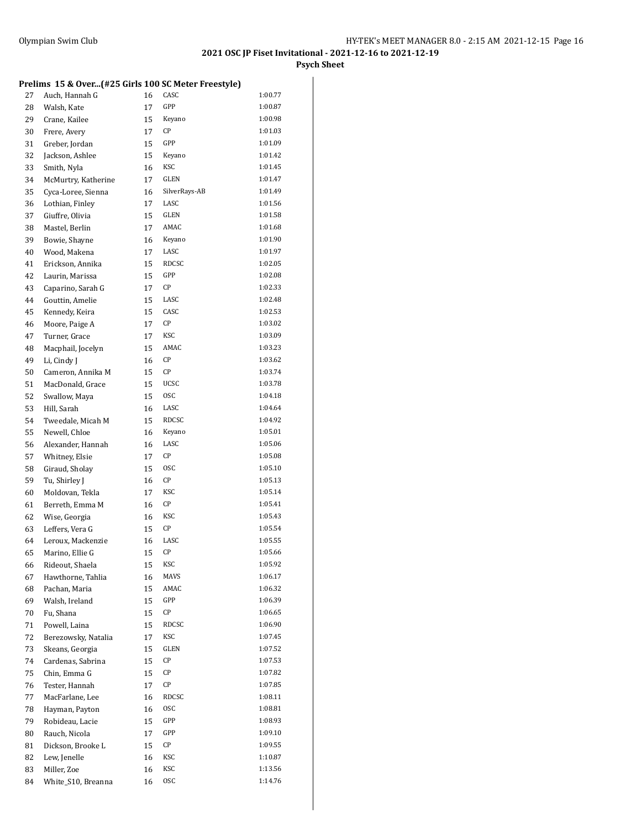**Psych Sheet**

## **Prelims 15 & Over...(#25 Girls 100 SC Meter Freestyle)**

| 27       | Auch, Hannah G      | 16 | CASC          | 1:00.77            |
|----------|---------------------|----|---------------|--------------------|
| 28       | Walsh, Kate         | 17 | GPP           | 1:00.87            |
| 29       | Crane, Kailee       | 15 | Keyano        | 1:00.98            |
| 30       | Frere, Avery        | 17 | СP            | 1:01.03            |
| 31       | Greber, Jordan      | 15 | GPP           | 1:01.09            |
| 32       | Jackson, Ashlee     | 15 | Keyano        | 1:01.42            |
| 33       | Smith, Nyla         | 16 | KSC           | 1:01.45            |
| 34       | McMurtry, Katherine | 17 | GLEN          | 1:01.47            |
| 35       | Cyca-Loree, Sienna  | 16 | SilverRays-AB | 1:01.49            |
| 36       | Lothian, Finley     | 17 | LASC          | 1:01.56            |
| 37       | Giuffre, Olivia     | 15 | GLEN          | 1:01.58            |
| 38       | Mastel, Berlin      | 17 | AMAC          | 1:01.68            |
| 39       | Bowie, Shayne       | 16 | Keyano        | 1:01.90            |
| 40       | Wood, Makena        | 17 | LASC          | 1:01.97            |
| 41       | Erickson, Annika    | 15 | <b>RDCSC</b>  | 1:02.05            |
| 42       | Laurin, Marissa     | 15 | GPP           | 1:02.08            |
| 43       | Caparino, Sarah G   | 17 | CP            | 1:02.33            |
| 44       | Gouttin, Amelie     | 15 | LASC          | 1:02.48            |
| 45       | Kennedy, Keira      | 15 | CASC          | 1:02.53            |
| 46       | Moore, Paige A      | 17 | СP            | 1:03.02            |
| 47       | Turner, Grace       | 17 | KSC           | 1:03.09            |
| 48       | Macphail, Jocelyn   | 15 | AMAC          | 1:03.23            |
| 49       | Li, Cindy J         | 16 | CP            | 1:03.62            |
| 50       | Cameron, Annika M   | 15 | СP            | 1:03.74            |
| 51       | MacDonald, Grace    | 15 | <b>UCSC</b>   | 1:03.78            |
| 52       | Swallow, Maya       | 15 | <b>OSC</b>    | 1:04.18            |
| 53       | Hill, Sarah         | 16 | LASC          | 1:04.64            |
| 54       | Tweedale, Micah M   | 15 | RDCSC         | 1:04.92            |
| 55       | Newell, Chloe       | 16 | Keyano        | 1:05.01            |
| 56       | Alexander, Hannah   | 16 | LASC          | 1:05.06            |
| 57       | Whitney, Elsie      | 17 | СP            | 1:05.08            |
| 58       | Giraud, Sholay      | 15 | 0SC           | 1:05.10            |
| 59       | Tu, Shirley J       | 16 | СP            | 1:05.13            |
| 60       | Moldovan, Tekla     | 17 | KSC           | 1:05.14            |
| 61       | Berreth, Emma M     | 16 | СP            | 1:05.41            |
| 62       | Wise, Georgia       | 16 | KSC           | 1:05.43            |
| 63       | Leffers, Vera G     | 15 | СP            | 1:05.54            |
| 64       | Leroux, Mackenzie   | 16 | LASC          | 1:05.55            |
| 65       | Marino, Ellie G     | 15 | СP            | 1:05.66            |
| 66       | Rideout, Shaela     | 15 | KSC           | 1:05.92            |
| 67       | Hawthorne, Tahlia   | 16 | MAVS          | 1:06.17            |
| 68       | Pachan, Maria       | 15 | AMAC          | 1:06.32            |
| 69       | Walsh, Ireland      | 15 | GPP           | 1:06.39            |
| 70       | Fu, Shana           | 15 | СP            | 1:06.65            |
| 71       | Powell, Laina       | 15 | RDCSC         | 1:06.90            |
| 72       | Berezowsky, Natalia | 17 | KSC           | 1:07.45            |
| 73       | Skeans, Georgia     | 15 | GLEN          | 1:07.52            |
| 74       | Cardenas, Sabrina   | 15 | СP            | 1:07.53            |
| 75       | Chin, Emma G        | 15 | CР            | 1:07.82            |
| 76       | Tester, Hannah      | 17 | CР            | 1:07.85            |
| 77       |                     |    | RDCSC         | 1:08.11            |
|          | MacFarlane, Lee     | 16 | 0SC           | 1:08.81            |
| 78<br>79 | Hayman, Payton      | 16 | GPP           | 1:08.93            |
|          | Robideau, Lacie     | 15 | GPP           | 1:09.10            |
| 80       | Rauch, Nicola       | 17 | CP            | 1:09.55            |
| 81       | Dickson, Brooke L   | 15 | KSC           |                    |
| 82       | Lew, Jenelle        | 16 | KSC           | 1:10.87<br>1:13.56 |
| 83       | Miller, Zoe         | 16 |               |                    |
| 84       | White_S10, Breanna  | 16 | 0SC           | 1:14.76            |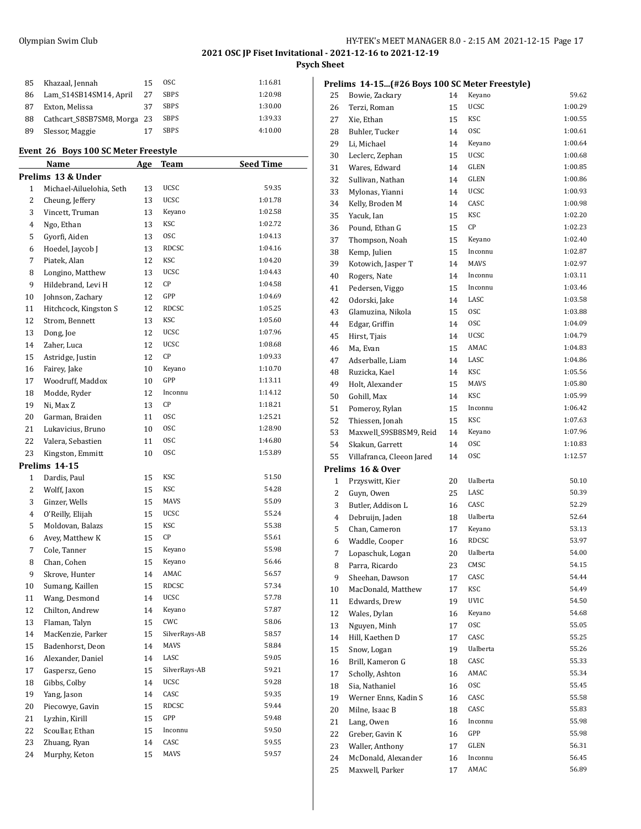**Prelims 14-15...(#26 Boys 100 SC Meter Freestyle)**

## **2021 OSC JP Fiset Invitational - 2021-12-16 to 2021-12-19**

**Psych Sheet**

| 85 | Khazaal, Jennah             | 15 | OSC.        | 1:16.81 |
|----|-----------------------------|----|-------------|---------|
| 86 | Lam S14SB14SM14, April      | 27 | <b>SBPS</b> | 1:20.98 |
| 87 | Exton, Melissa              | 37 | <b>SBPS</b> | 1:30.00 |
| 88 | Cathcart S8SB7SM8, Morga 23 |    | <b>SBPS</b> | 1:39.33 |
| 89 | Slessor, Maggie             |    | <b>SBPS</b> | 4:10.00 |
|    |                             |    |             |         |

## **Event 26 Boys 100 SC Meter Freestyle**

|              | <b>Name</b>              | <u>Age</u> | <u>Team</u>   | <b>Seed Time</b> |
|--------------|--------------------------|------------|---------------|------------------|
|              | Prelims 13 & Under       |            |               |                  |
| $\mathbf{1}$ | Michael-Ailuelohia, Seth | 13         | UCSC          | 59.35            |
| 2            | Cheung, Jeffery          | 13         | UCSC          | 1:01.78          |
| 3            | Vincett, Truman          | 13         | Keyano        | 1:02.58          |
| 4            | Ngo, Ethan               | 13         | <b>KSC</b>    | 1:02.72          |
| 5            | Gyorfi, Aiden            | 13         | <b>OSC</b>    | 1:04.13          |
| 6            | Hoedel, Jaycob J         | 13         | RDCSC         | 1:04.16          |
| 7            | Piatek, Alan             | 12         | KSC           | 1:04.20          |
| 8            | Longino, Matthew         | 13         | UCSC          | 1:04.43          |
| 9            | Hildebrand, Levi H       | 12         | CP            | 1:04.58          |
| 10           | Johnson, Zachary         | 12         | GPP           | 1:04.69          |
| 11           | Hitchcock, Kingston S    | 12         | RDCSC         | 1:05.25          |
| 12           | Strom, Bennett           | 13         | KSC           | 1:05.60          |
| 13           | Dong, Joe                | 12         | UCSC          | 1:07.96          |
| 14           | Zaher, Luca              | 12         | UCSC          | 1:08.68          |
| 15           | Astridge, Justin         | 12         | СP            | 1:09.33          |
| 16           | Fairey, Jake             | 10         | Keyano        | 1:10.70          |
| 17           | Woodruff, Maddox         | 10         | GPP           | 1:13.11          |
| 18           | Modde, Ryder             | 12         | Inconnu       | 1:14.12          |
| 19           | Ni, Max Z                | 13         | CP            | 1:18.21          |
| 20           | Garman, Braiden          | 11         | <b>OSC</b>    | 1:25.21          |
| 21           | Lukavicius, Bruno        | 10         | <b>OSC</b>    | 1:28.90          |
| 22           | Valera, Sebastien        | 11         | <b>OSC</b>    | 1:46.80          |
| 23           | Kingston, Emmitt         | 10         | <b>OSC</b>    | 1:53.89          |
|              | Prelims 14-15            |            |               |                  |
| $\mathbf{1}$ | Dardis, Paul             | 15         | KSC           | 51.50            |
| 2            | Wolff, Jaxon             | 15         | KSC           | 54.28            |
| 3            | Ginzer, Wells            | 15         | MAVS          | 55.09            |
| 4            | O'Reilly, Elijah         | 15         | UCSC          | 55.24            |
| 5            | Moldovan, Balazs         | 15         | KSC           | 55.38            |
| 6            | Avey, Matthew K          | 15         | СP            | 55.61            |
| 7            | Cole, Tanner             | 15         | Keyano        | 55.98            |
| 8            | Chan, Cohen              | 15         | Keyano        | 56.46            |
| 9            | Skrove, Hunter           | 14         | AMAC          | 56.57            |
| 10           | Sumang, Kaillen          | 15         | RDCSC         | 57.34            |
| 11           | Wang, Desmond            | 14         | UCSC          | 57.78            |
| 12           | Chilton, Andrew          | 14         | Keyano        | 57.87            |
| 13           | Flaman, Talyn            | 15         | CWC           | 58.06            |
| 14           | MacKenzie, Parker        | 15         | SilverRays-AB | 58.57            |
| 15           | Badenhorst, Deon         | 14         | MAVS          | 58.84            |
| 16           | Alexander, Daniel        | 14         | LASC          | 59.05            |
| 17           | Gaspersz, Geno           | 15         | SilverRays-AB | 59.21            |
| 18           | Gibbs, Colby             | 14         | UCSC          | 59.28            |
| 19           | Yang, Jason              | 14         | CASC          | 59.35            |
| 20           | Piecowye, Gavin          | 15         | RDCSC         | 59.44            |
| 21           | Lyzhin, Kirill           | 15         | GPP           | 59.48            |
| 22           | Scoullar, Ethan          | 15         | Inconnu       | 59.50            |
| 23           | Zhuang, Ryan             | 14         | CASC          | 59.55            |
| 24           | Murphy, Keton            | 15         | MAVS          | 59.57            |
|              |                          |            |               |                  |

| 25       | Bowie, Zackary                                 | 14       | Keyano                 | 59.62          |
|----------|------------------------------------------------|----------|------------------------|----------------|
| 26       | Terzi, Roman                                   | 15       | <b>UCSC</b>            | 1:00.29        |
| 27       | Xie, Ethan                                     | 15       | KSC                    | 1:00.55        |
| 28       | Buhler, Tucker                                 | 14       | 0SC                    | 1:00.61        |
| 29       | Li, Michael                                    | 14       | Keyano                 | 1:00.64        |
| 30       | Leclerc, Zephan                                | 15       | <b>UCSC</b>            | 1:00.68        |
| 31       | Wares, Edward                                  | 14       | GLEN                   | 1:00.85        |
| 32       | Sullivan, Nathan                               | 14       | GLEN                   | 1:00.86        |
| 33       | Mylonas, Yianni                                | 14       | UCSC                   | 1:00.93        |
| 34       | Kelly, Broden M                                | 14       | CASC                   | 1:00.98        |
| 35       | Yacuk, Ian                                     | 15       | KSC                    | 1:02.20        |
| 36       | Pound, Ethan G                                 | 15       | СP                     | 1:02.23        |
| 37       | Thompson, Noah                                 | 15       | Keyano                 | 1:02.40        |
| 38       | Kemp, Julien                                   | 15       | Inconnu                | 1:02.87        |
| 39       | Kotowich, Jasper T                             | 14       | <b>MAVS</b>            | 1:02.97        |
| 40       | Rogers, Nate                                   | 14       | Inconnu                | 1:03.11        |
| 41       | Pedersen, Viggo                                | 15       | Inconnu                | 1:03.46        |
| 42       | Odorski, Jake                                  | 14       | LASC                   | 1:03.58        |
| 43       | Glamuzina, Nikola                              | 15       | 0SC                    | 1:03.88        |
| 44       | Edgar, Griffin                                 | 14       | 0SC                    | 1:04.09        |
| 45       | Hirst, Tjais                                   | 14       | <b>UCSC</b>            | 1:04.79        |
| 46       | Ma, Evan                                       | 15       | AMAC                   | 1:04.83        |
| 47       | Adserballe, Liam                               | 14       | LASC                   | 1:04.86        |
| 48       | Ruzicka, Kael                                  | 14       | <b>KSC</b>             | 1:05.56        |
| 49       | Holt, Alexander                                | 15       | <b>MAVS</b>            | 1:05.80        |
| 50       | Gohill, Max                                    | 14       | KSC                    | 1:05.99        |
| 51       | Pomeroy, Rylan                                 | 15       | Inconnu                | 1:06.42        |
|          | Thiessen, Jonah                                | 15       | KSC                    | 1:07.63        |
| 52<br>53 | Maxwell_S9SB8SM9, Reid                         | 14       | Keyano                 | 1:07.96        |
| 54       |                                                |          | 0SC                    | 1:10.83        |
|          | Skakun, Garrett                                | 14       | 0SC                    | 1:12.57        |
| 55       | Villafranca, Cleeon Jared<br>Prelims 16 & Over | 14       |                        |                |
|          |                                                | 20       | Ualberta               | 50.10          |
| 1<br>2   | Przyswitt, Kier                                |          | LASC                   | 50.39          |
|          | Guyn, Owen                                     | 25       | CASC                   | 52.29          |
| 3        | Butler, Addison L                              | 16       | Ualberta               | 52.64          |
| 4        | Debruijn, Jaden                                | 18       |                        |                |
| 5        | Chan, Cameron                                  | 17       | Keyano<br><b>RDCSC</b> | 53.13          |
| 6        | Waddle, Cooper                                 | 16       |                        | 53.97          |
| 7        | Lopaschuk, Logan                               | 20       | Ualberta               | 54.00          |
| 8        | Parra, Ricardo                                 | 23       | CMSC                   | 54.15          |
| 9        | Sheehan, Dawson                                | 17       | CASC                   | 54.44<br>54.49 |
| 10       | MacDonald, Matthew                             | 17       | KSC                    |                |
| 11       | Edwards, Drew                                  | 19       | UVIC                   | 54.50          |
| 12       | Wales, Dylan                                   | 16       | Keyano                 | 54.68          |
| 13       | Nguyen, Minh                                   | 17       | 0SC<br>CASC            | 55.05          |
| 14       | Hill, Kaethen D                                | 17       |                        | 55.25          |
| 15       | Snow, Logan                                    | 19       | Ualberta               | 55.26          |
| 16       | Brill, Kameron G                               | 18       | CASC                   | 55.33          |
| 17       | Scholly, Ashton                                | 16       | AMAC                   | 55.34          |
| 18       | Sia, Nathaniel                                 | 16       | 0SC                    | 55.45          |
| 19       | Werner Enns, Kadin S                           | 16       | CASC                   | 55.58          |
| 20       | Milne, Isaac B                                 | 18       | CASC                   | 55.83          |
| 21       | Lang, Owen                                     | 16       | Inconnu                | 55.98          |
| 22       | Greber, Gavin K                                | 16       | GPP                    | 55.98          |
| 23       |                                                |          | GLEN                   | 56.31          |
|          | Waller, Anthony                                | 17       |                        |                |
| 24<br>25 | McDonald, Alexander<br>Maxwell, Parker         | 16<br>17 | Inconnu<br>AMAC        | 56.45<br>56.89 |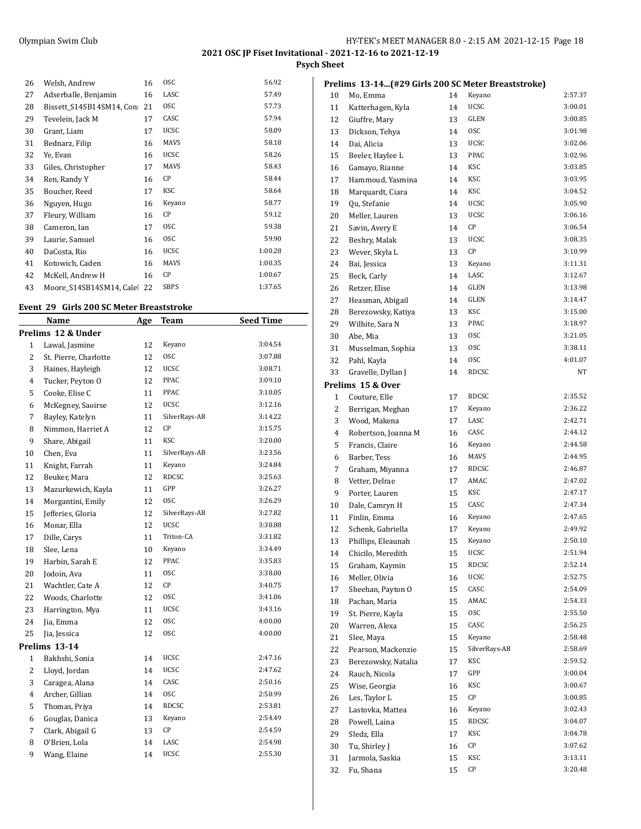**Psych Sheet**

| 26 | Welsh, Andrew            | 16 | <b>OSC</b>  | 56.92   |
|----|--------------------------|----|-------------|---------|
|    |                          |    |             |         |
| 27 | Adserballe, Benjamin     | 16 | LASC        | 57.49   |
| 28 | Bissett S14SB14SM14, Con | 21 | <b>OSC</b>  | 57.73   |
| 29 | Tevelein, Jack M         | 17 | CASC        | 57.94   |
| 30 | Grant, Liam              | 17 | <b>UCSC</b> | 58.09   |
| 31 | Bednarz, Filip           | 16 | MAVS        | 58.18   |
| 32 | Ye, Evan                 | 16 | <b>UCSC</b> | 58.26   |
| 33 | Giles, Christopher       | 17 | MAVS        | 58.43   |
| 34 | Ren, Randy Y             | 16 | СP          | 58.44   |
| 35 | Boucher, Reed            | 17 | KSC         | 58.64   |
| 36 | Nguyen, Hugo             | 16 | Keyano      | 58.77   |
| 37 | Fleury, William          | 16 | СP          | 59.12   |
| 38 | Cameron, Ian             | 17 | <b>OSC</b>  | 59.38   |
| 39 | Laurie, Samuel           | 16 | <b>OSC</b>  | 59.90   |
| 40 | DaCosta, Rio             | 16 | <b>UCSC</b> | 1:00.28 |
| 41 | Kotowich, Caden          | 16 | MAVS        | 1:00.35 |
| 42 | McKell, Andrew H         | 16 | СP          | 1:00.67 |
| 43 | Moore S14SB14SM14, Cale  | 22 | <b>SBPS</b> | 1:37.65 |

#### **Event 29 Girls 200 SC Meter Breaststroke**

| Name                  | Age | <b>Team</b>   | <b>Seed Time</b> |  |  |  |  |  |
|-----------------------|-----|---------------|------------------|--|--|--|--|--|
| Prelims 12 & Under    |     |               |                  |  |  |  |  |  |
| Lawal, Jasmine        | 12  | Keyano        | 3:04.54          |  |  |  |  |  |
| St. Pierre, Charlotte | 12  | <b>OSC</b>    | 3:07.88          |  |  |  |  |  |
| Haines, Hayleigh      | 12  | UCSC          | 3:08.71          |  |  |  |  |  |
| Tucker, Peyton O      | 12  | PPAC          | 3:09.10          |  |  |  |  |  |
| Cooke, Elise C        | 11  | PPAC          | 3:10.05          |  |  |  |  |  |
| McKegney, Saoirse     | 12  | <b>UCSC</b>   | 3:12.16          |  |  |  |  |  |
| Bayley, Katelyn       | 11  | SilverRays-AB | 3:14.22          |  |  |  |  |  |
| Nimmon, Harriet A     | 12  | CP            | 3:15.75          |  |  |  |  |  |
| Share, Abigail        | 11  | KSC           | 3:20.00          |  |  |  |  |  |
| Chen, Eva             | 11  | SilverRays-AB | 3:23.56          |  |  |  |  |  |
| Knight, Farrah        | 11  | Keyano        | 3:24.84          |  |  |  |  |  |
| Beuker, Mara          | 12  | RDCSC         | 3:25.63          |  |  |  |  |  |
| Mazurkewich, Kayla    | 11  | GPP           | 3:26.27          |  |  |  |  |  |
| Morgantini, Emily     | 12  | <b>OSC</b>    | 3:26.29          |  |  |  |  |  |
| Jefferies, Gloria     | 12  | SilverRays-AB | 3:27.82          |  |  |  |  |  |
| Monar, Ella           | 12  | <b>UCSC</b>   | 3:30.88          |  |  |  |  |  |
| Dille, Carys          | 11  | Triton-CA     | 3:31.82          |  |  |  |  |  |
| Slee, Lena            | 10  | Keyano        | 3:34.49          |  |  |  |  |  |
| Harbin, Sarah E       | 12  | PPAC          | 3:35.83          |  |  |  |  |  |
| Jodoin, Ava           | 11  | <b>OSC</b>    | 3:38.00          |  |  |  |  |  |
| Wachtler, Cate A      | 12  | CP            | 3:40.75          |  |  |  |  |  |
| Woods, Charlotte      | 12  | <b>OSC</b>    | 3:41.06          |  |  |  |  |  |
| Harrington, Mya       | 11  | <b>UCSC</b>   | 3:43.16          |  |  |  |  |  |
| Jia, Emma             | 12  | <b>OSC</b>    | 4:00.00          |  |  |  |  |  |
| Jia, Jessica          | 12  | <b>OSC</b>    | 4:00.00          |  |  |  |  |  |
| Prelims 13-14         |     |               |                  |  |  |  |  |  |
| Bakhshi, Sonia        | 14  | UCSC          | 2:47.16          |  |  |  |  |  |
| Lloyd, Jordan         | 14  | UCSC          | 2:47.62          |  |  |  |  |  |
| Caragea, Alana        | 14  | CASC          | 2:50.16          |  |  |  |  |  |
| Archer, Gillian       | 14  | 0SC           | 2:50.99          |  |  |  |  |  |
| Thomas, Priya         | 14  | <b>RDCSC</b>  | 2:53.81          |  |  |  |  |  |
| Gouglas, Danica       | 13  | Keyano        | 2:54.49          |  |  |  |  |  |
| Clark, Abigail G      | 13  | СP            | 2:54.59          |  |  |  |  |  |
| O'Brien, Lola         | 14  | LASC          | 2:54.98          |  |  |  |  |  |
| Wang, Elaine          | 14  | <b>UCSC</b>   | 2:55.30          |  |  |  |  |  |
|                       |     |               |                  |  |  |  |  |  |

|    | Prelims  13-14(#29 Girls 200 SC Meter Breaststroke) |    |               |                    |
|----|-----------------------------------------------------|----|---------------|--------------------|
| 10 | Mo, Emma                                            | 14 | Keyano        | 2:57.37            |
| 11 | Katterhagen, Kyla                                   | 14 | <b>UCSC</b>   | 3:00.01            |
| 12 | Giuffre, Mary                                       | 13 | GLEN          | 3:00.85            |
| 13 | Dickson, Tehya                                      | 14 | <b>OSC</b>    | 3:01.98            |
| 14 | Dai, Alicia                                         | 13 | UCSC          | 3:02.06            |
| 15 | Beeler, Haylee L                                    | 13 | PPAC          | 3:02.96            |
| 16 | Gamayo, Rianne                                      | 14 | KSC           | 3:03.85            |
| 17 | Hammoud, Yasmina                                    | 14 | KSC           | 3:03.95            |
| 18 | Marquardt, Ciara                                    | 14 | KSC           | 3:04.52            |
| 19 | Qu, Stefanie                                        | 14 | <b>UCSC</b>   | 3:05.90            |
| 20 | Meller, Lauren                                      | 13 | UCSC          | 3:06.16            |
| 21 | Savin, Avery E                                      | 14 | СP            | 3:06.54            |
| 22 | Beshry, Malak                                       | 13 | UCSC          | 3:08.35            |
| 23 | Wever, Skyla L                                      | 13 | СP            | 3:10.99            |
| 24 | Bai, Jessica                                        | 13 | Keyano        | 3:11.31            |
| 25 | Beck, Carly                                         | 14 | LASC          | 3:12.67            |
| 26 | Retzer, Elise                                       | 14 | GLEN          | 3:13.98            |
| 27 | Heasman, Abigail                                    | 14 | GLEN          | 3:14.47            |
| 28 | Berezowsky, Katiya                                  | 13 | KSC           | 3:15.00            |
| 29 | Wilhite, Sara N                                     | 13 | PPAC          | 3:18.97            |
| 30 | Abe, Mia                                            | 13 | <b>OSC</b>    | 3:21.05            |
| 31 | Musselman, Sophia                                   | 13 | 0SC           | 3:38.11            |
| 32 | Pahl, Kayla                                         | 14 | 0SC           | 4:01.07            |
| 33 | Gravelle, Dyllan J                                  | 14 | RDCSC         | NT                 |
|    | Prelims 15 & Over                                   |    |               |                    |
| 1  | Couture, Elle                                       | 17 | RDCSC         | 2:35.52            |
| 2  | Berrigan, Meghan                                    | 17 | Keyano        | 2:36.22            |
| 3  | Wood, Makena                                        | 17 | LASC          | 2:42.71            |
| 4  | Robertson, Joanna M                                 | 16 | CASC          | 2:44.12            |
| 5  |                                                     | 16 | Keyano        | 2:44.58            |
|    | Francis, Claire                                     |    | MAVS          | 2:44.95            |
| 6  | Barber, Tess                                        | 16 | RDCSC         | 2:46.87            |
| 7  | Graham, Miyanna                                     | 17 | AMAC          |                    |
| 8  | Vetter, Delrae                                      | 17 | KSC           | 2:47.02<br>2:47.17 |
| 9  | Porter, Lauren                                      | 15 | CASC          | 2:47.34            |
| 10 | Dale, Camryn H                                      | 15 |               |                    |
| 11 | Finlin, Emma                                        | 16 | Keyano        | 2:47.65            |
| 12 | Schenk, Gabriella                                   | 17 | Keyano        | 2:49.92            |
| 13 | Phillips, Eleaunah                                  | 15 | Keyano        | 2:50.10            |
| 14 | Chicilo, Meredith                                   | 15 | ucsc          | 2:51.94            |
| 15 | Graham, Kaymin                                      | 15 | RDCSC         | 2:52.14            |
| 16 | Meller, Olivia                                      | 16 | UCSC          | 2:52.75            |
| 17 | Sheehan, Payton O                                   | 15 | CASC          | 2:54.09            |
| 18 | Pachan, Maria                                       | 15 | AMAC          | 2:54.33            |
| 19 | St. Pierre, Kayla                                   | 15 | 0SC           | 2:55.50            |
| 20 | Warren, Alexa                                       | 15 | CASC          | 2:56.25            |
| 21 | Slee, Maya                                          | 15 | Keyano        | 2:58.48            |
| 22 | Pearson, Mackenzie                                  | 15 | SilverRays-AB | 2:58.69            |
| 23 | Berezowsky, Natalia                                 | 17 | KSC           | 2:59.52            |
| 24 | Rauch, Nicola                                       | 17 | GPP           | 3:00.04            |
| 25 | Wise, Georgia                                       | 16 | KSC           | 3:00.67            |
| 26 | Les, Taylor L                                       | 15 | СP            | 3:00.85            |
| 27 | Lastovka, Mattea                                    | 16 | Keyano        | 3:02.43            |
| 28 | Powell, Laina                                       | 15 | RDCSC         | 3:04.07            |
| 29 | Sledz, Ella                                         | 17 | KSC           | 3:04.78            |
| 30 | Tu, Shirley J                                       | 16 | СP            | 3:07.62            |
| 31 | Jarmola, Saskia                                     | 15 | KSC           | 3:13.11            |
| 32 | Fu, Shana                                           | 15 | СP            | 3:20.48            |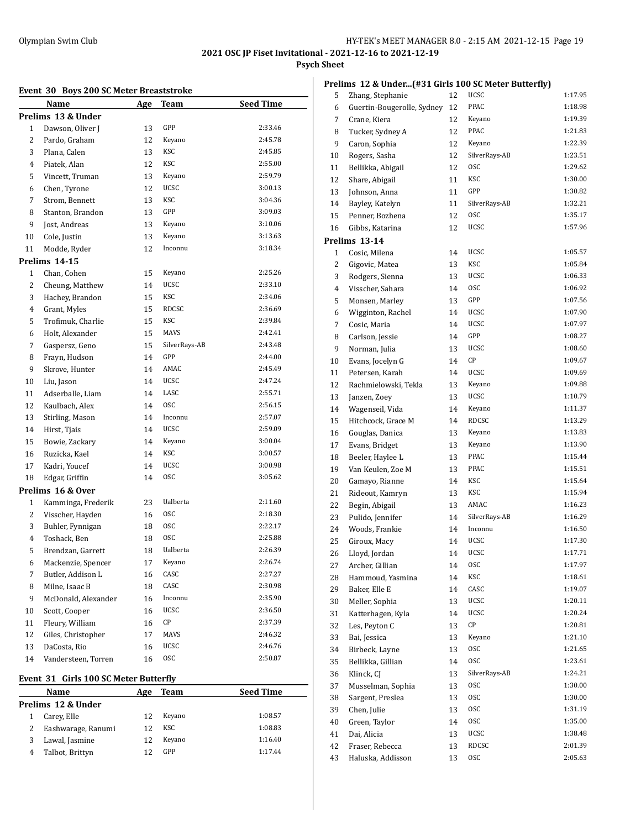## Olympian Swim Club HY-TEK's MEET MANAGER 8.0 - 2:15 AM 2021-12-15 Page 19

# **2021 OSC JP Fiset Invitational - 2021-12-16 to 2021-12-19**

# **Psych Sheet**

## **Event 30 Boys 200 SC Meter Breaststroke**

|              | EVEIL 30 DOYS 200 SC MELET DI CASISLIONE |            |                |                    |
|--------------|------------------------------------------|------------|----------------|--------------------|
|              | Name<br>Prelims 13 & Under               | <u>Age</u> | <b>Team</b>    | <b>Seed Time</b>   |
| $\mathbf{1}$ | Dawson, Oliver J                         | 13         | GPP            | 2:33.46            |
| 2            |                                          | 12         | Keyano         | 2:45.78            |
| 3            | Pardo, Graham<br>Plana, Calen            | 13         | KSC            | 2:45.85            |
|              | Piatek, Alan                             |            | KSC            | 2:55.00            |
| 4            |                                          | 12         | Keyano         | 2:59.79            |
| 5<br>6       | Vincett, Truman<br>Chen, Tyrone          | 13<br>12   | <b>UCSC</b>    | 3:00.13            |
| 7            | Strom, Bennett                           | 13         | KSC            | 3:04.36            |
| 8            | Stanton, Brandon                         | 13         | GPP            | 3:09.03            |
| 9            | Jost, Andreas                            | 13         | Keyano         | 3:10.06            |
| 10           | Cole, Justin                             | 13         | Keyano         | 3:13.63            |
| 11           |                                          | 12         | Inconnu        | 3:18.34            |
|              | Modde, Ryder                             |            |                |                    |
| 1            | Prelims 14-15<br>Chan, Cohen             |            | Keyano         | 2:25.26            |
|              |                                          | 15         | <b>UCSC</b>    | 2:33.10            |
| 2            | Cheung, Matthew                          | 14         | KSC            | 2:34.06            |
| 3            | Hachey, Brandon<br>Grant, Myles          | 15         | <b>RDCSC</b>   | 2:36.69            |
| 4            |                                          | 15         | KSC            | 2:39.84            |
| 5            | Trofimuk, Charlie                        | 15         | MAVS           | 2:42.41            |
| 6            | Holt, Alexander                          | 15         | SilverRays-AB  | 2:43.48            |
| 7            | Gaspersz, Geno<br>Frayn, Hudson          | 15         | GPP            | 2:44.00            |
| 8            |                                          | 14         | AMAC           | 2:45.49            |
| 9            | Skrove, Hunter                           | 14         | <b>UCSC</b>    | 2:47.24            |
| 10           | Liu, Jason                               | 14         | LASC           | 2:55.71            |
| 11           | Adserballe, Liam                         | 14         | <b>OSC</b>     | 2:56.15            |
| 12<br>13     | Kaulbach, Alex                           | 14         | Inconnu        | 2:57.07            |
|              | Stirling, Mason                          | 14         | <b>UCSC</b>    | 2:59.09            |
| 14           | Hirst, Tjais                             | 14         | Keyano         | 3:00.04            |
| 15           | Bowie, Zackary                           | 14         | KSC            | 3:00.57            |
| 16           | Ruzicka, Kael                            | 14         | <b>UCSC</b>    | 3:00.98            |
| 17           | Kadri, Youcef                            | 14         | 0SC            | 3:05.62            |
| 18           | Edgar, Griffin                           | 14         |                |                    |
|              | Prelims 16 & Over                        |            | Ualberta       | 2:11.60            |
| 1            | Kamminga, Frederik                       | 23         | 0SC            | 2:18.30            |
| 2            | Visscher, Hayden                         | 16         | 0SC            | 2:22.17            |
| 3<br>4       | Buhler, Fynnigan                         | 18         | <b>OSC</b>     | 2:25.88            |
|              | Toshack, Ben                             | 18         | Ualberta       | 2:26.39            |
| 5            | Brendzan, Garrett<br>Mackenzie, Spencer  | 18         |                | 2:26.74            |
| 6            |                                          | 17         | Keyano<br>CASC |                    |
| 7            | Butler, Addison L                        | 16         | CASC           | 2:27.27<br>2:30.98 |
| 8            | Milne, Isaac B                           | 18         |                |                    |
| 9            | McDonald, Alexander                      | 16         | Inconnu        | 2:35.90<br>2:36.50 |
| 10           | Scott, Cooper                            | 16         | UCSC           | 2:37.39            |
| 11           | Fleury, William                          | 16         | СP             |                    |
| 12           | Giles, Christopher                       | 17         | MAVS           | 2:46.32            |
| 13           | DaCosta, Rio                             | 16         | UCSC           | 2:46.76            |
| 14           | Vandersteen, Torren                      | 16         | <b>OSC</b>     | 2:50.87            |

## **Event 31 Girls 100 SC Meter Butterfly**

| Name               | Age | Team   | <b>Seed Time</b> |
|--------------------|-----|--------|------------------|
| Prelims 12 & Under |     |        |                  |
| Carey, Elle        | 12  | Keyano | 1:08.57          |
| Eashwarage, Ranumi | 12  | KSC    | 1:08.83          |
| Lawal, Jasmine     | 12  | Keyano | 1:16.40          |
| Talbot, Brittyn    | 12  | GPP    | 1:17.44          |
|                    |     |        |                  |

|  | Prelims 12 & Under(#31 Girls 100 SC Meter Butterfly) |  |  |  |
|--|------------------------------------------------------|--|--|--|
|--|------------------------------------------------------|--|--|--|

| 5  | Zhang, Stephanie           | 12 | UCSC          | 1:17.95 |
|----|----------------------------|----|---------------|---------|
| 6  | Guertin-Bougerolle, Sydney | 12 | PPAC          | 1:18.98 |
| 7  | Crane, Kiera               | 12 | Keyano        | 1:19.39 |
| 8  | Tucker, Sydney A           | 12 | PPAC          | 1:21.83 |
| 9  | Caron, Sophia              | 12 | Keyano        | 1:22.39 |
| 10 | Rogers, Sasha              | 12 | SilverRays-AB | 1:23.51 |
| 11 | Bellikka, Abigail          | 12 | 0SC           | 1:29.62 |
| 12 | Share, Abigail             | 11 | KSC           | 1:30.00 |
| 13 | Johnson, Anna              | 11 | GPP           | 1:30.82 |
| 14 | Bayley, Katelyn            | 11 | SilverRays-AB | 1:32.21 |
| 15 | Penner, Bozhena            | 12 | 0SC           | 1:35.17 |
| 16 | Gibbs, Katarina            | 12 | UCSC          | 1:57.96 |
|    | Prelims 13-14              |    |               |         |
| 1  | Cosic, Milena              | 14 | UCSC          | 1:05.57 |
| 2  | Gigovic, Matea             | 13 | KSC           | 1:05.84 |
| 3  | Rodgers, Sienna            | 13 | UCSC          | 1:06.33 |
| 4  | Visscher, Sahara           | 14 | 0SC           | 1:06.92 |
| 5  | Monsen, Marley             | 13 | GPP           | 1:07.56 |
| 6  | Wigginton, Rachel          | 14 | UCSC          | 1:07.90 |
| 7  |                            | 14 | <b>UCSC</b>   | 1:07.97 |
| 8  | Cosic, Maria               |    | GPP           | 1:08.27 |
|    | Carlson, Jessie            | 14 | UCSC          | 1:08.60 |
| 9  | Norman, Julia              | 13 |               |         |
| 10 | Evans, Jocelyn G           | 14 | CР            | 1:09.67 |
| 11 | Petersen, Karah            | 14 | UCSC          | 1:09.69 |
| 12 | Rachmielowski, Tekla       | 13 | Keyano        | 1:09.88 |
| 13 | Janzen, Zoey               | 13 | <b>UCSC</b>   | 1:10.79 |
| 14 | Wagenseil, Vida            | 14 | Keyano        | 1:11.37 |
| 15 | Hitchcock, Grace M         | 14 | RDCSC         | 1:13.29 |
| 16 | Gouglas, Danica            | 13 | Keyano        | 1:13.83 |
| 17 | Evans, Bridget             | 13 | Keyano        | 1:13.90 |
| 18 | Beeler, Haylee L           | 13 | PPAC          | 1:15.44 |
| 19 | Van Keulen, Zoe M          | 13 | PPAC          | 1:15.51 |
| 20 | Gamayo, Rianne             | 14 | KSC           | 1:15.64 |
| 21 | Rideout, Kamryn            | 13 | KSC           | 1:15.94 |
| 22 | Begin, Abigail             | 13 | AMAC          | 1:16.23 |
| 23 | Pulido, Jennifer           | 14 | SilverRays-AB | 1:16.29 |
| 24 | Woods, Frankie             | 14 | Inconnu       | 1:16.50 |
| 25 | Giroux, Macy               | 14 | <b>UCSC</b>   | 1:17.30 |
| 26 | Lloyd, Jordan              | 14 | <b>UCSC</b>   | 1:17.71 |
| 27 | Archer, Gillian            | 14 | 0SC           | 1:17.97 |
| 28 | Hammoud, Yasmina           | 14 | KSC           | 1:18.61 |
| 29 | Baker, Elle E              | 14 | CASC          | 1:19.07 |
| 30 | Meller, Sophia             | 13 | UCSC          | 1:20.11 |
| 31 | Katterhagen, Kyla          | 14 | UCSC          | 1:20.24 |
| 32 | Les, Peyton C              | 13 | СP            | 1:20.81 |
| 33 | Bai, Jessica               | 13 | Keyano        | 1:21.10 |
| 34 | Birbeck, Layne             | 13 | 0SC           | 1:21.65 |
| 35 | Bellikka, Gillian          | 14 | <b>OSC</b>    | 1:23.61 |
| 36 | Klinck, CJ                 | 13 | SilverRays-AB | 1:24.21 |
| 37 | Musselman, Sophia          | 13 | 0SC           | 1:30.00 |
| 38 | Sargent, Preslea           | 13 | 0SC           | 1:30.00 |
| 39 | Chen, Julie                | 13 | 0SC           | 1:31.19 |
| 40 | Green, Taylor              | 14 | 0SC           | 1:35.00 |
| 41 | Dai, Alicia                | 13 | UCSC          | 1:38.48 |
| 42 | Fraser, Rebecca            | 13 | RDCSC         | 2:01.39 |
| 43 | Haluska, Addisson          | 13 | 0SC           | 2:05.63 |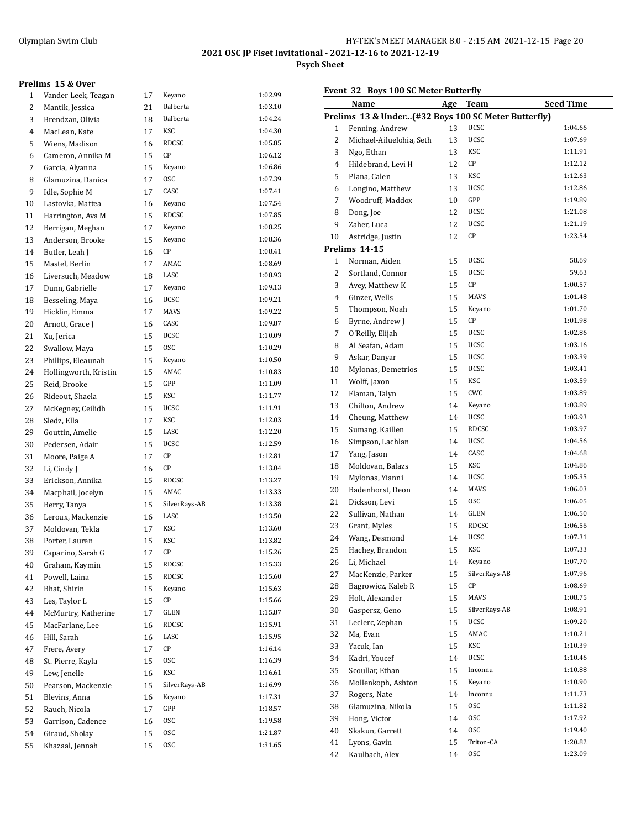## **Psych Sheet**

#### **Prelims 15 & Over**

|    | $r = 100$ $\alpha$ $0$ |    |               |         |
|----|------------------------|----|---------------|---------|
| 1  | Vander Leek, Teagan    | 17 | Keyano        | 1:02.99 |
| 2  | Mantik, Jessica        | 21 | Ualberta      | 1:03.10 |
| 3  | Brendzan, Olivia       | 18 | Ualberta      | 1:04.24 |
| 4  | MacLean, Kate          | 17 | KSC           | 1:04.30 |
| 5  | Wiens, Madison         | 16 | RDCSC         | 1:05.85 |
| 6  | Cameron, Annika M      | 15 | СP            | 1:06.12 |
| 7  | Garcia, Alyanna        | 15 | Keyano        | 1:06.86 |
| 8  | Glamuzina, Danica      | 17 | <b>OSC</b>    | 1:07.39 |
| 9  | Idle, Sophie M         | 17 | CASC          | 1:07.41 |
| 10 | Lastovka, Mattea       | 16 | Keyano        | 1:07.54 |
| 11 | Harrington, Ava M      | 15 | RDCSC         | 1:07.85 |
| 12 | Berrigan, Meghan       | 17 | Keyano        | 1:08.25 |
| 13 | Anderson, Brooke       | 15 | Keyano        | 1:08.36 |
| 14 | Butler, Leah J         | 16 | СP            | 1:08.41 |
| 15 | Mastel, Berlin         | 17 | AMAC          | 1:08.69 |
| 16 | Liversuch, Meadow      | 18 | LASC          | 1:08.93 |
| 17 | Dunn, Gabrielle        | 17 | Keyano        | 1:09.13 |
| 18 | Besseling, Maya        | 16 | <b>UCSC</b>   | 1:09.21 |
| 19 | Hicklin, Emma          | 17 | <b>MAVS</b>   | 1:09.22 |
| 20 | Arnott, Grace J        | 16 | CASC          | 1:09.87 |
| 21 | Xu, Jerica             | 15 | <b>UCSC</b>   | 1:10.09 |
| 22 | Swallow, Maya          | 15 | <b>OSC</b>    | 1:10.29 |
| 23 | Phillips, Eleaunah     | 15 | Keyano        | 1:10.50 |
| 24 | Hollingworth, Kristin  | 15 | AMAC          | 1:10.83 |
| 25 | Reid, Brooke           | 15 | GPP           | 1:11.09 |
| 26 | Rideout, Shaela        | 15 | KSC           | 1:11.77 |
| 27 | McKegney, Ceilidh      | 15 | UCSC          | 1:11.91 |
| 28 | Sledz, Ella            | 17 | KSC           | 1:12.03 |
| 29 | Gouttin, Amelie        | 15 | LASC          | 1:12.20 |
| 30 | Pedersen, Adair        | 15 | UCSC          | 1:12.59 |
| 31 | Moore, Paige A         | 17 | СP            | 1:12.81 |
| 32 | Li, Cindy J            | 16 | СP            | 1:13.04 |
| 33 | Erickson, Annika       | 15 | RDCSC         | 1:13.27 |
| 34 | Macphail, Jocelyn      | 15 | AMAC          | 1:13.33 |
| 35 | Berry, Tanya           | 15 | SilverRays-AB | 1:13.38 |
| 36 | Leroux, Mackenzie      | 16 | LASC          | 1:13.50 |
| 37 | Moldovan, Tekla        | 17 | KSC           | 1:13.60 |
| 38 | Porter, Lauren         | 15 | KSC           | 1:13.82 |
| 39 | Caparino, Sarah G      | 17 | CР            | 1:15.26 |
| 40 | Graham, Kaymin         | 15 | RDCSC         | 1:15.33 |
| 41 | Powell, Laina          | 15 | RDCSC         | 1:15.60 |
| 42 | Bhat, Shirin           | 15 | Keyano        | 1:15.63 |
| 43 | Les, Taylor L          | 15 | СP            | 1:15.66 |
| 44 | McMurtry, Katherine    | 17 | GLEN          | 1:15.87 |
| 45 | MacFarlane, Lee        | 16 | RDCSC         | 1:15.91 |
| 46 | Hill, Sarah            | 16 | LASC          | 1:15.95 |
| 47 | Frere, Avery           | 17 | СP            | 1:16.14 |
| 48 | St. Pierre, Kayla      | 15 | 0SC           | 1:16.39 |
| 49 | Lew, Jenelle           | 16 | KSC           | 1:16.61 |
| 50 | Pearson, Mackenzie     | 15 | SilverRays-AB | 1:16.99 |
| 51 | Blevins, Anna          | 16 | Keyano        | 1:17.31 |
| 52 | Rauch, Nicola          | 17 | GPP           | 1:18.57 |
| 53 | Garrison, Cadence      | 16 | 0SC           | 1:19.58 |
| 54 | Giraud, Sholay         | 15 | 0SC           | 1:21.87 |
| 55 | Khazaal, Jennah        | 15 | 0SC           | 1:31.65 |

|  | Event 32 Boys 100 SC Meter Butterfly |  |
|--|--------------------------------------|--|
|--|--------------------------------------|--|

|    | Event 32 Doys 100 St Meter Butterny                 |    |               |                  |
|----|-----------------------------------------------------|----|---------------|------------------|
|    | <u>Name</u>                                         |    | Age Team      | <b>Seed Time</b> |
|    | Prelims 13 & Under(#32 Boys 100 SC Meter Butterfly) |    |               |                  |
| 1  | Fenning, Andrew                                     | 13 | UCSC          | 1:04.66          |
| 2  | Michael-Ailuelohia, Seth                            | 13 | <b>UCSC</b>   | 1:07.69          |
| 3  | Ngo, Ethan                                          | 13 | KSC           | 1:11.91          |
| 4  | Hildebrand, Levi H                                  | 12 | CP            | 1:12.12          |
| 5  | Plana, Calen                                        | 13 | KSC           | 1:12.63          |
| 6  | Longino, Matthew                                    | 13 | <b>UCSC</b>   | 1:12.86          |
| 7  | Woodruff, Maddox                                    | 10 | GPP           | 1:19.89          |
| 8  | Dong, Joe                                           | 12 | <b>UCSC</b>   | 1:21.08          |
| 9  | Zaher, Luca                                         | 12 | <b>UCSC</b>   | 1:21.19          |
| 10 | Astridge, Justin                                    | 12 | СP            | 1:23.54          |
|    | Prelims 14-15                                       |    |               |                  |
| 1  | Norman, Aiden                                       | 15 | UCSC          | 58.69            |
| 2  | Sortland, Connor                                    | 15 | <b>UCSC</b>   | 59.63            |
| 3  | Avey, Matthew K                                     | 15 | CР            | 1:00.57          |
|    | Ginzer, Wells                                       |    | MAVS          | 1:01.48          |
| 4  |                                                     | 15 |               | 1:01.70          |
| 5  | Thompson, Noah                                      | 15 | Keyano        |                  |
| 6  | Byrne, Andrew J                                     | 15 | СP            | 1:01.98          |
| 7  | O'Reilly, Elijah                                    | 15 | <b>UCSC</b>   | 1:02.86          |
| 8  | Al Seafan, Adam                                     | 15 | <b>UCSC</b>   | 1:03.16          |
| 9  | Askar, Danyar                                       | 15 | UCSC          | 1:03.39          |
| 10 | Mylonas, Demetrios                                  | 15 | UCSC          | 1:03.41          |
| 11 | Wolff, Jaxon                                        | 15 | KSC           | 1:03.59          |
| 12 | Flaman, Talyn                                       | 15 | CWC           | 1:03.89          |
| 13 | Chilton, Andrew                                     | 14 | Keyano        | 1:03.89          |
| 14 | Cheung, Matthew                                     | 14 | <b>UCSC</b>   | 1:03.93          |
| 15 | Sumang, Kaillen                                     | 15 | RDCSC         | 1:03.97          |
| 16 | Simpson, Lachlan                                    | 14 | <b>UCSC</b>   | 1:04.56          |
| 17 | Yang, Jason                                         | 14 | CASC          | 1:04.68          |
| 18 | Moldovan, Balazs                                    | 15 | KSC           | 1:04.86          |
| 19 | Mylonas, Yianni                                     | 14 | <b>UCSC</b>   | 1:05.35          |
| 20 | Badenhorst, Deon                                    | 14 | MAVS          | 1:06.03          |
| 21 | Dickson, Levi                                       | 15 | 0SC           | 1:06.05          |
| 22 | Sullivan, Nathan                                    | 14 | GLEN          | 1:06.50          |
| 23 | Grant, Myles                                        | 15 | RDCSC         | 1:06.56          |
| 24 | Wang, Desmond                                       | 14 | <b>UCSC</b>   | 1:07.31          |
| 25 | Hachey, Brandon                                     | 15 | KSC           | 1:07.33          |
| 26 | Li, Michael                                         | 14 | Keyano        | 1:07.70          |
| 27 | MacKenzie, Parker                                   | 15 | SilverRays-AB | 1:07.96          |
| 28 | Bagrowicz, Kaleb R                                  | 15 | СP            | 1:08.69          |
| 29 | Holt, Alexander                                     | 15 | MAVS          | 1:08.75          |
| 30 | Gaspersz, Geno                                      | 15 | SilverRays-AB | 1:08.91          |
| 31 | Leclerc, Zephan                                     | 15 | UCSC          | 1:09.20          |
| 32 | Ma, Evan                                            | 15 | AMAC          | 1:10.21          |
| 33 | Yacuk, Ian                                          | 15 | KSC           | 1:10.39          |
| 34 | Kadri, Youcef                                       | 14 | UCSC          | 1:10.46          |
| 35 | Scoullar, Ethan                                     | 15 | Inconnu       | 1:10.88          |
| 36 | Mollenkoph, Ashton                                  | 15 | Keyano        | 1:10.90          |
|    |                                                     |    | Inconnu       | 1:11.73          |
| 37 | Rogers, Nate                                        | 14 | 0SC           | 1:11.82          |
| 38 | Glamuzina, Nikola                                   | 15 |               |                  |
| 39 | Hong, Victor                                        | 14 | 0SC           | 1:17.92          |
| 40 | Skakun, Garrett                                     | 14 | 0SC           | 1:19.40          |
| 41 | Lyons, Gavin                                        | 15 | Triton-CA     | 1:20.82          |
| 42 | Kaulbach, Alex                                      | 14 | 0SC           | 1:23.09          |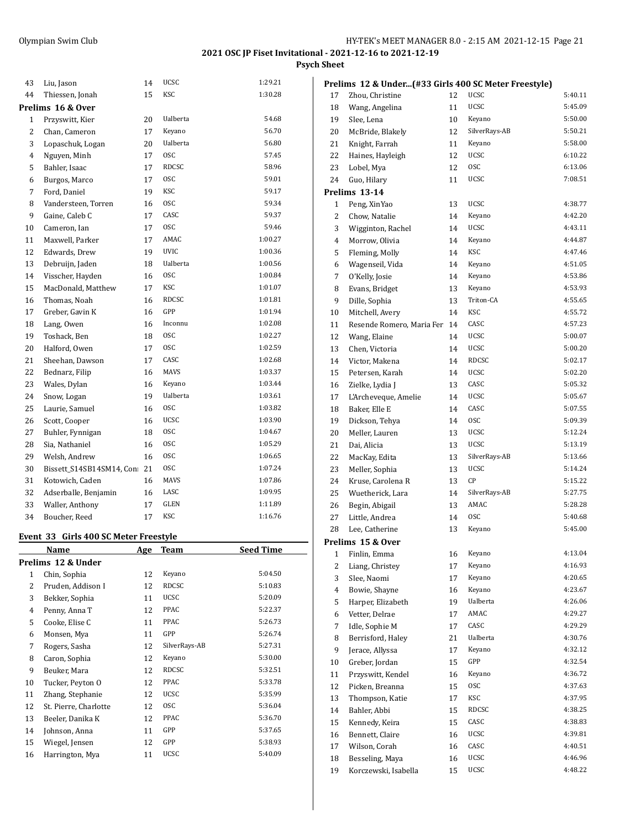**Psych Sheet**

| 43             | Liu, Jason               | 14 | <b>UCSC</b>     | 1:29.21 |
|----------------|--------------------------|----|-----------------|---------|
| 44             | Thiessen, Jonah          | 15 | <b>KSC</b>      | 1:30.28 |
|                | Prelims 16 & Over        |    |                 |         |
| 1              | Przyswitt, Kier          | 20 | Ualberta        | 54.68   |
| 2              | Chan, Cameron            | 17 | Keyano          | 56.70   |
| 3              | Lopaschuk, Logan         | 20 | Ualberta        | 56.80   |
| $\overline{4}$ | Nguyen, Minh             | 17 | <b>OSC</b>      | 57.45   |
| 5              | Bahler, Isaac            | 17 | <b>RDCSC</b>    | 58.96   |
| 6              | Burgos, Marco            | 17 | <b>OSC</b>      | 59.01   |
| 7              | Ford, Daniel             | 19 | KSC             | 59.17   |
| 8              | Vandersteen, Torren      | 16 | <b>OSC</b>      | 59.34   |
| 9              | Gaine, Caleb C           | 17 | CASC            | 59.37   |
| 10             | Cameron, Ian             | 17 | <b>OSC</b>      | 59.46   |
| 11             | Maxwell, Parker          | 17 | AMAC            | 1:00.27 |
| 12             | Edwards, Drew            | 19 | <b>UVIC</b>     | 1:00.36 |
| 13             | Debruijn, Jaden          | 18 | Ualberta        | 1:00.56 |
| 14             | Visscher, Hayden         | 16 | <b>OSC</b>      | 1:00.84 |
| 15             | MacDonald, Matthew       | 17 | <b>KSC</b>      | 1:01.07 |
| 16             | Thomas, Noah             | 16 | <b>RDCSC</b>    | 1:01.81 |
| 17             | Greber, Gavin K          | 16 | GPP             | 1:01.94 |
| 18             | Lang, Owen               | 16 | Inconnu         | 1:02.08 |
| 19             | Toshack, Ben             | 18 | 0SC             | 1:02.27 |
| 20             | Halford, Owen            | 17 | 0SC             | 1:02.59 |
| 21             | Sheehan, Dawson          | 17 | CASC            | 1:02.68 |
| 22             | Bednarz, Filip           | 16 | <b>MAVS</b>     | 1:03.37 |
| 23             | Wales, Dylan             | 16 | Keyano          | 1:03.44 |
| 24             | Snow, Logan              | 19 | <b>Ualberta</b> | 1:03.61 |
| 25             | Laurie, Samuel           | 16 | <b>OSC</b>      | 1:03.82 |
| 26             | Scott, Cooper            | 16 | <b>UCSC</b>     | 1:03.90 |
| 27             | Buhler, Fynnigan         | 18 | 0SC             | 1:04.67 |
| 28             | Sia, Nathaniel           | 16 | 0SC             | 1:05.29 |
| 29             | Welsh, Andrew            | 16 | <b>OSC</b>      | 1:06.65 |
| 30             | Bissett_S14SB14SM14, Con | 21 | <b>OSC</b>      | 1:07.24 |
| 31             | Kotowich, Caden          | 16 | <b>MAVS</b>     | 1:07.86 |
| 32             | Adserballe, Benjamin     | 16 | LASC            | 1:09.95 |
| 33             | Waller, Anthony          | 17 | <b>GLEN</b>     | 1:11.89 |
| 34             | Boucher, Reed            | 17 | <b>KSC</b>      | 1:16.76 |

#### **Event 33 Girls 400 SC Meter Freestyle**

|    | Name                  | Age | <b>Team</b>   | <b>Seed Time</b> |
|----|-----------------------|-----|---------------|------------------|
|    | Prelims 12 & Under    |     |               |                  |
| 1  | Chin, Sophia          | 12  | Keyano        | 5:04.50          |
| 2  | Pruden, Addison I     | 12  | RDCSC         | 5:10.83          |
| 3  | Bekker, Sophia        | 11  | <b>UCSC</b>   | 5:20.09          |
| 4  | Penny, Anna T         | 12  | PPAC          | 5:22.37          |
| 5  | Cooke, Elise C        | 11  | PPAC          | 5:26.73          |
| 6  | Monsen, Mya           | 11  | GPP           | 5:26.74          |
| 7  | Rogers, Sasha         | 12  | SilverRays-AB | 5:27.31          |
| 8  | Caron, Sophia         | 12  | Keyano        | 5:30.00          |
| 9  | Beuker, Mara          | 12  | RDCSC         | 5:32.51          |
| 10 | Tucker, Peyton O      | 12  | PPAC          | 5:33.78          |
| 11 | Zhang, Stephanie      | 12  | <b>UCSC</b>   | 5:35.99          |
| 12 | St. Pierre, Charlotte | 12  | <b>OSC</b>    | 5:36.04          |
| 13 | Beeler, Danika K      | 12  | <b>PPAC</b>   | 5:36.70          |
| 14 | Johnson, Anna         | 11  | GPP           | 5:37.65          |
| 15 | Wiegel, Jensen        | 12  | GPP           | 5:38.93          |
| 16 | Harrington, Mya       | 11  | <b>UCSC</b>   | 5:40.09          |

|                | Prelims 12 & Under(#33 Girls 400 SC Meter Freestyle) |    |               |         |
|----------------|------------------------------------------------------|----|---------------|---------|
| 17             | Zhou, Christine                                      | 12 | <b>UCSC</b>   | 5:40.11 |
| 18             | Wang, Angelina                                       | 11 | <b>UCSC</b>   | 5:45.09 |
| 19             | Slee, Lena                                           | 10 | Keyano        | 5:50.00 |
| 20             | McBride, Blakely                                     | 12 | SilverRays-AB | 5:50.21 |
| 21             | Knight, Farrah                                       | 11 | Keyano        | 5:58.00 |
| 22             | Haines, Hayleigh                                     | 12 | <b>UCSC</b>   | 6:10.22 |
| 23             | Lobel, Mya                                           | 12 | <b>OSC</b>    | 6:13.06 |
| 24             | Guo, Hilary                                          | 11 | UCSC          | 7:08.51 |
|                | Prelims 13-14                                        |    |               |         |
| $\mathbf{1}$   | Peng, XinYao                                         | 13 | UCSC          | 4:38.77 |
| 2              | Chow, Natalie                                        | 14 | Keyano        | 4:42.20 |
| 3              | Wigginton, Rachel                                    | 14 | <b>UCSC</b>   | 4:43.11 |
| 4              | Morrow, Olivia                                       | 14 | Keyano        | 4:44.87 |
| 5              | Fleming, Molly                                       | 14 | <b>KSC</b>    | 4:47.46 |
| 6              | Wagenseil, Vida                                      | 14 | Keyano        | 4:51.05 |
| 7              | O'Kelly, Josie                                       | 14 | Keyano        | 4:53.86 |
| 8              | Evans, Bridget                                       | 13 | Keyano        | 4:53.93 |
| 9              | Dille, Sophia                                        | 13 | Triton-CA     | 4:55.65 |
| 10             | Mitchell, Avery                                      | 14 | KSC           | 4:55.72 |
| 11             | Resende Romero, Maria Fer                            | 14 | CASC          | 4:57.23 |
| 12             | Wang, Elaine                                         | 14 | UCSC          | 5:00.07 |
| 13             | Chen, Victoria                                       | 14 | UCSC          | 5:00.20 |
| 14             | Victor, Makena                                       | 14 | RDCSC         | 5:02.17 |
| 15             | Petersen, Karah                                      | 14 | <b>UCSC</b>   | 5:02.20 |
| 16             | Zielke, Lydia J                                      | 13 | CASC          | 5:05.32 |
| 17             | L'Archeveque, Amelie                                 | 14 | <b>UCSC</b>   | 5:05.67 |
| 18             | Baker, Elle E                                        | 14 | CASC          | 5:07.55 |
| 19             | Dickson, Tehya                                       | 14 | 0SC           | 5:09.39 |
| 20             | Meller, Lauren                                       | 13 | UCSC          | 5:12.24 |
| 21             | Dai, Alicia                                          | 13 | <b>UCSC</b>   | 5:13.19 |
| 22             | MacKay, Edita                                        | 13 | SilverRays-AB | 5:13.66 |
| 23             | Meller, Sophia                                       | 13 | UCSC          | 5:14.24 |
| 24             | Kruse, Carolena R                                    | 13 | СP            | 5:15.22 |
| 25             | Wuetherick, Lara                                     | 14 | SilverRays-AB | 5:27.75 |
| 26             | Begin, Abigail                                       | 13 | AMAC          | 5:28.28 |
| 27             | Little, Andrea                                       | 14 | <b>OSC</b>    | 5:40.68 |
| 28             | Lee, Catherine                                       | 13 | Keyano        | 5:45.00 |
|                | Prelims 15 & Over                                    |    |               |         |
| 1              | Finlin, Emma                                         | 16 | Keyano        | 4:13.04 |
| $\overline{c}$ | Liang, Christey                                      | 17 | Keyano        | 4:16.93 |
| 3              | Slee, Naomi                                          | 17 | Keyano        | 4:20.65 |
| 4              | Bowie, Shayne                                        | 16 | Keyano        | 4:23.67 |
| 5              | Harper, Elizabeth                                    | 19 | Ualberta      | 4:26.06 |
| 6              | Vetter, Delrae                                       | 17 | AMAC          | 4:29.27 |
| 7              | Idle, Sophie M                                       | 17 | CASC          | 4:29.29 |
| 8              | Berrisford, Haley                                    | 21 | Ualberta      | 4:30.76 |
| 9              | Jerace, Allyssa                                      | 17 | Keyano        | 4:32.12 |
| 10             | Greber, Jordan                                       | 15 | GPP           | 4:32.54 |
| 11             | Przyswitt, Kendel                                    | 16 | Keyano        | 4:36.72 |
| 12             | Picken, Breanna                                      | 15 | 0SC           | 4:37.63 |
| 13             | Thompson, Katie                                      | 17 | KSC           | 4:37.95 |
| 14             | Bahler, Abbi                                         | 15 | <b>RDCSC</b>  | 4:38.25 |
| 15             |                                                      | 15 | CASC          | 4:38.83 |
|                | Kennedy, Keira                                       |    | UCSC          | 4:39.81 |
| 16             | Bennett, Claire                                      | 16 | CASC          | 4:40.51 |
| 17             | Wilson, Corah                                        | 16 | UCSC          | 4:46.96 |
| 18             | Besseling, Maya                                      | 16 | UCSC          | 4:48.22 |
| 19             | Korczewski, Isabella                                 | 15 |               |         |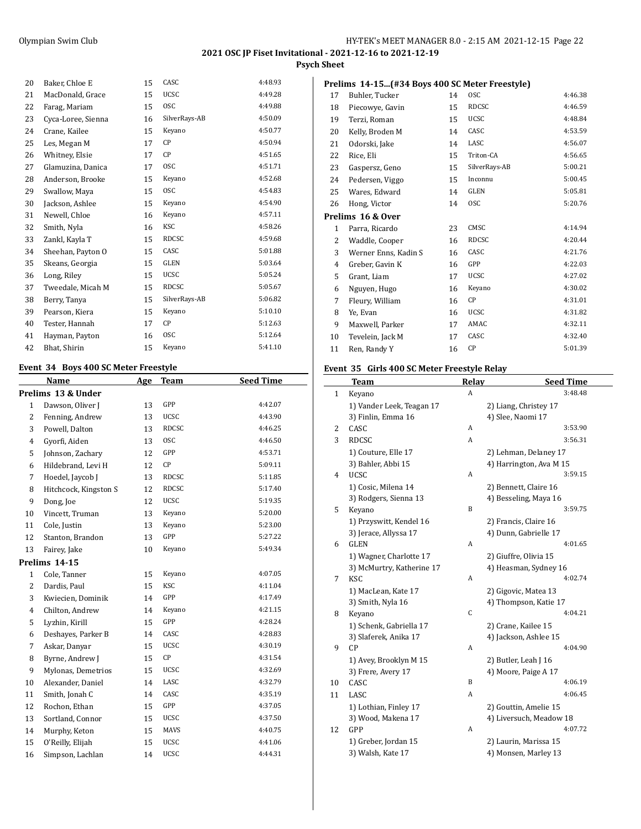**Psych Sheet**

| 20 | Baker, Chloe E     | 15 | CASC          | 4:48.93 |
|----|--------------------|----|---------------|---------|
| 21 | MacDonald, Grace   | 15 | <b>UCSC</b>   | 4:49.28 |
| 22 | Farag, Mariam      | 15 | <b>OSC</b>    | 4:49.88 |
| 23 | Cyca-Loree, Sienna | 16 | SilverRays-AB | 4:50.09 |
| 24 | Crane, Kailee      | 15 | Keyano        | 4:50.77 |
| 25 | Les, Megan M       | 17 | CP            | 4:50.94 |
| 26 | Whitney, Elsie     | 17 | СP            | 4:51.65 |
| 27 | Glamuzina, Danica  | 17 | <b>OSC</b>    | 4:51.71 |
| 28 | Anderson, Brooke   | 15 | Keyano        | 4:52.68 |
| 29 | Swallow, Maya      | 15 | <b>OSC</b>    | 4:54.83 |
| 30 | Jackson, Ashlee    | 15 | Keyano        | 4:54.90 |
| 31 | Newell, Chloe      | 16 | Keyano        | 4:57.11 |
| 32 | Smith, Nyla        | 16 | KSC           | 4:58.26 |
| 33 | Zankl, Kayla T     | 15 | <b>RDCSC</b>  | 4:59.68 |
| 34 | Sheehan, Payton O  | 15 | CASC          | 5:01.88 |
| 35 | Skeans, Georgia    | 15 | GLEN          | 5:03.64 |
| 36 | Long, Riley        | 15 | <b>UCSC</b>   | 5:05.24 |
| 37 | Tweedale, Micah M  | 15 | RDCSC         | 5:05.67 |
| 38 | Berry, Tanya       | 15 | SilverRays-AB | 5:06.82 |
| 39 | Pearson, Kiera     | 15 | Keyano        | 5:10.10 |
| 40 | Tester, Hannah     | 17 | СP            | 5:12.63 |
| 41 | Hayman, Payton     | 16 | <b>OSC</b>    | 5:12.64 |
| 42 | Bhat, Shirin       | 15 | Keyano        | 5:41.10 |

## **Event 34 Boys 400 SC Meter Freestyle**

|                | Name                  | Age | <b>Team</b>  | <b>Seed Time</b> |
|----------------|-----------------------|-----|--------------|------------------|
|                | Prelims 13 & Under    |     |              |                  |
| $\mathbf{1}$   | Dawson, Oliver J      | 13  | GPP          | 4:42.07          |
| $\overline{2}$ | Fenning, Andrew       | 13  | <b>UCSC</b>  | 4:43.90          |
| 3              | Powell, Dalton        | 13  | <b>RDCSC</b> | 4:46.25          |
| $\overline{4}$ | Gyorfi, Aiden         | 13  | <b>OSC</b>   | 4:46.50          |
| 5              | Johnson, Zachary      | 12  | GPP          | 4:53.71          |
| 6              | Hildebrand, Levi H    | 12  | CP           | 5:09.11          |
| 7              | Hoedel, Jaycob J      | 13  | <b>RDCSC</b> | 5:11.85          |
| 8              | Hitchcock, Kingston S | 12  | <b>RDCSC</b> | 5:17.40          |
| 9              | Dong, Joe             | 12  | <b>UCSC</b>  | 5:19.35          |
| 10             | Vincett, Truman       | 13  | Keyano       | 5:20.00          |
| 11             | Cole, Justin          | 13  | Keyano       | 5:23.00          |
| 12             | Stanton, Brandon      | 13  | GPP          | 5:27.22          |
| 13             | Fairey, Jake          | 10  | Keyano       | 5:49.34          |
|                | Prelims 14-15         |     |              |                  |
| $\mathbf{1}$   | Cole, Tanner          | 15  | Keyano       | 4:07.05          |
| $\overline{2}$ | Dardis, Paul          | 15  | <b>KSC</b>   | 4:11.04          |
| 3              | Kwiecien, Dominik     | 14  | GPP          | 4:17.49          |
| $\overline{4}$ | Chilton, Andrew       | 14  | Keyano       | 4:21.15          |
| 5              | Lyzhin, Kirill        | 15  | GPP          | 4:28.24          |
| 6              | Deshayes, Parker B    | 14  | CASC         | 4:28.83          |
| 7              | Askar, Danyar         | 15  | <b>UCSC</b>  | 4:30.19          |
| 8              | Byrne, Andrew J       | 15  | CP           | 4:31.54          |
| 9              | Mylonas, Demetrios    | 15  | <b>UCSC</b>  | 4:32.69          |
| 10             | Alexander, Daniel     | 14  | LASC         | 4:32.79          |
| 11             | Smith, Jonah C        | 14  | CASC         | 4:35.19          |
| 12             | Rochon, Ethan         | 15  | GPP          | 4:37.05          |
| 13             | Sortland, Connor      | 15  | <b>UCSC</b>  | 4:37.50          |
| 14             | Murphy, Keton         | 15  | <b>MAVS</b>  | 4:40.75          |
| 15             | O'Reilly, Elijah      | 15  | <b>UCSC</b>  | 4:41.06          |
| 16             | Simpson, Lachlan      | 14  | <b>UCSC</b>  | 4:44.31          |

|  | Prelims 14-15(#34 Boys 400 SC Meter Freestyle) |
|--|------------------------------------------------|
|--|------------------------------------------------|

| 17 | Buhler, Tucker       | 14 | <b>OSC</b>    | 4:46.38 |
|----|----------------------|----|---------------|---------|
| 18 | Piecowye, Gavin      | 15 | <b>RDCSC</b>  | 4:46.59 |
| 19 | Terzi, Roman         | 15 | UCSC          | 4:48.84 |
| 20 | Kelly, Broden M      | 14 | CASC          | 4:53.59 |
| 21 | Odorski, Jake        | 14 | LASC          | 4:56.07 |
| 22 | Rice, Eli            | 15 | Triton-CA     | 4:56.65 |
| 23 | Gaspersz, Geno       | 15 | SilverRays-AB | 5:00.21 |
| 24 | Pedersen, Viggo      | 15 | Inconnu       | 5:00.45 |
| 25 | Wares, Edward        | 14 | GLEN          | 5:05.81 |
| 26 | Hong, Victor         | 14 | <b>OSC</b>    | 5:20.76 |
|    | Prelims 16 & Over    |    |               |         |
| 1  | Parra, Ricardo       | 23 | CMSC          | 4:14.94 |
| 2  | Waddle, Cooper       | 16 | <b>RDCSC</b>  | 4:20.44 |
| 3  | Werner Enns, Kadin S | 16 | CASC          | 4:21.76 |
| 4  | Greber, Gavin K      | 16 | GPP           | 4:22.03 |
| 5  | Grant, Liam          | 17 | <b>UCSC</b>   | 4:27.02 |
| 6  | Nguyen, Hugo         | 16 | Keyano        | 4:30.02 |
| 7  | Fleury, William      | 16 | СP            | 4:31.01 |
| 8  | Ye, Evan             | 16 | <b>UCSC</b>   | 4:31.82 |
| 9  | Maxwell, Parker      | 17 | AMAC          | 4:32.11 |
| 10 | Tevelein, Jack M     | 17 | CASC          | 4:32.40 |
| 11 | Ren, Randy Y         | 16 | <b>CP</b>     | 5:01.39 |

## **Event 35 Girls 400 SC Meter Freestyle Relay**

|              | Team                      | <b>Relay</b> | <b>Seed Time</b>        |
|--------------|---------------------------|--------------|-------------------------|
| $\mathbf{1}$ | Keyano                    | A            | 3:48.48                 |
|              | 1) Vander Leek, Teagan 17 |              | 2) Liang, Christey 17   |
|              | 3) Finlin, Emma 16        |              | 4) Slee, Naomi 17       |
| 2            | CASC                      | A            | 3:53.90                 |
| 3            | RDCSC                     | A            | 3:56.31                 |
|              | 1) Couture, Elle 17       |              | 2) Lehman, Delaney 17   |
|              | 3) Bahler, Abbi 15        |              | 4) Harrington, Ava M 15 |
| 4            | <b>UCSC</b>               | A            | 3:59.15                 |
|              | 1) Cosic, Milena 14       |              | 2) Bennett, Claire 16   |
|              | 3) Rodgers, Sienna 13     |              | 4) Besseling, Maya 16   |
| 5            | Keyano                    | B            | 3:59.75                 |
|              | 1) Przyswitt, Kendel 16   |              | 2) Francis, Claire 16   |
|              | 3) Jerace, Allyssa 17     |              | 4) Dunn, Gabrielle 17   |
| 6            | <b>GLEN</b>               | A            | 4:01.65                 |
|              | 1) Wagner, Charlotte 17   |              | 2) Giuffre, Olivia 15   |
|              | 3) McMurtry, Katherine 17 |              | 4) Heasman, Sydney 16   |
| 7            | KSC                       | A            | 4:02.74                 |
|              | 1) MacLean, Kate 17       |              | 2) Gigovic, Matea 13    |
|              | 3) Smith, Nyla 16         |              | 4) Thompson, Katie 17   |
| 8            | Keyano                    | C            | 4:04.21                 |
|              | 1) Schenk, Gabriella 17   |              | 2) Crane, Kailee 15     |
|              | 3) Slaferek, Anika 17     |              | 4) Jackson, Ashlee 15   |
| 9            | CP                        | A            | 4:04.90                 |
|              | 1) Avey, Brooklyn M 15    |              | 2) Butler, Leah J 16    |
|              | 3) Frere, Avery 17        |              | 4) Moore, Paige A 17    |
| 10           | CASC                      | B            | 4:06.19                 |
| 11           | LASC                      | A            | 4:06.45                 |
|              | 1) Lothian, Finley 17     |              | 2) Gouttin, Amelie 15   |
|              | 3) Wood, Makena 17        |              | 4) Liversuch, Meadow 18 |
| 12           | GPP                       | A            | 4:07.72                 |
|              | 1) Greber, Jordan 15      |              | 2) Laurin, Marissa 15   |
|              | 3) Walsh, Kate 17         |              | 4) Monsen, Marley 13    |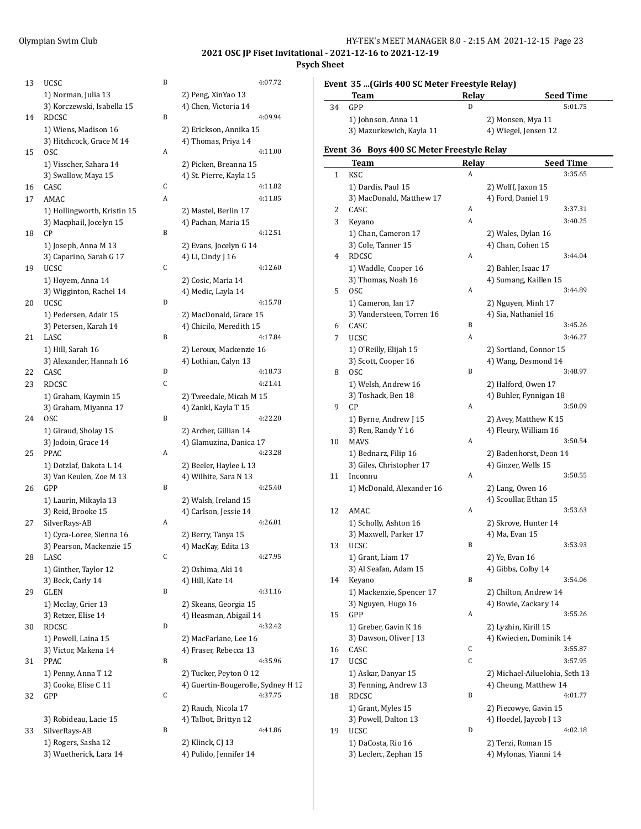#### Olympian Swim Club HY-TEK's MEET MANAGER 8.0 - 2:15 AM 2021-12-15 Page 23

## **2021 OSC JP Fiset Invitational - 2021-12-16 to 2021-12-19**

## **Psych Sheet**

 $\overline{a}$ 

| 13 | <b>UCSC</b>                 | B | 4:07.72                      |
|----|-----------------------------|---|------------------------------|
|    | 1) Norman, Julia 13         |   | 2) Peng, XinYao 13           |
|    | 3) Korczewski, Isabella 15  |   | 4) Chen, Victoria 14         |
| 14 | RDCSC                       | B | 4:09.94                      |
|    | 1) Wiens, Madison 16        |   | 2) Erickson, Annika 15       |
|    | 3) Hitchcock, Grace M 14    |   | 4) Thomas, Priya 14          |
| 15 | 0SC                         | A | 4:11.00                      |
|    |                             |   |                              |
|    | 1) Visscher, Sahara 14      |   | 2) Picken, Breanna 15        |
|    | 3) Swallow, Maya 15         |   | 4) St. Pierre, Kayla 15      |
| 16 | CASC                        | C | 4:11.82                      |
| 17 | AMAC                        | A | 4:11.85                      |
|    | 1) Hollingworth, Kristin 15 |   | 2) Mastel, Berlin 17         |
|    | 3) Macphail, Jocelyn 15     |   | 4) Pachan, Maria 15          |
| 18 | CР                          | B | 4:12.51                      |
|    | 1) Joseph, Anna M 13        |   | 2) Evans, Jocelyn G 14       |
|    | 3) Caparino, Sarah G 17     |   | 4) Li, Cindy J 16            |
| 19 | UCSC                        | C | 4:12.60                      |
|    | 1) Hoyem, Anna 14           |   | 2) Cosic, Maria 14           |
|    | 3) Wigginton, Rachel 14     |   | 4) Medic, Layla 14           |
| 20 | UCSC                        | D | 4:15.78                      |
|    | 1) Pedersen, Adair 15       |   | 2) MacDonald, Grace 15       |
|    | 3) Petersen, Karah 14       |   | 4) Chicilo, Meredith 15      |
| 21 | LASC                        | B | 4:17.84                      |
|    | 1) Hill, Sarah 16           |   | 2) Leroux, Mackenzie 16      |
|    | 3) Alexander, Hannah 16     |   | 4) Lothian, Calyn 13         |
| 22 | CASC                        | D | 4:18.73                      |
|    |                             | C | 4:21.41                      |
| 23 | RDCSC                       |   |                              |
|    | 1) Graham, Kaymin 15        |   | 2) Tweedale, Micah M 15      |
|    | 3) Graham, Miyanna 17       |   | 4) Zankl, Kayla T 15         |
| 24 | 0SC                         | B | 4:22.20                      |
|    | 1) Giraud, Sholay 15        |   | 2) Archer, Gillian 14        |
|    | 3) Jodoin, Grace 14         |   | 4) Glamuzina, Danica 17      |
| 25 | PPAC                        | A | 4:23.28                      |
|    | 1) Dotzlaf, Dakota L 14     |   | 2) Beeler, Haylee L 13       |
|    | 3) Van Keulen, Zoe M 13     |   | 4) Wilhite, Sara N 13        |
| 26 | GPP                         | B | 4:25.40                      |
|    | 1) Laurin, Mikayla 13       |   | 2) Walsh, Ireland 15         |
|    | 3) Reid, Brooke 15          |   | 4) Carlson, Jessie 14        |
| 27 | SilverRays-AB               | A | 4:26.01                      |
|    | 1) Cyca-Loree, Sienna 16    |   | 2) Berry, Tanya 15           |
|    | 3) Pearson, Mackenzie 15    |   | 4) MacKay, Edita 13          |
| 28 | LASC                        | С | 4:27.95                      |
|    | 1) Ginther, Taylor 12       |   | 2) Oshima, Aki 14            |
|    | 3) Beck, Carly 14           |   | 4) Hill, Kate 14             |
| 29 | <b>GLEN</b>                 | B | 4:31.16                      |
|    |                             |   |                              |
|    | 1) Mcclay, Grier 13         |   | 2) Skeans, Georgia 15        |
|    | 3) Retzer, Elise 14         |   | 4) Heasman, Abigail 14       |
| 30 | RDCSC                       | D | 4:32.42                      |
|    | 1) Powell, Laina 15         |   | 2) MacFarlane, Lee 16        |
|    | 3) Victor, Makena 14        |   | 4) Fraser, Rebecca 13        |
| 31 | PPAC                        | B | 4:35.96                      |
|    | 1) Penny, Anna T 12         |   | 2) Tucker, Peyton 0 12       |
|    | 3) Cooke, Elise C 11        |   | 4) Guertin-Bougerolle, Sydne |
| 32 | GPP                         | С | 4:37.75                      |
|    |                             |   | 2) Rauch, Nicola 17          |
|    | 3) Robideau, Lacie 15       |   | 4) Talbot, Brittyn 12        |
| 33 | SilverRays-AB               | B | 4:41.86                      |
|    | 1) Rogers, Sasha 12         |   | 2) Klinck, CJ 13             |
|    | 3) Wuetherick, Lara 14      |   | 4) Pulido, Jennifer 14       |
|    |                             |   |                              |

| uusu                                                 | ╍ | 1. V / . / 4                              |
|------------------------------------------------------|---|-------------------------------------------|
| 1) Norman, Julia 13                                  |   | 2) Peng, XinYao 13                        |
| 3) Korczewski, Isabella 15                           |   | 4) Chen, Victoria 14                      |
| RDCSC                                                | B | 4:09.94                                   |
| 1) Wiens, Madison 16                                 |   | 2) Erickson, Annika 15                    |
| 3) Hitchcock, Grace M 14                             |   | 4) Thomas, Priya 14                       |
| 0SC                                                  | Α | 4:11.00                                   |
| 1) Visscher, Sahara 14                               |   | 2) Picken, Breanna 15                     |
| 3) Swallow, Maya 15                                  |   | 4) St. Pierre, Kayla 15                   |
| CASC                                                 | C | 4:11.82                                   |
| AMAC                                                 | A | 4:11.85                                   |
| 1) Hollingworth, Kristin 15                          |   | 2) Mastel, Berlin 17                      |
| 3) Macphail, Jocelyn 15<br>CP                        | B | 4) Pachan, Maria 15<br>4:12.51            |
| 1) Joseph, Anna M 13                                 |   | 2) Evans, Jocelyn G 14                    |
| 3) Caparino, Sarah G 17                              |   | 4) Li, Cindy J 16                         |
| UCSC                                                 | C | 4:12.60                                   |
| 1) Hoyem, Anna 14                                    |   | 2) Cosic, Maria 14                        |
| 3) Wigginton, Rachel 14                              |   | 4) Medic, Layla 14                        |
| UCSC                                                 | D | 4:15.78                                   |
| 1) Pedersen, Adair 15                                |   | 2) MacDonald, Grace 15                    |
| 3) Petersen, Karah 14                                |   | 4) Chicilo, Meredith 15                   |
| LASC                                                 | B | 4:17.84                                   |
| 1) Hill, Sarah 16                                    |   | 2) Leroux, Mackenzie 16                   |
| 3) Alexander, Hannah 16                              |   | 4) Lothian, Calyn 13                      |
| CASC                                                 | D | 4:18.73                                   |
| RDCSC                                                | C | 4:21.41                                   |
| 1) Graham, Kaymin 15                                 |   | 2) Tweedale, Micah M 15                   |
| 3) Graham, Miyanna 17                                |   | 4) Zankl, Kayla T 15                      |
| 0SC                                                  | B | 4:22.20                                   |
| 1) Giraud, Sholay 15                                 |   | 2) Archer, Gillian 14                     |
| 3) Jodoin, Grace 14                                  |   | 4) Glamuzina, Danica 17                   |
| PPAC                                                 | A | 4:23.28                                   |
| 1) Dotzlaf, Dakota L 14                              |   | 2) Beeler, Haylee L 13                    |
| 3) Van Keulen, Zoe M 13                              |   | 4) Wilhite, Sara N 13                     |
| GPP                                                  | B | 4:25.40                                   |
| 1) Laurin, Mikayla 13                                |   | 2) Walsh, Ireland 15                      |
| 3) Reid, Brooke 15                                   | A | 4) Carlson, Jessie 14<br>4:26.01          |
| SilverRays-AB                                        |   |                                           |
| 1) Cyca-Loree, Sienna 16<br>3) Pearson, Mackenzie 15 |   | 2) Berry, Tanya 15<br>4) MacKay, Edita 13 |
| LASC                                                 | C | 4:27.95                                   |
| 1) Ginther, Taylor 12                                |   | 2) Oshima, Aki 14                         |
| 3) Beck, Carly 14                                    |   | 4) Hill, Kate 14                          |
| GLEN                                                 | B | 4:31.16                                   |
| 1) Mcclay, Grier 13                                  |   | 2) Skeans, Georgia 15                     |
| 3) Retzer, Elise 14                                  |   | 4) Heasman, Abigail 14                    |
| RDCSC                                                | D | 4:32.42                                   |
| 1) Powell, Laina 15                                  |   | 2) MacFarlane, Lee 16                     |
| 3) Victor, Makena 14                                 |   | 4) Fraser, Rebecca 13                     |
| PPAC                                                 | B | 4:35.96                                   |
| 1) Penny, Anna T 12                                  |   | 2) Tucker, Peyton 0 12                    |
| 3) Cooke, Elise C 11                                 |   | 4) Guertin-Bougerolle, Sydney H 12        |
| GPP                                                  | C | 4:37.75                                   |
|                                                      |   | 2) Rauch, Nicola 17                       |
| 3) Robideau, Lacie 15                                |   | 4) Talbot, Brittyn 12                     |
| SilverRays-AB                                        | B | 4:41.86                                   |
| 1) Rogers, Sasha 12                                  |   | 2) Klinck, CJ 13                          |
| 3) Wuetherick, Lara 14                               |   | 4) Pulido, Jennifer 14                    |

## **Event 35 ...(Girls 400 SC Meter Freestyle Relay)**

|    | Team                     | <b>Relav</b> | <b>Seed Time</b>     |
|----|--------------------------|--------------|----------------------|
| 34 | GPP                      |              | 5:01.75              |
|    | 1) Johnson, Anna 11      |              | 2) Monsen, Mya 11    |
|    | 3) Mazurkewich, Kayla 11 |              | 4) Wiegel, Jensen 12 |

## **Event 36 Boys 400 SC Meter Freestyle Relay**

|    | Team                      | <b>Relay</b> | <u>Seed Time</u>               |
|----|---------------------------|--------------|--------------------------------|
| 1  | KSC                       | Α            | 3:35.65                        |
|    | 1) Dardis, Paul 15        |              | 2) Wolff, Jaxon 15             |
|    | 3) MacDonald, Matthew 17  |              | 4) Ford, Daniel 19             |
| 2  | CASC                      | А            | 3:37.31                        |
| 3  | Keyano                    | A            | 3:40.25                        |
|    | 1) Chan, Cameron 17       |              | 2) Wales, Dylan 16             |
|    | 3) Cole, Tanner 15        |              | 4) Chan, Cohen 15              |
| 4  | <b>RDCSC</b>              | Α            | 3:44.04                        |
|    | 1) Waddle, Cooper 16      |              | 2) Bahler, Isaac 17            |
|    | 3) Thomas, Noah 16        |              | 4) Sumang, Kaillen 15          |
| 5  | 0SC                       | Α            | 3:44.89                        |
|    | 1) Cameron, Ian 17        |              | 2) Nguyen, Minh 17             |
|    | 3) Vandersteen, Torren 16 |              | 4) Sia, Nathaniel 16           |
| 6  | CASC                      | B            | 3:45.26                        |
| 7  | <b>UCSC</b>               | Α            | 3:46.27                        |
|    | 1) O'Reilly, Elijah 15    |              | 2) Sortland, Connor 15         |
|    | 3) Scott, Cooper 16       |              | 4) Wang, Desmond 14            |
| 8  | OSC                       | B            | 3:48.97                        |
|    | 1) Welsh, Andrew 16       |              | 2) Halford, Owen 17            |
|    | 3) Toshack, Ben 18        |              | 4) Buhler, Fynnigan 18         |
| 9  | CP                        | Α            | 3:50.09                        |
|    | 1) Byrne, Andrew J 15     |              | 2) Avey, Matthew K 15          |
|    | 3) Ren, Randy Y 16        |              | 4) Fleury, William 16          |
| 10 | MAVS                      | Α            | 3:50.54                        |
|    | 1) Bednarz, Filip 16      |              | 2) Badenhorst, Deon 14         |
|    | 3) Giles, Christopher 17  |              | 4) Ginzer, Wells 15            |
| 11 | Inconnu                   | Α            | 3:50.55                        |
|    | 1) McDonald, Alexander 16 |              | 2) Lang, Owen 16               |
|    |                           |              | 4) Scoullar, Ethan 15          |
| 12 | AMAC                      | Α            | 3:53.63                        |
|    | 1) Scholly, Ashton 16     |              | 2) Skrove, Hunter 14           |
|    | 3) Maxwell, Parker 17     |              | 4) Ma, Evan 15                 |
| 13 | <b>UCSC</b>               | B            | 3:53.93                        |
|    | 1) Grant, Liam 17         |              | 2) Ye, Evan 16                 |
|    | 3) Al Seafan, Adam 15     |              | 4) Gibbs, Colby 14             |
| 14 | Keyano                    | B            | 3:54.06                        |
|    | 1) Mackenzie, Spencer 17  |              | 2) Chilton, Andrew 14          |
|    | 3) Nguyen, Hugo 16        |              | 4) Bowie, Zackary 14           |
| 15 | GPP                       | Α            | 3:55.26                        |
|    | 1) Greber, Gavin K 16     |              | 2) Lyzhin, Kirill 15           |
|    | 3) Dawson, Oliver J 13    |              | 4) Kwiecien, Dominik 14        |
| 16 | CASC                      | C            | 3:55.87                        |
| 17 | <b>UCSC</b>               | C            | 3:57.95                        |
|    | 1) Askar, Danyar 15       |              | 2) Michael-Ailuelohia, Seth 13 |
|    | 3) Fenning, Andrew 13     |              | 4) Cheung, Matthew 14          |
| 18 | <b>RDCSC</b>              | B            | 4:01.77                        |
|    | 1) Grant, Myles 15        |              | 2) Piecowye, Gavin 15          |
|    | 3) Powell, Dalton 13      |              | 4) Hoedel, Jaycob J 13         |
| 19 | <b>UCSC</b>               | D            | 4:02.18                        |
|    | 1) DaCosta, Rio 16        |              | 2) Terzi, Roman 15             |
|    | 3) Leclerc, Zephan 15     |              | 4) Mylonas, Yianni 14          |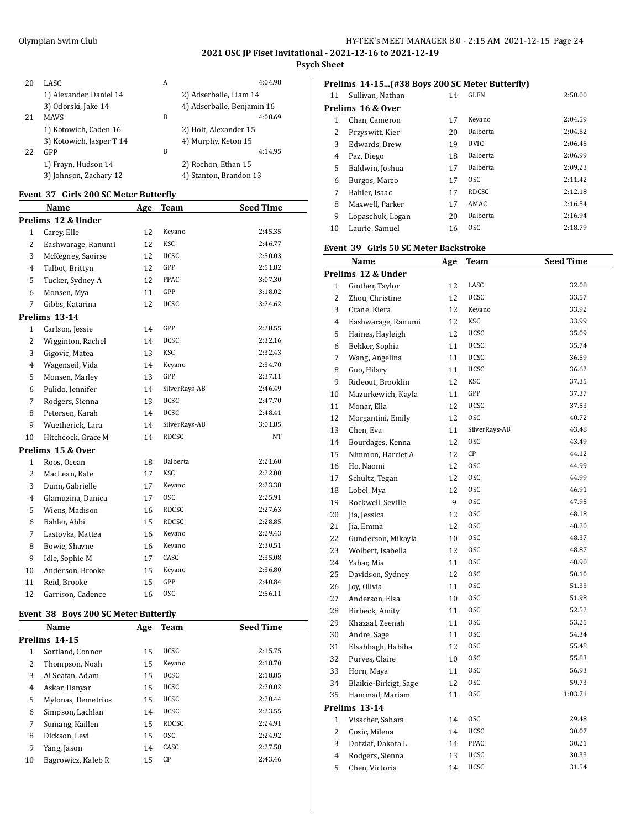## **Psych Sheet**

| 20 | LASC.                    | A | 4:04.98                    |
|----|--------------------------|---|----------------------------|
|    | 1) Alexander, Daniel 14  |   | 2) Adserballe, Liam 14     |
|    | 3) Odorski, Jake 14      |   | 4) Adserballe, Benjamin 16 |
| 21 | <b>MAVS</b>              | B | 4:08.69                    |
|    | 1) Kotowich, Caden 16    |   | 2) Holt, Alexander 15      |
|    | 3) Kotowich, Jasper T 14 |   | 4) Murphy, Keton 15        |
| 22 | GPP                      | B | 4:14.95                    |
|    | 1) Frayn, Hudson 14      |   | 2) Rochon, Ethan 15        |
|    | 3) Johnson, Zachary 12   |   | 4) Stanton, Brandon 13     |

## **Event 37 Girls 200 SC Meter Butterfly**

|                | Name               | Age | <b>Team</b>     | <b>Seed Time</b> |
|----------------|--------------------|-----|-----------------|------------------|
|                | Prelims 12 & Under |     |                 |                  |
| $\mathbf{1}$   | Carey, Elle        | 12  | Keyano          | 2:45.35          |
| $\overline{c}$ | Eashwarage, Ranumi | 12  | <b>KSC</b>      | 2:46.77          |
| 3              | McKegney, Saoirse  | 12  | <b>UCSC</b>     | 2:50.03          |
| $\overline{4}$ | Talbot, Brittyn    | 12  | GPP             | 2:51.82          |
| 5              | Tucker, Sydney A   | 12  | PPAC            | 3:07.30          |
| 6              | Monsen, Mya        | 11  | GPP             | 3:18.02          |
| 7              | Gibbs, Katarina    | 12  | UCSC            | 3:24.62          |
|                | Prelims 13-14      |     |                 |                  |
| $\mathbf{1}$   | Carlson, Jessie    | 14  | GPP             | 2:28.55          |
| $\overline{2}$ | Wigginton, Rachel  | 14  | <b>UCSC</b>     | 2:32.16          |
| 3              | Gigovic, Matea     | 13  | <b>KSC</b>      | 2:32.43          |
| 4              | Wagenseil, Vida    | 14  | Keyano          | 2:34.70          |
| 5              | Monsen, Marley     | 13  | GPP             | 2:37.11          |
| 6              | Pulido, Jennifer   | 14  | SilverRays-AB   | 2:46.49          |
| 7              | Rodgers, Sienna    | 13  | <b>UCSC</b>     | 2:47.70          |
| 8              | Petersen, Karah    | 14  | <b>UCSC</b>     | 2:48.41          |
| 9              | Wuetherick, Lara   | 14  | SilverRays-AB   | 3:01.85          |
| 10             | Hitchcock, Grace M | 14  | <b>RDCSC</b>    | NT               |
|                | Prelims 15 & Over  |     |                 |                  |
| $\mathbf{1}$   | Roos, Ocean        | 18  | <b>Ualberta</b> | 2:21.60          |
| $\overline{2}$ | MacLean, Kate      | 17  | <b>KSC</b>      | 2:22.00          |
| 3              | Dunn, Gabrielle    | 17  | Keyano          | 2:23.38          |
| 4              | Glamuzina, Danica  | 17  | <b>OSC</b>      | 2:25.91          |
| 5              | Wiens, Madison     | 16  | <b>RDCSC</b>    | 2:27.63          |
| 6              | Bahler, Abbi       | 15  | <b>RDCSC</b>    | 2:28.85          |
| 7              | Lastovka, Mattea   | 16  | Keyano          | 2:29.43          |
| 8              | Bowie, Shayne      | 16  | Keyano          | 2:30.51          |
| 9              | Idle, Sophie M     | 17  | CASC            | 2:35.08          |
| 10             | Anderson, Brooke   | 15  | Keyano          | 2:36.80          |
| 11             | Reid, Brooke       | 15  | GPP             | 2:40.84          |
| 12             | Garrison, Cadence  | 16  | <b>OSC</b>      | 2:56.11          |
|                |                    |     |                 |                  |

#### **Event 38 Boys 200 SC Meter Butterfly**

|    | Name               | Age | Team         | <b>Seed Time</b> |
|----|--------------------|-----|--------------|------------------|
|    | Prelims 14-15      |     |              |                  |
| 1  | Sortland, Connor   | 15  | <b>UCSC</b>  | 2:15.75          |
| 2  | Thompson, Noah     | 15  | Keyano       | 2:18.70          |
| 3  | Al Seafan, Adam    | 15  | <b>UCSC</b>  | 2:18.85          |
| 4  | Askar, Danyar      | 15  | <b>UCSC</b>  | 2:20.02          |
| 5  | Mylonas, Demetrios | 15  | <b>UCSC</b>  | 2:20.44          |
| 6  | Simpson, Lachlan   | 14  | <b>UCSC</b>  | 2:23.55          |
| 7  | Sumang, Kaillen    | 15  | <b>RDCSC</b> | 2:24.91          |
| 8  | Dickson, Levi      | 15  | <b>OSC</b>   | 2:24.92          |
| 9  | Yang, Jason        | 14  | CASC         | 2:27.58          |
| 10 | Bagrowicz, Kaleb R | 15  | CP           | 2:43.46          |

## **Prelims 14-15...(#38 Boys 200 SC Meter Butterfly)**

| 11 | Sullivan, Nathan  | 14 | <b>GLEN</b>     | 2:50.00 |
|----|-------------------|----|-----------------|---------|
|    | Prelims 16 & Over |    |                 |         |
| 1  | Chan, Cameron     | 17 | Keyano          | 2:04.59 |
| 2  | Przyswitt, Kier   | 20 | <b>Ualberta</b> | 2:04.62 |
| 3  | Edwards, Drew     | 19 | <b>UVIC</b>     | 2:06.45 |
| 4  | Paz, Diego        | 18 | Ualberta        | 2:06.99 |
| 5  | Baldwin, Joshua   | 17 | <b>Ualberta</b> | 2:09.23 |
| 6  | Burgos, Marco     | 17 | <sub>OSC</sub>  | 2:11.42 |
| 7  | Bahler, Isaac     | 17 | <b>RDCSC</b>    | 2:12.18 |
| 8  | Maxwell, Parker   | 17 | AMAC            | 2:16.54 |
| 9  | Lopaschuk, Logan  | 20 | Ualberta        | 2:16.94 |
| 10 | Laurie, Samuel    | 16 | <sub>OSC</sub>  | 2:18.79 |
|    |                   |    |                 |         |

#### **Event 39 Girls 50 SC Meter Backstroke**

|                | <b>Name</b>           | <u>Age</u> | <b>Team</b>   | <b>Seed Time</b> |
|----------------|-----------------------|------------|---------------|------------------|
|                | Prelims 12 & Under    |            |               |                  |
| $\mathbf{1}$   | Ginther, Taylor       | 12         | LASC          | 32.08            |
| 2              | Zhou, Christine       | 12         | <b>UCSC</b>   | 33.57            |
| 3              | Crane, Kiera          | 12         | Keyano        | 33.92            |
| 4              | Eashwarage, Ranumi    | 12         | <b>KSC</b>    | 33.99            |
| 5              | Haines, Hayleigh      | 12         | UCSC          | 35.09            |
| 6              | Bekker, Sophia        | 11         | <b>UCSC</b>   | 35.74            |
| 7              | Wang, Angelina        | 11         | UCSC          | 36.59            |
| 8              | Guo, Hilary           | 11         | <b>UCSC</b>   | 36.62            |
| 9              | Rideout, Brooklin     | 12         | KSC           | 37.35            |
| 10             | Mazurkewich, Kayla    | 11         | GPP           | 37.37            |
| 11             | Monar, Ella           | 12         | <b>UCSC</b>   | 37.53            |
| 12             | Morgantini, Emily     | 12         | <b>OSC</b>    | 40.72            |
| 13             | Chen, Eva             | 11         | SilverRays-AB | 43.48            |
| 14             | Bourdages, Kenna      | 12         | <b>OSC</b>    | 43.49            |
| 15             | Nimmon, Harriet A     | 12         | СP            | 44.12            |
| 16             | Ho, Naomi             | 12         | <b>OSC</b>    | 44.99            |
| 17             | Schultz, Tegan        | 12         | <b>OSC</b>    | 44.99            |
| 18             | Lobel, Mya            | 12         | <b>OSC</b>    | 46.91            |
| 19             | Rockwell, Seville     | 9          | <b>OSC</b>    | 47.95            |
| 20             | Jia, Jessica          | 12         | 0SC           | 48.18            |
| 21             | Jia, Emma             | 12         | <b>OSC</b>    | 48.20            |
| 22             | Gunderson, Mikayla    | 10         | <b>OSC</b>    | 48.37            |
| 23             | Wolbert, Isabella     | 12         | <b>OSC</b>    | 48.87            |
| 24             | Yabar, Mia            | 11         | 0SC           | 48.90            |
| 25             | Davidson, Sydney      | 12         | <b>OSC</b>    | 50.10            |
| 26             | Joy, Olivia           | 11         | <b>OSC</b>    | 51.33            |
| 27             | Anderson, Elsa        | 10         | 0SC           | 51.98            |
| 28             | Birbeck, Amity        | 11         | <b>OSC</b>    | 52.52            |
| 29             | Khazaal, Zeenah       | 11         | <b>OSC</b>    | 53.25            |
| 30             | Andre, Sage           | 11         | <b>OSC</b>    | 54.34            |
| 31             | Elsabbagh, Habiba     | 12         | 0SC           | 55.48            |
| 32             | Purves, Claire        | 10         | <b>OSC</b>    | 55.83            |
| 33             | Horn, Maya            | 11         | <b>OSC</b>    | 56.93            |
| 34             | Blaikie-Birkigt, Sage | 12         | 0SC           | 59.73            |
| 35             | Hammad, Mariam        | 11         | <b>OSC</b>    | 1:03.71          |
|                | Prelims 13-14         |            |               |                  |
| 1              | Visscher, Sahara      | 14         | <b>OSC</b>    | 29.48            |
| 2              | Cosic, Milena         | 14         | UCSC          | 30.07            |
| 3              | Dotzlaf, Dakota L     | 14         | PPAC          | 30.21            |
| $\overline{4}$ | Rodgers, Sienna       | 13         | <b>UCSC</b>   | 30.33            |
| 5              | Chen, Victoria        | 14         | <b>UCSC</b>   | 31.54            |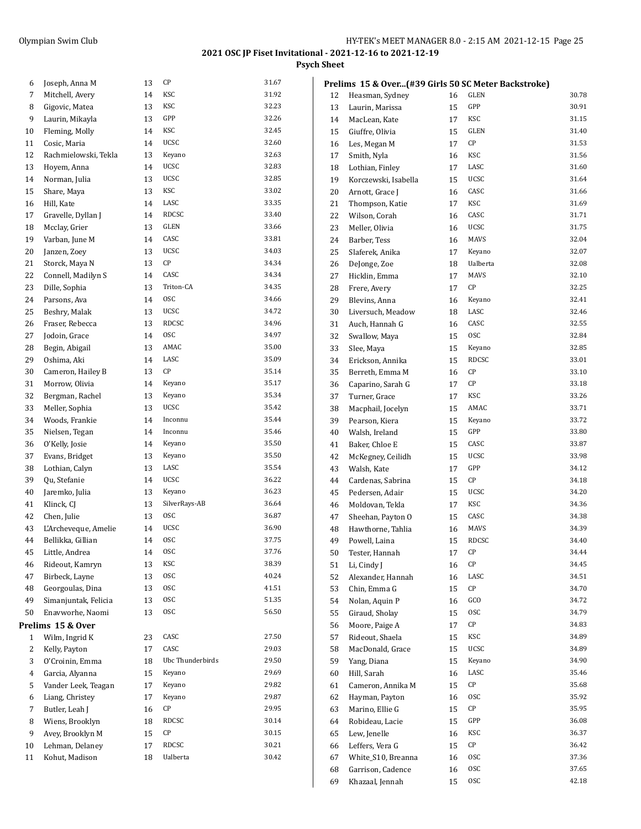**Psych Sheet**

| 6            | Joseph, Anna M       | 13 | СP               | 31.67 |
|--------------|----------------------|----|------------------|-------|
| 7            | Mitchell, Avery      | 14 | KSC              | 31.92 |
| 8            | Gigovic, Matea       | 13 | KSC              | 32.23 |
| 9            | Laurin, Mikayla      | 13 | GPP              | 32.26 |
| 10           | Fleming, Molly       | 14 | KSC              | 32.45 |
| 11           | Cosic, Maria         | 14 | <b>UCSC</b>      | 32.60 |
| 12           | Rachmielowski, Tekla | 13 | Keyano           | 32.63 |
| 13           | Hoyem, Anna          | 14 | <b>UCSC</b>      | 32.83 |
| 14           | Norman, Julia        | 13 | <b>UCSC</b>      | 32.85 |
| 15           | Share, Maya          | 13 | KSC              | 33.02 |
| 16           | Hill, Kate           | 14 | LASC             | 33.35 |
| 17           | Gravelle, Dyllan J   | 14 | RDCSC            | 33.40 |
| 18           | Mcclay, Grier        | 13 | GLEN             | 33.66 |
| 19           | Varban, June M       | 14 | CASC             | 33.81 |
| 20           | Janzen, Zoey         | 13 | <b>UCSC</b>      | 34.03 |
| 21           | Storck, Maya N       | 13 | СP               | 34.34 |
| 22           | Connell, Madilyn S   | 14 | CASC             | 34.34 |
| 23           | Dille, Sophia        | 13 | Triton-CA        | 34.35 |
| 24           | Parsons, Ava         | 14 | <b>OSC</b>       | 34.66 |
| 25           | Beshry, Malak        | 13 | UCSC             | 34.72 |
| 26           | Fraser, Rebecca      | 13 | RDCSC            | 34.96 |
| 27           | Jodoin, Grace        | 14 | <b>OSC</b>       | 34.97 |
| 28           | Begin, Abigail       | 13 | AMAC             | 35.00 |
| 29           | Oshima, Aki          | 14 | LASC             | 35.09 |
| 30           | Cameron, Hailey B    | 13 | СP               | 35.14 |
| 31           | Morrow, Olivia       | 14 | Keyano           | 35.17 |
| 32           | Bergman, Rachel      | 13 | Keyano           | 35.34 |
| 33           | Meller, Sophia       | 13 | <b>UCSC</b>      | 35.42 |
| 34           | Woods, Frankie       | 14 | Inconnu          | 35.44 |
| 35           | Nielsen, Tegan       | 14 | Inconnu          | 35.46 |
| 36           | O'Kelly, Josie       | 14 | Keyano           | 35.50 |
| 37           | Evans, Bridget       | 13 | Keyano           | 35.50 |
| 38           | Lothian, Calyn       | 13 | LASC             | 35.54 |
| 39           | Qu, Stefanie         | 14 | <b>UCSC</b>      | 36.22 |
| 40           | Jaremko, Julia       | 13 | Keyano           | 36.23 |
| 41           | Klinck, CJ           | 13 | SilverRays-AB    | 36.64 |
| 42           | Chen, Julie          | 13 | 0SC              | 36.87 |
| 43           | L'Archeveque, Amelie | 14 | <b>UCSC</b>      | 36.90 |
| 44           | Bellikka, Gillian    | 14 | <b>OSC</b>       | 37.75 |
| 45           | Little, Andrea       | 14 | 0SC              | 37.76 |
| 46           | Rideout, Kamryn      | 13 | KSC              | 38.39 |
| 47           | Birbeck, Layne       | 13 | 0SC              | 40.24 |
| 48           | Georgoulas, Dina     | 13 | 0SC              | 41.51 |
| 49           | Simanjuntak, Felicia | 13 | <b>OSC</b>       | 51.35 |
| 50           | Enavworhe, Naomi     | 13 | 0SC              | 56.50 |
|              | Prelims 15 & Over    |    |                  |       |
| $\mathbf{1}$ | Wilm, Ingrid K       | 23 | CASC             | 27.50 |
| 2            | Kelly, Payton        | 17 | CASC             | 29.03 |
| 3            | O'Croinin, Emma      | 18 | Ubc Thunderbirds | 29.50 |
| 4            | Garcia, Alyanna      | 15 | Keyano           | 29.69 |
| 5            | Vander Leek, Teagan  | 17 | Keyano           | 29.82 |
| 6            | Liang, Christey      | 17 | Keyano           | 29.87 |
| 7            | Butler, Leah J       | 16 | СP               | 29.95 |
| 8            | Wiens, Brooklyn      | 18 | RDCSC            | 30.14 |
| 9            | Avey, Brooklyn M     | 15 | СP               | 30.15 |
| 10           | Lehman, Delaney      | 17 | RDCSC            | 30.21 |
| 11           | Kohut, Madison       | 18 | Ualberta         | 30.42 |
|              |                      |    |                  |       |

|    | Prelims 15 & Over(#39 Girls 50 SC Meter Backstroke) |    |              |       |
|----|-----------------------------------------------------|----|--------------|-------|
| 12 | Heasman, Sydney                                     | 16 | GLEN         | 30.78 |
| 13 | Laurin, Marissa                                     | 15 | GPP          | 30.91 |
| 14 | MacLean, Kate                                       | 17 | KSC          | 31.15 |
| 15 | Giuffre, Olivia                                     | 15 | <b>GLEN</b>  | 31.40 |
| 16 | Les, Megan M                                        | 17 | СP           | 31.53 |
| 17 | Smith, Nyla                                         | 16 | KSC          | 31.56 |
| 18 | Lothian, Finley                                     | 17 | LASC         | 31.60 |
| 19 | Korczewski, Isabella                                | 15 | UCSC         | 31.64 |
| 20 | Arnott, Grace J                                     | 16 | CASC         | 31.66 |
| 21 | Thompson, Katie                                     | 17 | KSC          | 31.69 |
| 22 | Wilson, Corah                                       | 16 | CASC         | 31.71 |
| 23 | Meller, Olivia                                      | 16 | UCSC         | 31.75 |
| 24 | Barber, Tess                                        | 16 | MAVS         | 32.04 |
| 25 | Slaferek, Anika                                     | 17 | Keyano       | 32.07 |
| 26 | DeJonge, Zoe                                        | 18 | Ualberta     | 32.08 |
| 27 | Hicklin, Emma                                       | 17 | MAVS         | 32.10 |
| 28 | Frere, Avery                                        | 17 | СP           | 32.25 |
| 29 | Blevins, Anna                                       | 16 | Keyano       | 32.41 |
| 30 | Liversuch, Meadow                                   | 18 | LASC         | 32.46 |
| 31 | Auch, Hannah G                                      | 16 | CASC         | 32.55 |
| 32 | Swallow, Maya                                       | 15 | 0SC          | 32.84 |
| 33 | Slee, Maya                                          | 15 | Keyano       | 32.85 |
| 34 | Erickson, Annika                                    | 15 | <b>RDCSC</b> | 33.01 |
| 35 | Berreth, Emma M                                     | 16 | CР           | 33.10 |
| 36 | Caparino, Sarah G                                   | 17 | СP           | 33.18 |
| 37 | Turner, Grace                                       | 17 | KSC          | 33.26 |
| 38 | Macphail, Jocelyn                                   | 15 | AMAC         | 33.71 |
| 39 | Pearson, Kiera                                      | 15 | Keyano       | 33.72 |
| 40 | Walsh, Ireland                                      | 15 | GPP          | 33.80 |
| 41 | Baker, Chloe E                                      | 15 | CASC         | 33.87 |
| 42 | McKegney, Ceilidh                                   | 15 | UCSC         | 33.98 |
| 43 | Walsh, Kate                                         | 17 | GPP          | 34.12 |
| 44 | Cardenas, Sabrina                                   | 15 | CР           | 34.18 |
| 45 | Pedersen, Adair                                     | 15 | UCSC         | 34.20 |
| 46 | Moldovan, Tekla                                     | 17 | KSC          | 34.36 |
| 47 | Sheehan, Payton O                                   | 15 | CASC         | 34.38 |
| 48 | Hawthorne, Tahlia                                   | 16 | MAVS         | 34.39 |
| 49 | Powell, Laina                                       | 15 | <b>RDCSC</b> | 34.40 |
| 50 | Tester, Hannah                                      | 17 | CР           | 34.44 |
| 51 | Li, Cindy J                                         | 16 | СP           | 34.45 |
| 52 | Alexander, Hannah                                   | 16 | LASC         | 34.51 |
| 53 | Chin, Emma G                                        | 15 | СP           | 34.70 |
| 54 | Nolan, Aquin P                                      | 16 | GCO          | 34.72 |
| 55 | Giraud, Sholay                                      | 15 | 0SC          | 34.79 |
| 56 | Moore, Paige A                                      | 17 | СP           | 34.83 |
| 57 | Rideout, Shaela                                     | 15 | KSC          | 34.89 |
| 58 | MacDonald, Grace                                    | 15 | UCSC         | 34.89 |
| 59 | Yang, Diana                                         | 15 | Keyano       | 34.90 |
| 60 | Hill, Sarah                                         | 16 | LASC         | 35.46 |
| 61 | Cameron, Annika M                                   | 15 | СP           | 35.68 |
| 62 | Hayman, Payton                                      | 16 | 0SC          | 35.92 |
| 63 | Marino, Ellie G                                     | 15 | СP           | 35.95 |
| 64 | Robideau, Lacie                                     | 15 | GPP          | 36.08 |
| 65 | Lew, Jenelle                                        | 16 | KSC          | 36.37 |
| 66 | Leffers, Vera G                                     | 15 | СP           | 36.42 |
| 67 | White_S10, Breanna                                  | 16 | 0SC          | 37.36 |
| 68 | Garrison, Cadence                                   | 16 | 0SC          | 37.65 |
| 69 | Khazaal, Jennah                                     | 15 | <b>OSC</b>   | 42.18 |
|    |                                                     |    |              |       |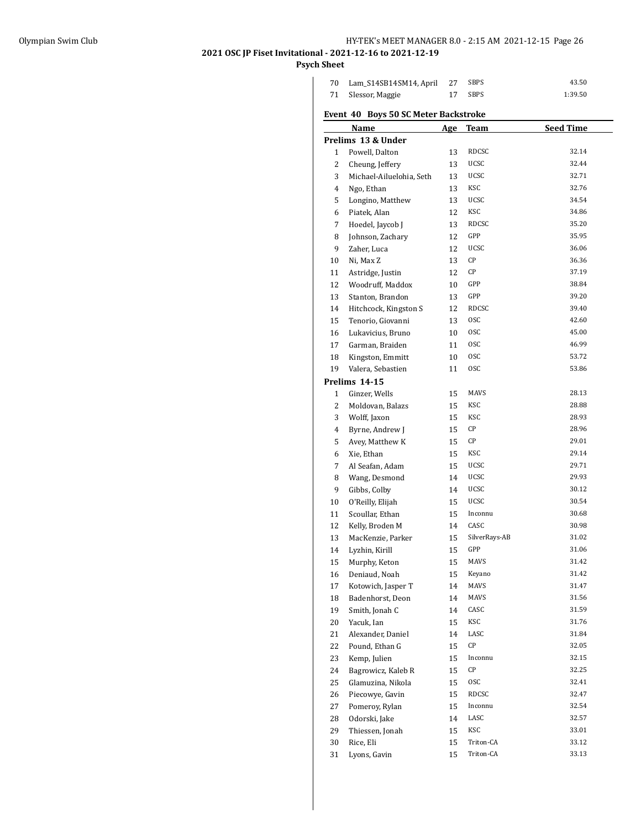## Olympian Swim Club HY-TEK's MEET MANAGER 8.0 - 2:15 AM 2021-12-15 Page 26

## **2021 OSC JP Fiset Invitational - 2021-12-16 to 2021-12-19**

## **Psych Sheet**

| 70 Lam_S14SB14SM14, April 27 | SBPS    | 43.50   |
|------------------------------|---------|---------|
| 71 Slessor, Maggie           | 17 SBPS | 1:39.50 |

## **Event 40 Boys 50 SC Meter Backstroke**

|              | <b>Name</b>              | Age | <b>Team</b>   | <b>Seed Time</b> |
|--------------|--------------------------|-----|---------------|------------------|
|              | Prelims 13 & Under       |     |               |                  |
| $\mathbf{1}$ | Powell, Dalton           | 13  | RDCSC         | 32.14            |
| 2            | Cheung, Jeffery          | 13  | UCSC          | 32.44            |
| 3            | Michael-Ailuelohia, Seth | 13  | UCSC          | 32.71            |
| 4            | Ngo, Ethan               | 13  | KSC           | 32.76            |
| 5            | Longino, Matthew         | 13  | UCSC          | 34.54            |
| 6            | Piatek, Alan             | 12  | KSC           | 34.86            |
| 7            | Hoedel, Jaycob J         | 13  | RDCSC         | 35.20            |
| 8            | Johnson, Zachary         | 12  | GPP           | 35.95            |
| 9            | Zaher, Luca              | 12  | UCSC          | 36.06            |
| 10           | Ni, Max Z                | 13  | CP            | 36.36            |
| 11           | Astridge, Justin         | 12  | CP            | 37.19            |
| 12           | Woodruff, Maddox         | 10  | GPP           | 38.84            |
| 13           | Stanton, Brandon         | 13  | GPP           | 39.20            |
| 14           | Hitchcock, Kingston S    | 12  | RDCSC         | 39.40            |
| 15           | Tenorio, Giovanni        | 13  | 0SC           | 42.60            |
| 16           | Lukavicius, Bruno        | 10  | 0SC           | 45.00            |
| 17           | Garman, Braiden          | 11  | 0SC           | 46.99            |
| 18           | Kingston, Emmitt         | 10  | 0SC           | 53.72            |
| 19           | Valera, Sebastien        | 11  | 0SC           | 53.86            |
|              | Prelims 14-15            |     |               |                  |
| 1            | Ginzer, Wells            | 15  | MAVS          | 28.13            |
| 2            | Moldovan, Balazs         | 15  | KSC           | 28.88            |
| 3            | Wolff, Jaxon             | 15  | KSC           | 28.93            |
|              |                          |     | СP            | 28.96            |
| 4            | Byrne, Andrew J          | 15  | СP            | 29.01            |
| 5            | Avey, Matthew K          | 15  | KSC           | 29.14            |
| 6            | Xie, Ethan               | 15  | UCSC          | 29.71            |
| 7            | Al Seafan, Adam          | 15  |               | 29.93            |
| 8            | Wang, Desmond            | 14  | UCSC          |                  |
| 9            | Gibbs, Colby             | 14  | UCSC          | 30.12            |
| 10           | O'Reilly, Elijah         | 15  | UCSC          | 30.54            |
| 11           | Scoullar, Ethan          | 15  | Inconnu       | 30.68            |
| 12           | Kelly, Broden M          | 14  | CASC          | 30.98            |
| 13           | MacKenzie, Parker        | 15  | SilverRays-AB | 31.02            |
| 14           | Lyzhin, Kirill           | 15  | GPP           | 31.06            |
| 15           | Murphy, Keton            | 15  | MAVS          | 31.42            |
| 16           | Deniaud, Noah            | 15  | Keyano        | 31.42            |
| 17           | Kotowich, Jasper T       | 14  | <b>MAVS</b>   | 31.47            |
| 18           | Badenhorst, Deon         | 14  | MAVS          | 31.56            |
| 19           | Smith, Jonah C           | 14  | CASC          | 31.59            |
| 20           | Yacuk, Ian               | 15  | KSC           | 31.76            |
| 21           | Alexander, Daniel        | 14  | LASC          | 31.84            |
| 22           | Pound, Ethan G           | 15  | СP            | 32.05            |
| 23           | Kemp, Julien             | 15  | Inconnu       | 32.15            |
| 24           | Bagrowicz, Kaleb R       | 15  | СP            | 32.25            |
| 25           | Glamuzina, Nikola        | 15  | 0SC           | 32.41            |
| 26           | Piecowye, Gavin          | 15  | RDCSC         | 32.47            |
| 27           | Pomerov, Rylan           | 15  | Inconnu       | 32.54            |
| 28           | Odorski, Jake            | 14  | LASC          | 32.57            |
| 29           | Thiessen, Jonah          | 15  | KSC           | 33.01            |
| 30           | Rice, Eli                | 15  | Triton-CA     | 33.12            |
| 31           | Lyons, Gavin             | 15  | Triton-CA     | 33.13            |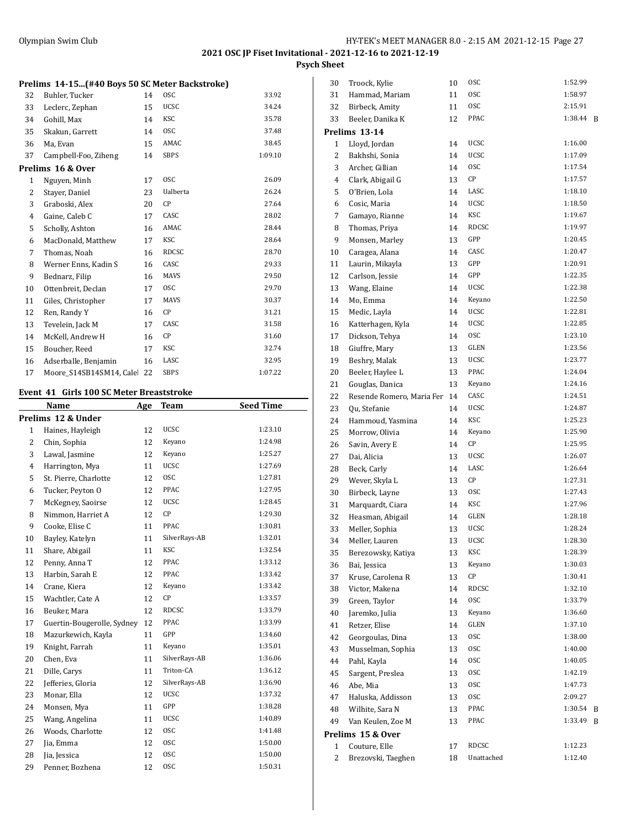**Psych Sheet**

| 32           | Buhler, Tucker          | 14 | <b>OSC</b>   | 33.92   |
|--------------|-------------------------|----|--------------|---------|
| 33           | Leclerc, Zephan         | 15 | <b>UCSC</b>  | 34.24   |
| 34           | Gohill, Max             | 14 | KSC          | 35.78   |
| 35           | Skakun, Garrett         | 14 | <b>OSC</b>   | 37.48   |
| 36           | Ma, Evan                | 15 | AMAC         | 38.45   |
| 37           | Campbell-Foo, Ziheng    | 14 | <b>SBPS</b>  | 1:09.10 |
|              | Prelims 16 & Over       |    |              |         |
| $\mathbf{1}$ | Nguyen, Minh            | 17 | <b>OSC</b>   | 26.09   |
| 2            | Stayer, Daniel          | 23 | Ualberta     | 26.24   |
| 3            | Graboski, Alex          | 20 | СP           | 27.64   |
| 4            | Gaine, Caleb C          | 17 | CASC         | 28.02   |
| 5            | Scholly, Ashton         | 16 | AMAC         | 28.44   |
| 6            | MacDonald, Matthew      | 17 | <b>KSC</b>   | 28.64   |
| 7            | Thomas, Noah            | 16 | <b>RDCSC</b> | 28.70   |
| 8            | Werner Enns, Kadin S    | 16 | CASC         | 29.33   |
| 9            | Bednarz, Filip          | 16 | <b>MAVS</b>  | 29.50   |
| 10           | Ottenbreit, Declan      | 17 | <b>OSC</b>   | 29.70   |
| 11           | Giles, Christopher      | 17 | <b>MAVS</b>  | 30.37   |
| 12           | Ren, Randy Y            | 16 | CP           | 31.21   |
| 13           | Tevelein, Jack M        | 17 | CASC         | 31.58   |
| 14           | McKell, Andrew H        | 16 | CP           | 31.60   |
| 15           | Boucher, Reed           | 17 | <b>KSC</b>   | 32.74   |
| 16           | Adserballe, Benjamin    | 16 | LASC         | 32.95   |
| 17           | Moore S14SB14SM14. Cale | 22 | <b>SBPS</b>  | 1:07.22 |

#### **Event 41 Girls 100 SC Meter Breaststroke**

| Name                  |    | Team                              | <b>Seed Time</b> |
|-----------------------|----|-----------------------------------|------------------|
| Prelims 12 & Under    |    |                                   |                  |
| Haines, Hayleigh      | 12 | <b>UCSC</b>                       | 1:23.10          |
| Chin, Sophia          | 12 | Keyano                            | 1:24.98          |
| Lawal, Jasmine        | 12 | Keyano                            | 1:25.27          |
| Harrington, Mya       | 11 | <b>UCSC</b>                       | 1:27.69          |
| St. Pierre, Charlotte | 12 | <b>OSC</b>                        | 1:27.81          |
| Tucker, Peyton O      | 12 | PPAC                              | 1:27.95          |
| McKegney, Saoirse     | 12 | <b>UCSC</b>                       | 1:28.45          |
| Nimmon, Harriet A     | 12 | CP                                | 1:29.30          |
| Cooke, Elise C        | 11 | <b>PPAC</b>                       | 1:30.81          |
| Bayley, Katelyn       | 11 | SilverRays-AB                     | 1:32.01          |
| Share, Abigail        | 11 | <b>KSC</b>                        | 1:32.54          |
| Penny, Anna T         | 12 | PPAC                              | 1:33.12          |
| Harbin, Sarah E       | 12 | PPAC                              | 1:33.42          |
| Crane, Kiera          | 12 | Keyano                            | 1:33.42          |
| Wachtler, Cate A      | 12 | CP                                | 1:33.57          |
| Beuker, Mara          | 12 | <b>RDCSC</b>                      | 1:33.79          |
|                       | 12 | PPAC                              | 1:33.99          |
| Mazurkewich, Kayla    | 11 | GPP                               | 1:34.60          |
| Knight, Farrah        | 11 | Keyano                            | 1:35.01          |
| Chen, Eva             | 11 | SilverRays-AB                     | 1:36.06          |
| Dille, Carys          | 11 | Triton-CA                         | 1:36.12          |
| Jefferies, Gloria     | 12 | SilverRays-AB                     | 1:36.90          |
| Monar, Ella           | 12 | <b>UCSC</b>                       | 1:37.32          |
| Monsen, Mya           | 11 | GPP                               | 1:38.28          |
| Wang, Angelina        | 11 | <b>UCSC</b>                       | 1:40.89          |
| Woods, Charlotte      | 12 | <b>OSC</b>                        | 1:41.48          |
| Jia, Emma             | 12 | <b>OSC</b>                        | 1:50.00          |
| Jia, Jessica          | 12 | <b>OSC</b>                        | 1:50.00          |
| Penner, Bozhena       | 12 | <b>OSC</b>                        | 1:50.31          |
|                       |    | Age<br>Guertin-Bougerolle, Sydney |                  |

| 30 | Troock, Kylie             | 10 | 0SC         | 1:52.99 |   |
|----|---------------------------|----|-------------|---------|---|
| 31 | Hammad, Mariam            | 11 | 0SC         | 1:58.97 |   |
| 32 | Birbeck, Amity            | 11 | 0SC         | 2:15.91 |   |
| 33 | Beeler, Danika K          | 12 | PPAC        | 1:38.44 | B |
|    | Prelims 13-14             |    |             |         |   |
| 1  | Lloyd, Jordan             | 14 | UCSC        | 1:16.00 |   |
| 2  | Bakhshi, Sonia            | 14 | UCSC        | 1:17.09 |   |
| 3  | Archer, Gillian           | 14 | 0SC         | 1:17.54 |   |
| 4  | Clark, Abigail G          | 13 | СP          | 1:17.57 |   |
| 5  | O'Brien, Lola             | 14 | LASC        | 1:18.10 |   |
| 6  | Cosic, Maria              | 14 | <b>UCSC</b> | 1:18.50 |   |
| 7  | Gamayo, Rianne            | 14 | KSC         | 1:19.67 |   |
| 8  | Thomas, Priya             | 14 | RDCSC       | 1:19.97 |   |
| 9  | Monsen, Marley            | 13 | GPP         | 1:20.45 |   |
| 10 | Caragea, Alana            | 14 | CASC        | 1:20.47 |   |
| 11 | Laurin, Mikayla           | 13 | GPP         | 1:20.91 |   |
| 12 | Carlson, Jessie           | 14 | GPP         | 1:22.35 |   |
|    | Wang, Elaine              | 14 | UCSC        | 1:22.38 |   |
| 13 |                           |    |             | 1:22.50 |   |
| 14 | Mo, Emma                  | 14 | Keyano      |         |   |
| 15 | Medic, Layla              | 14 | UCSC        | 1:22.81 |   |
| 16 | Katterhagen, Kyla         | 14 | UCSC        | 1:22.85 |   |
| 17 | Dickson, Tehya            | 14 | 0SC         | 1:23.10 |   |
| 18 | Giuffre, Mary             | 13 | GLEN        | 1:23.56 |   |
| 19 | Beshry, Malak             | 13 | UCSC        | 1:23.77 |   |
| 20 | Beeler, Haylee L          | 13 | PPAC        | 1:24.04 |   |
| 21 | Gouglas, Danica           | 13 | Keyano      | 1:24.16 |   |
| 22 | Resende Romero, Maria Fer | 14 | CASC        | 1:24.51 |   |
| 23 | Qu, Stefanie              | 14 | UCSC        | 1:24.87 |   |
| 24 | Hammoud, Yasmina          | 14 | KSC         | 1:25.23 |   |
| 25 | Morrow, Olivia            | 14 | Keyano      | 1:25.90 |   |
| 26 | Savin, Avery E            | 14 | СP          | 1:25.95 |   |
| 27 | Dai, Alicia               | 13 | UCSC        | 1:26.07 |   |
| 28 | Beck, Carly               | 14 | LASC        | 1:26.64 |   |
| 29 | Wever, Skyla L            | 13 | СP          | 1:27.31 |   |
| 30 | Birbeck, Layne            | 13 | 0SC         | 1:27.43 |   |
| 31 | Marquardt, Ciara          | 14 | KSC         | 1:27.96 |   |
| 32 | Heasman, Abigail          | 14 | GLEN        | 1:28.18 |   |
| 33 | Meller, Sophia            | 13 | <b>UCSC</b> | 1:28.24 |   |
| 34 | Meller, Lauren            | 13 | <b>UCSC</b> | 1:28.30 |   |
| 35 | Berezowsky, Katiya        | 13 | KSC         | 1:28.39 |   |
| 36 | Bai, Jessica              | 13 | Keyano      | 1:30.03 |   |
| 37 | Kruse, Carolena R         | 13 | СP          | 1:30.41 |   |
| 38 | Victor, Makena            | 14 | RDCSC       | 1:32.10 |   |
| 39 | Green, Taylor             | 14 | 0SC         | 1:33.79 |   |
| 40 | Jaremko, Julia            | 13 | Keyano      | 1:36.60 |   |
| 41 | Retzer, Elise             | 14 | <b>GLEN</b> | 1:37.10 |   |
| 42 | Georgoulas, Dina          | 13 | 0SC         | 1:38.00 |   |
| 43 | Musselman, Sophia         | 13 | 0SC         | 1:40.00 |   |
| 44 | Pahl, Kayla               | 14 | 0SC         | 1:40.05 |   |
| 45 | Sargent, Preslea          | 13 | 0SC         | 1:42.19 |   |
| 46 | Abe, Mia                  | 13 | 0SC         | 1:47.73 |   |
| 47 | Haluska, Addisson         | 13 | 0SC         | 2:09.27 |   |
| 48 | Wilhite, Sara N           | 13 | PPAC        | 1:30.54 | B |
| 49 | Van Keulen, Zoe M         | 13 | PPAC        | 1:33.49 | B |
|    | Prelims 15 & Over         |    |             |         |   |
| 1  | Couture, Elle             | 17 | RDCSC       | 1:12.23 |   |
| 2  | Brezovski, Taeghen        | 18 | Unattached  | 1:12.40 |   |
|    |                           |    |             |         |   |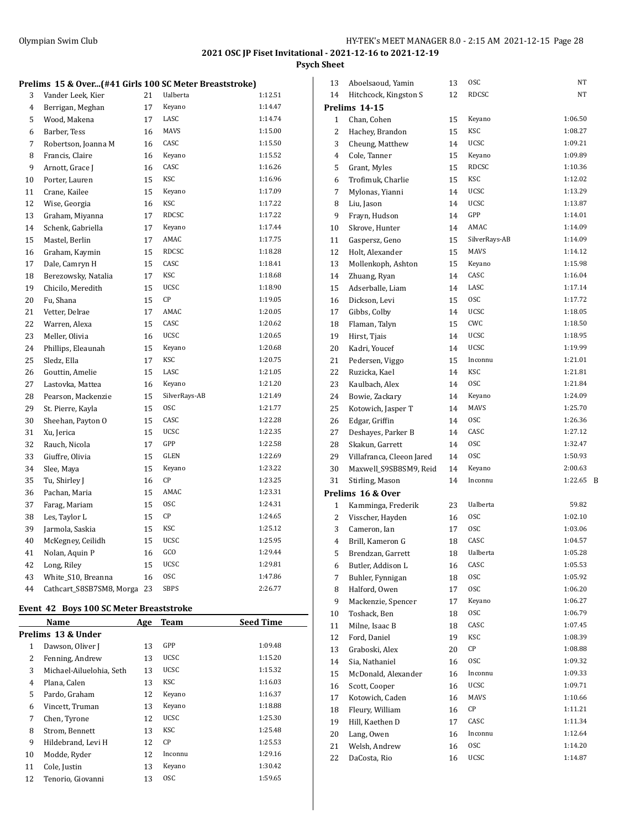## **Psych Sheet**

## **Prelims 15 & Over...(#41 Girls 100 SC Meter Breaststroke)**

| 3  | Vander Leek, Kier        | 21 | Ualberta      | 1:12.51 |
|----|--------------------------|----|---------------|---------|
| 4  | Berrigan, Meghan         | 17 | Keyano        | 1:14.47 |
| 5  | Wood, Makena             | 17 | LASC          | 1:14.74 |
| 6  | Barber, Tess             | 16 | <b>MAVS</b>   | 1:15.00 |
| 7  | Robertson, Joanna M      | 16 | CASC          | 1:15.50 |
| 8  | Francis, Claire          | 16 | Keyano        | 1:15.52 |
| 9  | Arnott, Grace J          | 16 | CASC          | 1:16.26 |
| 10 | Porter, Lauren           | 15 | KSC           | 1:16.96 |
| 11 | Crane, Kailee            | 15 | Keyano        | 1:17.09 |
| 12 | Wise, Georgia            | 16 | KSC           | 1:17.22 |
| 13 | Graham, Miyanna          | 17 | <b>RDCSC</b>  | 1:17.22 |
| 14 | Schenk, Gabriella        | 17 | Keyano        | 1:17.44 |
| 15 | Mastel, Berlin           | 17 | AMAC          | 1:17.75 |
| 16 | Graham, Kaymin           | 15 | <b>RDCSC</b>  | 1:18.28 |
| 17 | Dale, Camryn H           | 15 | CASC          | 1:18.41 |
| 18 | Berezowsky, Natalia      | 17 | <b>KSC</b>    | 1:18.68 |
| 19 | Chicilo, Meredith        | 15 | <b>UCSC</b>   | 1:18.90 |
| 20 | Fu, Shana                | 15 | CP            | 1:19.05 |
| 21 | Vetter, Delrae           | 17 | AMAC          | 1:20.05 |
| 22 | Warren, Alexa            | 15 | CASC          | 1:20.62 |
| 23 | Meller, Olivia           | 16 | <b>UCSC</b>   | 1:20.65 |
| 24 | Phillips, Eleaunah       | 15 | Keyano        | 1:20.68 |
| 25 | Sledz, Ella              | 17 | KSC           | 1:20.75 |
| 26 | Gouttin, Amelie          | 15 | LASC          | 1:21.05 |
| 27 | Lastovka, Mattea         | 16 | Keyano        | 1:21.20 |
| 28 | Pearson, Mackenzie       | 15 | SilverRays-AB | 1:21.49 |
| 29 | St. Pierre, Kayla        | 15 | <b>OSC</b>    | 1:21.77 |
| 30 | Sheehan, Payton O        | 15 | CASC          | 1:22.28 |
| 31 | Xu, Jerica               | 15 | <b>UCSC</b>   | 1:22.35 |
| 32 | Rauch, Nicola            | 17 | GPP           | 1:22.58 |
| 33 | Giuffre, Olivia          | 15 | GLEN          | 1:22.69 |
| 34 | Slee, Maya               | 15 | Keyano        | 1:23.22 |
| 35 | Tu, Shirley J            | 16 | CP            | 1:23.25 |
| 36 | Pachan, Maria            | 15 | AMAC          | 1:23.31 |
| 37 | Farag, Mariam            | 15 | <b>OSC</b>    | 1:24.31 |
| 38 | Les, Taylor L            | 15 | CP            | 1:24.65 |
| 39 | Jarmola, Saskia          | 15 | KSC           | 1:25.12 |
| 40 | McKegney, Ceilidh        | 15 | <b>UCSC</b>   | 1:25.95 |
| 41 | Nolan, Aquin P           | 16 | GCO           | 1:29.44 |
| 42 | Long, Riley              | 15 | <b>UCSC</b>   | 1:29.81 |
| 43 | White_S10, Breanna       | 16 | <b>OSC</b>    | 1:47.86 |
| 44 | Cathcart_S8SB7SM8, Morga | 23 | <b>SBPS</b>   | 2:26.77 |

## **Event 42 Boys 100 SC Meter Breaststroke**

|    | Name                     | Age | Team        | <b>Seed Time</b> |
|----|--------------------------|-----|-------------|------------------|
|    | Prelims 13 & Under       |     |             |                  |
| 1  | Dawson, Oliver J         | 13  | GPP         | 1:09.48          |
| 2  | Fenning, Andrew          | 13  | <b>UCSC</b> | 1:15.20          |
| 3  | Michael-Ailuelohia, Seth | 13  | <b>UCSC</b> | 1:15.32          |
| 4  | Plana, Calen             | 13  | KSC         | 1:16.03          |
| 5  | Pardo, Graham            | 12  | Keyano      | 1:16.37          |
| 6  | Vincett, Truman          | 13  | Keyano      | 1:18.88          |
| 7  | Chen, Tyrone             | 12  | <b>UCSC</b> | 1:25.30          |
| 8  | Strom, Bennett           | 13  | KSC         | 1:25.48          |
| 9  | Hildebrand, Levi H       | 12  | CP          | 1:25.53          |
| 10 | Modde, Ryder             | 12  | Inconnu     | 1:29.16          |
| 11 | Cole, Justin             | 13  | Keyano      | 1:30.42          |
| 12 | Tenorio, Giovanni        | 13  | <b>OSC</b>  | 1:59.65          |

| 13             | Aboelsaoud, Yamin                  | 13 | <b>OSC</b>    | NT      |   |
|----------------|------------------------------------|----|---------------|---------|---|
| 14             | Hitchcock, Kingston S              | 12 | <b>RDCSC</b>  | NΤ      |   |
|                | Prelims 14-15                      |    |               |         |   |
| 1              | Chan, Cohen                        | 15 | Keyano        | 1:06.50 |   |
| 2              | Hachey, Brandon                    | 15 | <b>KSC</b>    | 1:08.27 |   |
| 3              | Cheung, Matthew                    | 14 | <b>UCSC</b>   | 1:09.21 |   |
| 4              | Cole, Tanner                       | 15 | Keyano        | 1:09.89 |   |
| 5              | Grant, Myles                       | 15 | <b>RDCSC</b>  | 1:10.36 |   |
| 6              | Trofimuk, Charlie                  | 15 | KSC           | 1:12.02 |   |
| 7              | Mylonas, Yianni                    | 14 | <b>UCSC</b>   | 1:13.29 |   |
| 8              | Liu, Jason                         | 14 | UCSC          | 1:13.87 |   |
| 9              | Frayn, Hudson                      | 14 | GPP           | 1:14.01 |   |
| 10             | Skrove, Hunter                     | 14 | AMAC          | 1:14.09 |   |
| 11             | Gaspersz, Geno                     | 15 | SilverRays-AB | 1:14.09 |   |
| 12             | Holt, Alexander                    | 15 | <b>MAVS</b>   | 1:14.12 |   |
|                |                                    |    | Keyano        | 1:15.98 |   |
| 13             | Mollenkoph, Ashton                 | 15 | CASC          | 1:16.04 |   |
| 14             | Zhuang, Ryan                       | 14 |               |         |   |
| 15             | Adserballe, Liam                   | 14 | LASC          | 1:17.14 |   |
| 16             | Dickson, Levi                      | 15 | <b>OSC</b>    | 1:17.72 |   |
| 17             | Gibbs, Colby                       | 14 | UCSC          | 1:18.05 |   |
| 18             | Flaman, Talyn                      | 15 | CWC           | 1:18.50 |   |
| 19             | Hirst, Tjais                       | 14 | UCSC          | 1:18.95 |   |
| 20             | Kadri, Youcef                      | 14 | <b>UCSC</b>   | 1:19.99 |   |
| 21             | Pedersen, Viggo                    | 15 | Inconnu       | 1:21.01 |   |
| 22             | Ruzicka, Kael                      | 14 | <b>KSC</b>    | 1:21.81 |   |
| 23             | Kaulbach, Alex                     | 14 | <b>OSC</b>    | 1:21.84 |   |
| 24             | Bowie, Zackary                     | 14 | Keyano        | 1:24.09 |   |
| 25             | Kotowich, Jasper T                 | 14 | <b>MAVS</b>   | 1:25.70 |   |
| 26             | Edgar, Griffin                     | 14 | <b>OSC</b>    | 1:26.36 |   |
| 27             | Deshayes, Parker B                 | 14 | CASC          | 1:27.12 |   |
| 28             | Skakun, Garrett                    | 14 | <b>OSC</b>    | 1:32.47 |   |
| 29             | Villafranca, Cleeon Jared          | 14 | <b>OSC</b>    | 1:50.93 |   |
| 30             | Maxwell_S9SB8SM9, Reid             | 14 | Keyano        | 2:00.63 |   |
| 31             | Stirling, Mason                    | 14 | Inconnu       | 1:22.65 | B |
|                | Prelims 16 & Over                  |    |               |         |   |
| 1              | Kamminga, Frederik                 | 23 | Ualberta      | 59.82   |   |
| 2              | Visscher, Hayden                   | 16 | <b>OSC</b>    | 1:02.10 |   |
| 3              | Cameron, Ian                       | 17 | <b>OSC</b>    | 1:03.06 |   |
| $\overline{4}$ | Brill, Kameron G                   | 18 | CASC          | 1:04.57 |   |
| 5              | Brendzan, Garrett                  | 18 | Ualberta      | 1:05.28 |   |
| 6              | Butler, Addison L                  | 16 | CASC          | 1:05.53 |   |
| 7              | Buhler, Fynnigan                   | 18 | 0SC           | 1:05.92 |   |
| 8              | Halford, Owen                      | 17 | 0SC           | 1:06.20 |   |
| 9              |                                    |    | Keyano        | 1:06.27 |   |
|                | Mackenzie, Spencer<br>Toshack, Ben | 17 | 0SC           | 1:06.79 |   |
| 10             |                                    | 18 |               |         |   |
| 11             | Milne, Isaac B                     | 18 | CASC          | 1:07.45 |   |
| 12             | Ford, Daniel                       | 19 | KSC           | 1:08.39 |   |
| 13             | Graboski, Alex                     | 20 | СP            | 1:08.88 |   |
| 14             | Sia, Nathaniel                     | 16 | 0SC           | 1:09.32 |   |
| 15             | McDonald, Alexander                | 16 | Inconnu       | 1:09.33 |   |
| 16             | Scott, Cooper                      | 16 | UCSC          | 1:09.71 |   |
| 17             | Kotowich, Caden                    | 16 | MAVS          | 1:10.66 |   |
| 18             | Fleury, William                    | 16 | СP            | 1:11.21 |   |
| 19             | Hill, Kaethen D                    | 17 | CASC          | 1:11.34 |   |
| 20             | Lang, Owen                         | 16 | Inconnu       | 1:12.64 |   |
| 21             | Welsh, Andrew                      | 16 | 0SC           | 1:14.20 |   |
| 22             | DaCosta, Rio                       | 16 | UCSC          | 1:14.87 |   |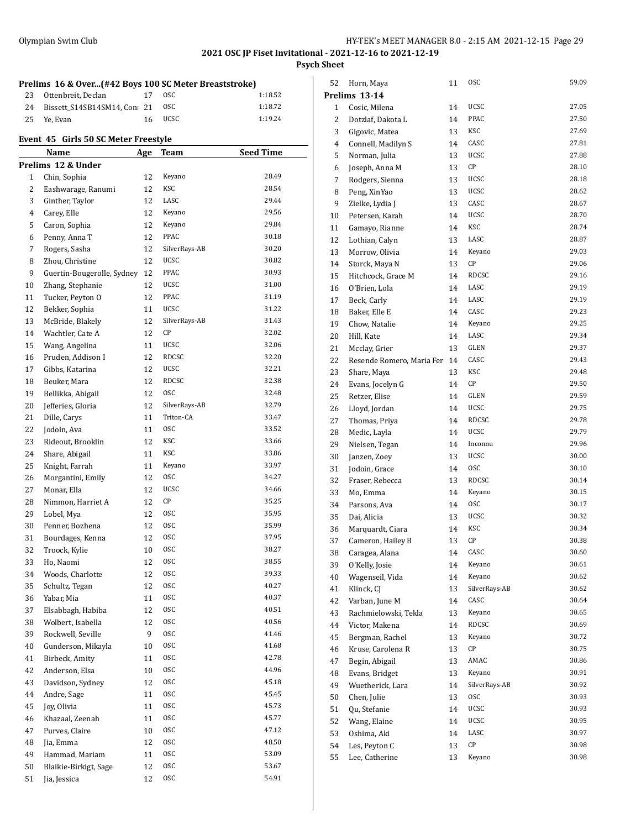**Psych Sheet**

#### **Prelims 16 & Over...(#42 Boys 100 SC Meter Breaststroke)** 23 Ottenbreit, Declan 17 OSC 1:18.52

| -- |                                |         |         |
|----|--------------------------------|---------|---------|
|    | 24 Bissett S14SB14SM14, Con 21 | OSC.    | 1:18.72 |
|    | 25 Ye. Evan                    | 16 UCSC | 1:19.24 |

## **Event 45 Girls 50 SC Meter Freestyle**

|    | Name                       | Age | <u>Team</u>   | <b>Seed Time</b> |
|----|----------------------------|-----|---------------|------------------|
|    | Prelims 12 & Under         |     |               |                  |
| 1  | Chin, Sophia               | 12  | Keyano        | 28.49            |
| 2  | Eashwarage, Ranumi         | 12  | KSC           | 28.54            |
| 3  | Ginther, Taylor            | 12  | LASC          | 29.44            |
| 4  | Carey, Elle                | 12  | Keyano        | 29.56            |
| 5  | Caron, Sophia              | 12  | Keyano        | 29.84            |
| 6  | Penny, Anna T              | 12  | PPAC          | 30.18            |
| 7  | Rogers, Sasha              | 12  | SilverRays-AB | 30.20            |
| 8  | Zhou, Christine            | 12  | <b>UCSC</b>   | 30.82            |
| 9  | Guertin-Bougerolle, Sydney | 12  | PPAC          | 30.93            |
| 10 | Zhang, Stephanie           | 12  | <b>UCSC</b>   | 31.00            |
| 11 | Tucker, Peyton O           | 12  | PPAC          | 31.19            |
| 12 | Bekker, Sophia             | 11  | <b>UCSC</b>   | 31.22            |
| 13 | McBride, Blakely           | 12  | SilverRays-AB | 31.43            |
| 14 | Wachtler, Cate A           | 12  | CP            | 32.02            |
| 15 | Wang, Angelina             | 11  | <b>UCSC</b>   | 32.06            |
| 16 | Pruden, Addison I          | 12  | <b>RDCSC</b>  | 32.20            |
|    |                            | 12  | <b>UCSC</b>   | 32.21            |
| 17 | Gibbs, Katarina            |     | RDCSC         | 32.38            |
| 18 | Beuker, Mara               | 12  | <b>OSC</b>    | 32.48            |
| 19 | Bellikka, Abigail          | 12  |               |                  |
| 20 | Jefferies, Gloria          | 12  | SilverRays-AB | 32.79            |
| 21 | Dille, Carys               | 11  | Triton-CA     | 33.47            |
| 22 | Jodoin, Ava                | 11  | <b>OSC</b>    | 33.52            |
| 23 | Rideout, Brooklin          | 12  | KSC           | 33.66            |
| 24 | Share, Abigail             | 11  | <b>KSC</b>    | 33.86            |
| 25 | Knight, Farrah             | 11  | Keyano        | 33.97            |
| 26 | Morgantini, Emily          | 12  | <b>OSC</b>    | 34.27            |
| 27 | Monar, Ella                | 12  | <b>UCSC</b>   | 34.66            |
| 28 | Nimmon, Harriet A          | 12  | CP            | 35.25            |
| 29 | Lobel, Mya                 | 12  | <b>OSC</b>    | 35.95            |
| 30 | Penner, Bozhena            | 12  | <b>OSC</b>    | 35.99            |
| 31 | Bourdages, Kenna           | 12  | <b>OSC</b>    | 37.95            |
| 32 | Troock, Kylie              | 10  | <b>OSC</b>    | 38.27            |
| 33 | Ho, Naomi                  | 12  | <b>OSC</b>    | 38.55            |
| 34 | Woods, Charlotte           | 12  | <b>OSC</b>    | 39.33            |
| 35 | Schultz, Tegan             | 12  | <b>OSC</b>    | 40.27            |
| 36 | Yabar, Mia                 | 11  | <b>OSC</b>    | 40.37            |
| 37 | Elsabbagh, Habiba          | 12  | <b>OSC</b>    | 40.51            |
| 38 | Wolbert, Isabella          | 12  | 0SC           | 40.56            |
| 39 | Rockwell, Seville          | 9   | 0SC           | 41.46            |
| 40 | Gunderson, Mikayla         | 10  | <b>OSC</b>    | 41.68            |
| 41 | Birbeck, Amity             | 11  | 0SC           | 42.78            |
| 42 | Anderson, Elsa             | 10  | 0SC           | 44.96            |
| 43 | Davidson, Sydney           | 12  | 0SC           | 45.18            |
| 44 | Andre, Sage                | 11  | 0SC           | 45.45            |
| 45 | Joy, Olivia                | 11  | 0SC           | 45.73            |
| 46 | Khazaal, Zeenah            | 11  | <b>OSC</b>    | 45.77            |
| 47 | Purves, Claire             | 10  | 0SC           | 47.12            |
| 48 | Jia, Emma                  | 12  | 0SC           | 48.50            |
| 49 | Hammad, Mariam             | 11  | 0SC           | 53.09            |
| 50 | Blaikie-Birkigt, Sage      | 12  | 0SC           | 53.67            |
| 51 | Jia, Jessica               | 12  | 0SC           | 54.91            |

| 52           | Horn, Maya                           | 11       | 0SC             | 59.09          |
|--------------|--------------------------------------|----------|-----------------|----------------|
|              | Prelims 13-14                        |          |                 |                |
| $\mathbf{1}$ | Cosic, Milena                        | 14       | <b>UCSC</b>     | 27.05          |
| 2            | Dotzlaf, Dakota L                    | 14       | PPAC            | 27.50          |
| 3            | Gigovic, Matea                       | 13       | KSC             | 27.69          |
| 4            | Connell, Madilyn S                   | 14       | CASC            | 27.81          |
| 5            | Norman, Julia                        | 13       | <b>UCSC</b>     | 27.88          |
| 6            | Joseph, Anna M                       | 13       | СP              | 28.10          |
| 7            | Rodgers, Sienna                      | 13       | <b>UCSC</b>     | 28.18          |
| 8            | Peng, XinYao                         | 13       | UCSC            | 28.62          |
| 9            | Zielke, Lydia J                      | 13       | CASC            | 28.67          |
| 10           | Petersen, Karah                      | 14       | <b>UCSC</b>     | 28.70          |
| 11           | Gamayo, Rianne                       | 14       | KSC             | 28.74          |
| 12           | Lothian, Calyn                       | 13       | LASC            | 28.87          |
| 13           | Morrow, Olivia                       | 14       | Keyano          | 29.03          |
| 14           | Storck, Maya N                       | 13       | СP              | 29.06          |
| 15           | Hitchcock, Grace M                   | 14       | RDCSC           | 29.16          |
| 16           | O'Brien, Lola                        | 14       | LASC            | 29.19          |
| 17           | Beck, Carly                          | 14       | LASC            | 29.19          |
| 18           | Baker, Elle E                        | 14       | CASC            | 29.23          |
| 19           | Chow, Natalie                        | 14       | Keyano          | 29.25          |
| 20           | Hill, Kate                           | 14       | LASC            | 29.34          |
| 21           | Mcclay, Grier                        | 13       | GLEN            | 29.37          |
| 22           | Resende Romero, Maria Fer            | 14       | CASC            | 29.43          |
| 23           | Share, Maya                          | 13       | KSC             | 29.48          |
| 24           | Evans, Jocelyn G                     | 14       | CР              | 29.50          |
| 25           | Retzer, Elise                        | 14       | <b>GLEN</b>     | 29.59          |
| 26           | Lloyd, Jordan                        | 14       | UCSC            | 29.75          |
| 27           | Thomas, Priya                        | 14       | RDCSC           | 29.78          |
| 28           | Medic, Layla                         | 14       | <b>UCSC</b>     | 29.79          |
| 29           | Nielsen, Tegan                       | 14       | Inconnu         | 29.96          |
| 30           | Janzen, Zoey                         | 13       | UCSC            | 30.00          |
| 31           | Jodoin, Grace                        | 14       | 0SC             | 30.10          |
| 32           | Fraser, Rebecca                      | 13       | RDCSC           | 30.14          |
| 33           | Mo, Emma                             | 14       | Keyano          | 30.15          |
| 34           | Parsons, Ava                         | 14       | <b>OSC</b>      | 30.17          |
| 35           | Dai, Alicia                          | 13       | UCSC            | 30.32          |
| 36           | Marquardt, Ciara                     | 14       | KSC             | 30.34          |
| 37           | Cameron, Hailey B                    | 13       | СP              | 30.38          |
| 38           | Caragea, Alana                       | 14       | CASC            | 30.60          |
| 39           | O'Kelly, Josie                       | 14       | Keyano          | 30.61          |
| 40           | Wagenseil, Vida                      | 14       | Keyano          | 30.62          |
| 41           | Klinck, CJ                           | 13       | SilverRays-AB   | 30.62          |
| 42           | Varban, June M                       | 14       | CASC            | 30.64          |
| 43           | Rachmielowski, Tekla                 | 13       | Keyano<br>RDCSC | 30.65          |
| 44           | Victor, Makena                       | 14       | Keyano          | 30.69<br>30.72 |
| 45           | Bergman, Rachel<br>Kruse, Carolena R | 13       | СP              | 30.75          |
| 46<br>47     | Begin, Abigail                       | 13<br>13 | AMAC            | 30.86          |
| 48           | Evans, Bridget                       | 13       | Keyano          | 30.91          |
| 49           | Wuetherick, Lara                     | 14       | SilverRays-AB   | 30.92          |
| 50           | Chen, Julie                          | 13       | 0SC             | 30.93          |
| 51           | Qu, Stefanie                         | 14       | UCSC            | 30.93          |
| 52           | Wang, Elaine                         | 14       | UCSC            | 30.95          |
| 53           | Oshima, Aki                          | 14       | LASC            | 30.97          |
| 54           | Les, Peyton C                        | 13       | СP              | 30.98          |
| 55           | Lee, Catherine                       | 13       | Keyano          | 30.98          |
|              |                                      |          |                 |                |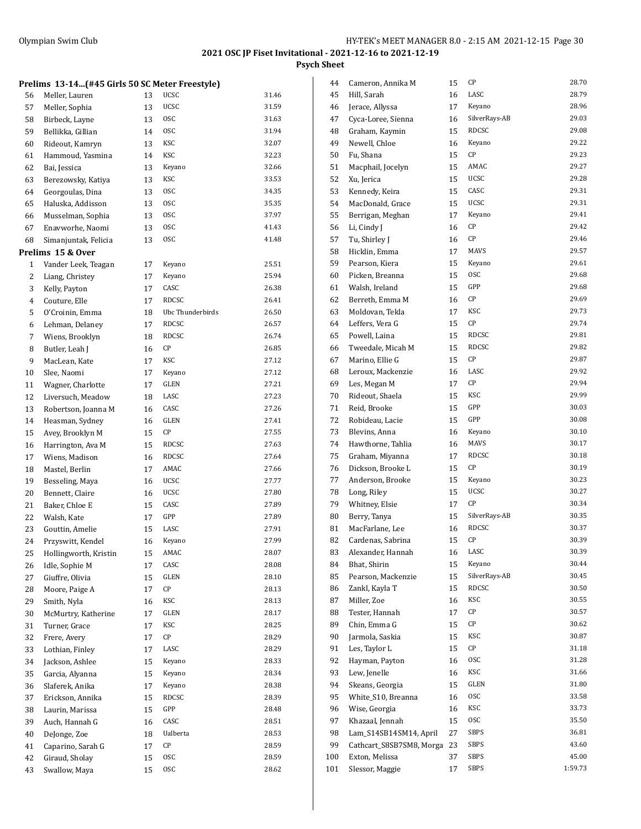**Psych Sheet**

|    | Olympian Swim Club                             |    |                  | 2021 OSC JP Fiset In |
|----|------------------------------------------------|----|------------------|----------------------|
|    | Prelims 13-14(#45 Girls 50 SC Meter Freestyle) |    |                  |                      |
| 56 | Meller, Lauren                                 | 13 | <b>UCSC</b>      | 31.46                |
| 57 | Meller, Sophia                                 | 13 | <b>UCSC</b>      | 31.59                |
| 58 | Birbeck, Layne                                 | 13 | <b>OSC</b>       | 31.63                |
| 59 | Bellikka, Gillian                              | 14 | <b>OSC</b>       | 31.94                |
| 60 | Rideout, Kamryn                                | 13 | KSC              | 32.07                |
| 61 | Hammoud, Yasmina                               | 14 | KSC              | 32.23                |
| 62 | Bai, Jessica                                   | 13 | Keyano           | 32.66                |
| 63 | Berezowsky, Katiya                             | 13 | KSC              | 33.53                |
| 64 | Georgoulas, Dina                               | 13 | <b>OSC</b>       | 34.35                |
| 65 | Haluska, Addisson                              | 13 | <b>OSC</b>       | 35.35                |
| 66 | Musselman, Sophia                              | 13 | 0SC              | 37.97                |
| 67 | Enavworhe, Naomi                               | 13 | <b>OSC</b>       | 41.43                |
| 68 | Simanjuntak, Felicia                           | 13 | <b>OSC</b>       | 41.48                |
|    | Prelims 15 & Over                              |    |                  |                      |
| 1  | Vander Leek, Teagan                            | 17 | Keyano           | 25.51                |
| 2  | Liang, Christey                                | 17 | Keyano           | 25.94                |
| 3  | Kelly, Payton                                  | 17 | CASC             | 26.38                |
| 4  | Couture, Elle                                  | 17 | <b>RDCSC</b>     | 26.41                |
| 5  | O'Croinin, Emma                                | 18 | Ubc Thunderbirds | 26.50                |
| 6  | Lehman, Delaney                                | 17 | RDCSC            | 26.57                |
| 7  | Wiens, Brooklyn                                | 18 | <b>RDCSC</b>     | 26.74                |
| 8  | Butler, Leah J                                 | 16 | СP               | 26.85                |
| 9  | MacLean, Kate                                  | 17 | KSC              | 27.12                |
| 10 | Slee, Naomi                                    | 17 | Keyano           | 27.12                |
| 11 | Wagner, Charlotte                              | 17 | GLEN             | 27.21                |
| 12 | Liversuch, Meadow                              | 18 | LASC             | 27.23                |
| 13 | Robertson, Joanna M                            | 16 | CASC             | 27.26                |
| 14 | Heasman, Sydney                                | 16 | GLEN             | 27.41                |
| 15 | Avey, Brooklyn M                               | 15 | СP               | 27.55                |
| 16 | Harrington, Ava M                              | 15 | RDCSC            | 27.63                |
| 17 | Wiens, Madison                                 | 16 | RDCSC            | 27.64                |
| 18 | Mastel, Berlin                                 | 17 | AMAC             | 27.66                |
| 19 | Besseling, Maya                                | 16 | <b>UCSC</b>      | 27.77                |
| 20 | Bennett, Claire                                | 16 | <b>UCSC</b>      | 27.80                |
| 21 | Baker, Chloe E                                 | 15 | CASC             | 27.89                |
| 22 | Walsh, Kate                                    | 17 | GPP              | 27.89                |
| 23 | Gouttin, Amelie                                | 15 | LASC             | 27.91                |
| 24 | Przyswitt, Kendel                              | 16 | Keyano           | 27.99                |
| 25 | Hollingworth, Kristin                          | 15 | AMAC             | 28.07                |
| 26 | Idle, Sophie M                                 | 17 | CASC             | 28.08                |
| 27 | Giuffre, Olivia                                | 15 | GLEN             | 28.10                |
| 28 | Moore, Paige A                                 | 17 | СP               | 28.13                |
| 29 | Smith, Nyla                                    | 16 | KSC              | 28.13                |
| 30 | McMurtry, Katherine                            | 17 | GLEN             | 28.17                |
| 31 | Turner, Grace                                  | 17 | KSC              | 28.25                |
| 32 | Frere, Avery                                   | 17 | СP               | 28.29                |
| 33 | Lothian, Finley                                | 17 | LASC             | 28.29                |
| 34 | Jackson, Ashlee                                | 15 | Keyano           | 28.33                |
| 35 | Garcia, Alyanna                                | 15 | Keyano           | 28.34                |
| 36 | Slaferek, Anika                                | 17 | Keyano           | 28.38                |
| 37 | Erickson, Annika                               | 15 | RDCSC            | 28.39                |
| 38 | Laurin, Marissa                                | 15 | GPP              | 28.48                |
| 39 | Auch, Hannah G                                 | 16 | CASC             | 28.51                |
| 40 | DeJonge, Zoe                                   | 18 | Ualberta         | 28.53                |
| 41 | Caparino, Sarah G                              | 17 | СP               | 28.59                |

42 Giraud, Sholay 15 OSC 28.59<br>43 Swallow, Maya 15 OSC 28.62 Swallow, Maya 15 OSC 28.62

| 44       | Cameron, Annika M              | 15 | CР            | 28.70   |
|----------|--------------------------------|----|---------------|---------|
| 45       | Hill, Sarah                    | 16 | LASC          | 28.79   |
| 46       | Jerace, Allyssa                | 17 | Keyano        | 28.96   |
| 47       | Cyca-Loree, Sienna             | 16 | SilverRays-AB | 29.03   |
| 48       | Graham, Kaymin                 | 15 | RDCSC         | 29.08   |
| 49       | Newell, Chloe                  | 16 | Keyano        | 29.22   |
| 50       | Fu, Shana                      | 15 | СP            | 29.23   |
| 51       | Macphail, Jocelyn              | 15 | AMAC          | 29.27   |
| 52       | Xu, Jerica                     | 15 | UCSC          | 29.28   |
| 53       | Kennedy, Keira                 | 15 | CASC          | 29.31   |
| 54       | MacDonald, Grace               | 15 | UCSC          | 29.31   |
| 55       | Berrigan, Meghan               | 17 | Keyano        | 29.41   |
| 56       | Li, Cindy J                    | 16 | СP            | 29.42   |
| 57       | Tu, Shirley J                  | 16 | СP            | 29.46   |
| 58       | Hicklin, Emma                  | 17 | <b>MAVS</b>   | 29.57   |
| 59       | Pearson, Kiera                 | 15 | Keyano        | 29.61   |
| 60       | Picken, Breanna                | 15 | <b>OSC</b>    | 29.68   |
| 61       | Walsh, Ireland                 | 15 | GPP           | 29.68   |
| 62       | Berreth, Emma M                | 16 | CР            | 29.69   |
| 63       | Moldovan, Tekla                | 17 | KSC           | 29.73   |
| 64       | Leffers, Vera G                | 15 | СP            | 29.74   |
| 65       | Powell, Laina                  | 15 | RDCSC         | 29.81   |
| 66       | Tweedale, Micah M              | 15 | RDCSC         | 29.82   |
| 67       | Marino, Ellie G                | 15 | СP            | 29.87   |
| 68       | Leroux, Mackenzie              | 16 | LASC          | 29.92   |
| 69       | Les, Megan M                   | 17 | СP            | 29.94   |
| 70       | Rideout, Shaela                | 15 | KSC           | 29.99   |
| 71       | Reid, Brooke                   | 15 | GPP           | 30.03   |
| 72       | Robideau, Lacie                | 15 | GPP           | 30.08   |
| 73       | Blevins, Anna                  | 16 | Keyano        | 30.10   |
| 74       | Hawthorne, Tahlia              | 16 | MAVS          | 30.17   |
| 75       | Graham, Miyanna                | 17 | <b>RDCSC</b>  | 30.18   |
| 76       | Dickson, Brooke L              | 15 | СP            | 30.19   |
| 77       | Anderson, Brooke               | 15 | Keyano        | 30.23   |
| 78       | Long, Riley                    | 15 | UCSC          | 30.27   |
| 79       | Whitney, Elsie                 | 17 | СP            | 30.34   |
| 80       | Berry, Tanya                   | 15 | SilverRays-AB | 30.35   |
| 81       | MacFarlane, Lee                | 16 | <b>RDCSC</b>  | 30.37   |
| 82       | Cardenas, Sabrina              | 15 | СP            | 30.39   |
| 83       | Alexander, Hannah              | 16 | LASC          | 30.39   |
| 84       | Bhat, Shirin                   | 15 | Keyano        | 30.44   |
| 85       | Pearson, Mackenzie             | 15 | SilverRays-AB | 30.45   |
| 86       | Zankl, Kayla T                 | 15 | <b>RDCSC</b>  | 30.50   |
| 87       | Miller, Zoe                    | 16 | KSC           | 30.55   |
| 88       | Tester, Hannah                 | 17 | СP            | 30.57   |
| 89       | Chin, Emma G                   | 15 | СP            | 30.62   |
| 90       | Jarmola, Saskia                | 15 | KSC           | 30.87   |
|          | Les, Taylor L                  |    | СP            | 31.18   |
| 91<br>92 |                                | 15 | 0SC           | 31.28   |
| 93       | Hayman, Payton<br>Lew, Jenelle | 16 | KSC           | 31.66   |
|          |                                | 16 | GLEN          | 31.80   |
| 94       | Skeans, Georgia                | 15 |               |         |
| 95       | White_S10, Breanna             | 16 | 0SC           | 33.58   |
| 96       | Wise, Georgia                  | 16 | KSC           | 33.73   |
| 97       | Khazaal, Jennah                | 15 | 0SC           | 35.50   |
| 98       | Lam_S14SB14SM14, April         | 27 | SBPS          | 36.81   |
| 99       | Cathcart_S8SB7SM8, Morga       | 23 | SBPS          | 43.60   |
| 100      | Exton, Melissa                 | 37 | SBPS          | 45.00   |
| 101      | Slessor, Maggie                | 17 | SBPS          | 1:59.73 |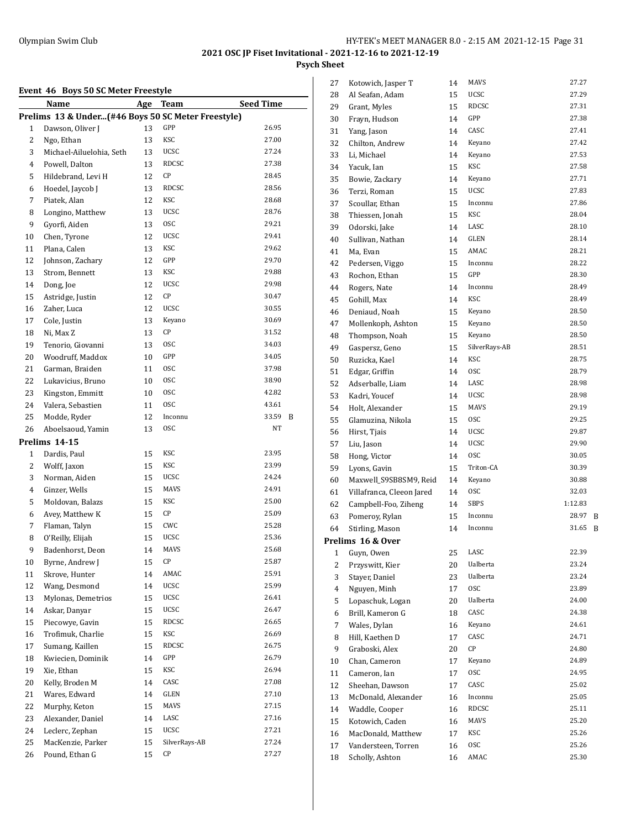## **2021 OSC JP Fiset Invitational - 2021-12-16 to 2021-12-19 Psych Sheet**

#### **Event 46 Boys 50 SC Meter Freestyle**

|                | EVEIIL 40 DOYS 50 SC MELEI FIEESLYIE               |            |                     |                  |   |
|----------------|----------------------------------------------------|------------|---------------------|------------------|---|
|                | <u>Name</u>                                        | <u>Age</u> | <b>Team</b>         | <b>Seed Time</b> |   |
|                | Prelims 13 & Under(#46 Boys 50 SC Meter Freestyle) |            |                     |                  |   |
| 1              | Dawson, Oliver J                                   | 13         | GPP                 | 26.95            |   |
| 2              | Ngo, Ethan                                         | 13         | KSC                 | 27.00            |   |
| 3              | Michael-Ailuelohia, Seth                           | 13         | <b>UCSC</b>         | 27.24            |   |
| 4              | Powell, Dalton                                     | 13         | RDCSC               | 27.38            |   |
| 5              | Hildebrand, Levi H                                 | 12         | СP                  | 28.45            |   |
| 6              | Hoedel, Jaycob J                                   | 13         | RDCSC               | 28.56            |   |
| 7              | Piatek, Alan                                       | 12         | KSC                 | 28.68            |   |
| 8              | Longino, Matthew                                   | 13         | <b>UCSC</b>         | 28.76            |   |
| 9              | Gyorfi, Aiden                                      | 13         | 0SC                 | 29.21            |   |
| 10             | Chen, Tyrone                                       | 12         | <b>UCSC</b>         | 29.41            |   |
| 11             | Plana, Calen                                       | 13         | KSC                 | 29.62            |   |
| 12             | Johnson, Zachary                                   | 12         | GPP                 | 29.70            |   |
| 13             | Strom, Bennett                                     | 13         | KSC                 | 29.88            |   |
| 14             | Dong, Joe                                          | 12         | <b>UCSC</b>         | 29.98            |   |
| 15             | Astridge, Justin                                   | 12         | СP                  | 30.47            |   |
| 16             | Zaher, Luca                                        | 12         | <b>UCSC</b>         | 30.55            |   |
| 17             | Cole, Justin                                       | 13         | Keyano              | 30.69            |   |
| 18             | Ni, Max Z                                          | 13         | СP                  | 31.52            |   |
| 19             | Tenorio, Giovanni                                  | 13         | 0SC                 | 34.03            |   |
| 20             | Woodruff, Maddox                                   | 10         | GPP                 | 34.05            |   |
| 21             | Garman, Braiden                                    | 11         | 0SC                 | 37.98            |   |
| 22             | Lukavicius, Bruno                                  | 10         | 0SC                 | 38.90            |   |
| 23             | Kingston, Emmitt                                   | 10         | 0SC                 | 42.82            |   |
| 24             | Valera, Sebastien                                  | 11         | <b>OSC</b>          | 43.61            |   |
| 25             | Modde, Ryder                                       | 12         | Inconnu             | 33.59            | B |
| 26             | Aboelsaoud, Yamin                                  | 13         | 0SC                 | NT               |   |
|                | Prelims 14-15                                      |            |                     |                  |   |
| 1              | Dardis, Paul                                       | 15         | KSC                 | 23.95            |   |
| $\overline{c}$ | Wolff, Jaxon                                       | 15         | KSC                 | 23.99            |   |
| 3              | Norman, Aiden                                      | 15         | UCSC                | 24.24            |   |
| 4              | Ginzer, Wells                                      | 15         | MAVS                | 24.91            |   |
| 5              | Moldovan, Balazs                                   | 15         | KSC                 | 25.00            |   |
| 6              | Avey, Matthew K                                    | 15         | CP                  | 25.09            |   |
| 7              | Flaman, Talyn                                      | 15         | CWC                 | 25.28            |   |
| 8              | O'Reilly, Elijah                                   | 15         | UCSC                | 25.36            |   |
| 9              | Badenhorst, Deon                                   |            | MAVS                | 25.68            |   |
|                | Byrne, Andrew J                                    | 14<br>15   | СP                  | 25.87            |   |
| 10             |                                                    |            | AMAC                | 25.91            |   |
| 11             | Skrove, Hunter                                     | 14         | <b>UCSC</b>         | 25.99            |   |
| 12             | Wang, Desmond                                      | 14         |                     |                  |   |
| 13             | Mylonas, Demetrios                                 | 15         | UCSC<br><b>UCSC</b> | 26.41            |   |
| 14             | Askar, Danyar                                      | 15         | <b>RDCSC</b>        | 26.47<br>26.65   |   |
| 15             | Piecowye, Gavin                                    | 15         |                     |                  |   |
| 16             | Trofimuk, Charlie                                  | 15         | KSC                 | 26.69            |   |
| 17             | Sumang, Kaillen                                    | 15         | RDCSC               | 26.75            |   |
| 18             | Kwiecien, Dominik                                  | 14         | GPP                 | 26.79            |   |
| 19             | Xie, Ethan                                         | 15         | KSC                 | 26.94            |   |
| 20             | Kelly, Broden M                                    | 14         | CASC                | 27.08            |   |
| 21             | Wares, Edward                                      | 14         | GLEN                | 27.10            |   |
| 22             | Murphy, Keton                                      | 15         | MAVS                | 27.15            |   |
| 23             | Alexander, Daniel                                  | 14         | LASC                | 27.16            |   |
| 24             | Leclerc, Zephan                                    | 15         | UCSC                | 27.21            |   |
| 25             | MacKenzie, Parker                                  | 15         | SilverRays-AB       | 27.24            |   |
| 26             | Pound, Ethan G                                     | 15         | СP                  | 27.27            |   |

| 27 | Kotowich, Jasper T        | 14 | MAVS          | 27.27   |   |
|----|---------------------------|----|---------------|---------|---|
| 28 | Al Seafan, Adam           | 15 | UCSC          | 27.29   |   |
| 29 | Grant, Myles              | 15 | RDCSC         | 27.31   |   |
| 30 | Frayn, Hudson             | 14 | GPP           | 27.38   |   |
| 31 | Yang, Jason               | 14 | CASC          | 27.41   |   |
| 32 | Chilton, Andrew           | 14 | Keyano        | 27.42   |   |
| 33 | Li, Michael               | 14 | Keyano        | 27.53   |   |
| 34 | Yacuk, Ian                | 15 | KSC           | 27.58   |   |
| 35 | Bowie, Zackary            | 14 | Keyano        | 27.71   |   |
| 36 | Terzi, Roman              | 15 | <b>UCSC</b>   | 27.83   |   |
| 37 | Scoullar, Ethan           | 15 | Inconnu       | 27.86   |   |
| 38 | Thiessen, Jonah           | 15 | KSC           | 28.04   |   |
| 39 | Odorski, Jake             | 14 | LASC          | 28.10   |   |
| 40 | Sullivan, Nathan          | 14 | GLEN          | 28.14   |   |
| 41 | Ma, Evan                  | 15 | AMAC          | 28.21   |   |
| 42 | Pedersen, Viggo           | 15 | Inconnu       | 28.22   |   |
| 43 | Rochon, Ethan             | 15 | GPP           | 28.30   |   |
| 44 | Rogers, Nate              | 14 | Inconnu       | 28.49   |   |
| 45 | Gohill, Max               | 14 | KSC           | 28.49   |   |
| 46 | Deniaud, Noah             | 15 | Keyano        | 28.50   |   |
| 47 | Mollenkoph, Ashton        | 15 | Keyano        | 28.50   |   |
| 48 | Thompson, Noah            | 15 | Keyano        | 28.50   |   |
| 49 | Gaspersz, Geno            | 15 | SilverRays-AB | 28.51   |   |
| 50 | Ruzicka, Kael             | 14 | KSC           | 28.75   |   |
| 51 |                           |    | <b>OSC</b>    | 28.79   |   |
|    | Edgar, Griffin            | 14 | LASC          | 28.98   |   |
| 52 | Adserballe, Liam          | 14 | <b>UCSC</b>   | 28.98   |   |
| 53 | Kadri, Youcef             | 14 | MAVS          | 29.19   |   |
| 54 | Holt, Alexander           | 15 |               |         |   |
| 55 | Glamuzina, Nikola         | 15 | 0SC           | 29.25   |   |
| 56 | Hirst, Tjais              | 14 | <b>UCSC</b>   | 29.87   |   |
| 57 | Liu, Jason                | 14 | <b>UCSC</b>   | 29.90   |   |
| 58 | Hong, Victor              | 14 | <b>OSC</b>    | 30.05   |   |
| 59 | Lyons, Gavin              | 15 | Triton-CA     | 30.39   |   |
| 60 | Maxwell_S9SB8SM9, Reid    | 14 | Keyano        | 30.88   |   |
| 61 | Villafranca, Cleeon Jared | 14 | 0SC           | 32.03   |   |
| 62 | Campbell-Foo, Ziheng      | 14 | SBPS          | 1:12.83 |   |
| 63 | Pomeroy, Rylan            | 15 | Inconnu       | 28.97   | B |
| 64 | Stirling, Mason           | 14 | Inconnu       | 31.65   | B |
|    | Prelims 16 & Over         |    |               |         |   |
| 1  | Guyn, Owen                | 25 | LASC          | 22.39   |   |
| 2  | Przyswitt, Kier           | 20 | Ualberta      | 23.24   |   |
| 3  | Stayer, Daniel            | 23 | Ualberta      | 23.24   |   |
| 4  | Nguyen, Minh              | 17 | <b>OSC</b>    | 23.89   |   |
| 5  | Lopaschuk, Logan          | 20 | Ualberta      | 24.00   |   |
| 6  | Brill, Kameron G          | 18 | CASC          | 24.38   |   |
| 7  | Wales, Dylan              | 16 | Keyano        | 24.61   |   |
| 8  | Hill, Kaethen D           | 17 | CASC          | 24.71   |   |
| 9  | Graboski, Alex            | 20 | СP            | 24.80   |   |
| 10 | Chan, Cameron             | 17 | Keyano        | 24.89   |   |
| 11 | Cameron, Ian              | 17 | 0SC           | 24.95   |   |
| 12 | Sheehan, Dawson           | 17 | CASC          | 25.02   |   |
| 13 | McDonald, Alexander       | 16 | Inconnu       | 25.05   |   |
| 14 | Waddle, Cooper            | 16 | RDCSC         | 25.11   |   |
| 15 | Kotowich, Caden           | 16 | MAVS          | 25.20   |   |
| 16 | MacDonald, Matthew        | 17 | KSC           | 25.26   |   |
| 17 | Vandersteen, Torren       | 16 | 0SC           | 25.26   |   |
| 18 | Scholly, Ashton           | 16 | AMAC          | 25.30   |   |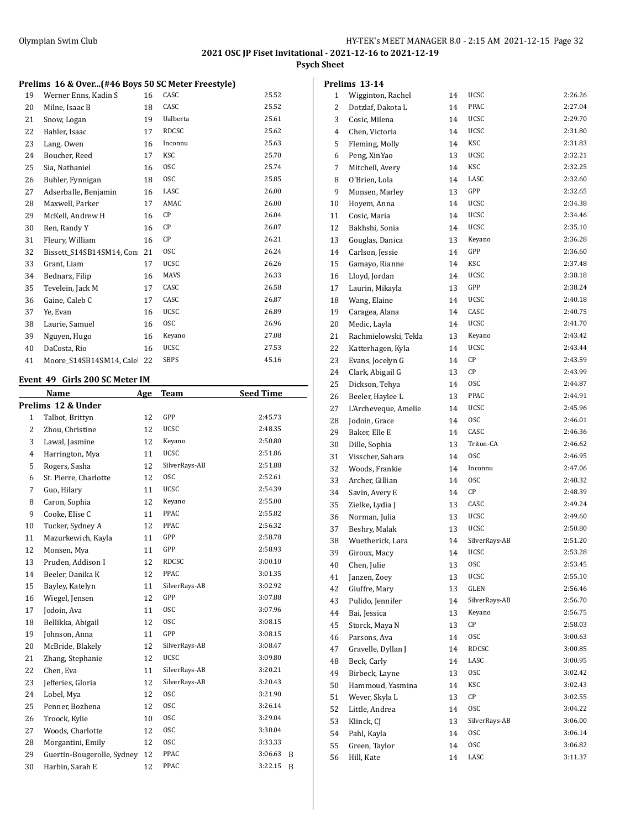**Psych Sheet**

## **Prelims 16 & Over...(#46 Boys 50 SC Meter Freestyle)**

| 19 | Werner Enns, Kadin S      | 16 | CASC        | 25.52 |
|----|---------------------------|----|-------------|-------|
| 20 | Milne, Isaac B            | 18 | CASC        | 25.52 |
| 21 | Snow, Logan               | 19 | Ualberta    | 25.61 |
| 22 | Bahler, Isaac             | 17 | RDCSC       | 25.62 |
| 23 | Lang, Owen                | 16 | Inconnu     | 25.63 |
| 24 | Boucher, Reed             | 17 | <b>KSC</b>  | 25.70 |
| 25 | Sia, Nathaniel            | 16 | <b>OSC</b>  | 25.74 |
| 26 | Buhler, Fynnigan          | 18 | <b>OSC</b>  | 25.85 |
| 27 | Adserballe, Benjamin      | 16 | LASC        | 26.00 |
| 28 | Maxwell, Parker           | 17 | AMAC        | 26.00 |
| 29 | McKell, Andrew H          | 16 | CP          | 26.04 |
| 30 | Ren, Randy Y              | 16 | CP          | 26.07 |
| 31 | Fleury, William           | 16 | СP          | 26.21 |
| 32 | Bissett S14SB14SM14, Con: | 21 | <b>OSC</b>  | 26.24 |
| 33 | Grant, Liam               | 17 | <b>UCSC</b> | 26.26 |
| 34 | Bednarz, Filip            | 16 | <b>MAVS</b> | 26.33 |
| 35 | Tevelein, Jack M          | 17 | CASC        | 26.58 |
| 36 | Gaine, Caleb C            | 17 | CASC        | 26.87 |
| 37 | Ye, Evan                  | 16 | <b>UCSC</b> | 26.89 |
| 38 | Laurie, Samuel            | 16 | <b>OSC</b>  | 26.96 |
| 39 | Nguyen, Hugo              | 16 | Keyano      | 27.08 |
| 40 | DaCosta, Rio              | 16 | <b>UCSC</b> | 27.53 |
| 41 | Moore S14SB14SM14, Cale   | 22 | <b>SBPS</b> | 45.16 |

## **Event 49 Girls 200 SC Meter IM**

|                | Name                       | Age | <b>Team</b>   | <b>Seed Time</b> |  |  |  |  |
|----------------|----------------------------|-----|---------------|------------------|--|--|--|--|
|                | Prelims 12 & Under         |     |               |                  |  |  |  |  |
| $\mathbf{1}$   | Talbot, Brittyn            | 12  | GPP           | 2:45.73          |  |  |  |  |
| 2              | Zhou, Christine            | 12  | <b>UCSC</b>   | 2:48.35          |  |  |  |  |
| 3              | Lawal, Jasmine             | 12  | Keyano        | 2:50.80          |  |  |  |  |
| $\overline{4}$ | Harrington, Mya            | 11  | <b>UCSC</b>   | 2:51.86          |  |  |  |  |
| 5              | Rogers, Sasha              | 12  | SilverRays-AB | 2:51.88          |  |  |  |  |
| 6              | St. Pierre, Charlotte      | 12  | <b>OSC</b>    | 2:52.61          |  |  |  |  |
| 7              | Guo, Hilary                | 11  | <b>UCSC</b>   | 2:54.39          |  |  |  |  |
| 8              | Caron, Sophia              | 12  | Keyano        | 2:55.00          |  |  |  |  |
| 9              | Cooke, Elise C             | 11  | PPAC          | 2:55.82          |  |  |  |  |
| 10             | Tucker, Sydney A           | 12  | <b>PPAC</b>   | 2:56.32          |  |  |  |  |
| 11             | Mazurkewich, Kayla         | 11  | GPP           | 2:58.78          |  |  |  |  |
| 12             | Monsen, Mya                | 11  | GPP           | 2:58.93          |  |  |  |  |
| 13             | Pruden, Addison I          | 12  | <b>RDCSC</b>  | 3:00.10          |  |  |  |  |
| 14             | Beeler, Danika K           | 12  | PPAC          | 3:01.35          |  |  |  |  |
| 15             | Bayley, Katelyn            | 11  | SilverRays-AB | 3:02.92          |  |  |  |  |
| 16             | Wiegel, Jensen             | 12  | GPP           | 3:07.88          |  |  |  |  |
| 17             | Jodoin, Ava                | 11  | <b>OSC</b>    | 3:07.96          |  |  |  |  |
| 18             | Bellikka, Abigail          | 12  | <b>OSC</b>    | 3:08.15          |  |  |  |  |
| 19             | Johnson, Anna              | 11  | GPP           | 3:08.15          |  |  |  |  |
| 20             | McBride, Blakely           | 12  | SilverRays-AB | 3:08.47          |  |  |  |  |
| 21             | Zhang, Stephanie           | 12  | <b>UCSC</b>   | 3:09.80          |  |  |  |  |
| 22             | Chen, Eva                  | 11  | SilverRays-AB | 3:20.21          |  |  |  |  |
| 23             | Jefferies, Gloria          | 12  | SilverRays-AB | 3:20.43          |  |  |  |  |
| 24             | Lobel, Mya                 | 12  | <b>OSC</b>    | 3:21.90          |  |  |  |  |
| 25             | Penner, Bozhena            | 12  | <b>OSC</b>    | 3:26.14          |  |  |  |  |
| 26             | Troock, Kylie              | 10  | <b>OSC</b>    | 3:29.04          |  |  |  |  |
| 27             | Woods, Charlotte           | 12  | <b>OSC</b>    | 3:30.04          |  |  |  |  |
| 28             | Morgantini, Emily          | 12  | <b>OSC</b>    | 3:33.33          |  |  |  |  |
| 29             | Guertin-Bougerolle, Sydney | 12  | PPAC          | 3:06.63<br>B     |  |  |  |  |
| 30             | Harbin, Sarah E            | 12  | PPAC          | 3:22.15<br>B     |  |  |  |  |

|                | Prelims 13-14        |    |               |         |
|----------------|----------------------|----|---------------|---------|
| 1              | Wigginton, Rachel    | 14 | UCSC          | 2:26.26 |
| 2              | Dotzlaf, Dakota L    | 14 | PPAC          | 2:27.04 |
| 3              | Cosic, Milena        | 14 | <b>UCSC</b>   | 2:29.70 |
| $\overline{4}$ | Chen, Victoria       | 14 | <b>UCSC</b>   | 2:31.80 |
| 5              | Fleming, Molly       | 14 | KSC           | 2:31.83 |
| 6              | Peng, XinYao         | 13 | <b>UCSC</b>   | 2:32.21 |
| 7              | Mitchell, Avery      | 14 | KSC           | 2:32.25 |
| 8              | O'Brien, Lola        | 14 | LASC          | 2:32.60 |
| 9              | Monsen, Marley       | 13 | GPP           | 2:32.65 |
| 10             | Hoyem, Anna          | 14 | <b>UCSC</b>   | 2:34.38 |
| 11             | Cosic, Maria         | 14 | <b>UCSC</b>   | 2:34.46 |
| 12             | Bakhshi, Sonia       | 14 | <b>UCSC</b>   | 2:35.10 |
| 13             | Gouglas, Danica      | 13 | Keyano        | 2:36.28 |
| 14             | Carlson, Jessie      | 14 | GPP           | 2:36.60 |
| 15             | Gamayo, Rianne       | 14 | KSC           | 2:37.48 |
| 16             | Lloyd, Jordan        | 14 | <b>UCSC</b>   | 2:38.18 |
| 17             | Laurin, Mikayla      | 13 | GPP           | 2:38.24 |
| 18             | Wang, Elaine         | 14 | <b>UCSC</b>   | 2:40.18 |
| 19             | Caragea, Alana       | 14 | CASC          | 2:40.75 |
| 20             | Medic, Layla         | 14 | <b>UCSC</b>   | 2:41.70 |
| 21             | Rachmielowski, Tekla | 13 | Keyano        | 2:43.42 |
| 22             | Katterhagen, Kyla    | 14 | UCSC          | 2:43.44 |
| 23             | Evans, Jocelyn G     | 14 | СP            | 2:43.59 |
| 24             | Clark, Abigail G     | 13 | СP            | 2:43.99 |
| 25             | Dickson, Tehya       | 14 | <b>OSC</b>    | 2:44.87 |
| 26             | Beeler, Haylee L     | 13 | PPAC          | 2:44.91 |
| 27             | L'Archeveque, Amelie | 14 | <b>UCSC</b>   | 2:45.96 |
| 28             | Jodoin, Grace        | 14 | <b>OSC</b>    | 2:46.01 |
| 29             | Baker, Elle E        | 14 | CASC          | 2:46.36 |
| 30             | Dille, Sophia        | 13 | Triton-CA     | 2:46.62 |
| 31             | Visscher, Sahara     | 14 | <b>OSC</b>    | 2:46.95 |
| 32             | Woods, Frankie       | 14 | Inconnu       | 2:47.06 |
| 33             | Archer, Gillian      | 14 | <b>OSC</b>    | 2:48.32 |
| 34             | Savin, Avery E       | 14 | СP            | 2:48.39 |
| 35             | Zielke, Lydia J      | 13 | CASC          | 2:49.24 |
| 36             | Norman, Julia        | 13 | <b>UCSC</b>   | 2:49.60 |
| 37             | Beshry, Malak        | 13 | <b>UCSC</b>   | 2:50.80 |
| 38             | Wuetherick, Lara     | 14 | SilverRays-AB | 2:51.20 |
| 39             | Giroux, Macy         | 14 | UCSC          | 2:53.28 |
| 40             | Chen, Julie          | 13 | 0SC           | 2:53.45 |
| 41             | Janzen, Zoev         | 13 | UCSC          | 2:55.10 |
| 42             | Giuffre, Mary        | 13 | GLEN          | 2:56.46 |
| 43             | Pulido, Jennifer     | 14 | SilverRays-AB | 2:56.70 |
| 44             | Bai, Jessica         | 13 | Keyano        | 2:56.75 |
| 45             | Storck, Maya N       | 13 | CР            | 2:58.03 |
| 46             | Parsons, Ava         | 14 | 0SC           | 3:00.63 |
| 47             | Gravelle, Dyllan J   | 14 | RDCSC         | 3:00.85 |
| 48             | Beck, Carly          | 14 | LASC          | 3:00.95 |
| 49             | Birbeck, Layne       | 13 | 0SC           | 3:02.42 |
| 50             | Hammoud, Yasmina     | 14 | KSC           | 3:02.43 |
| 51             | Wever, Skyla L       | 13 | СP            | 3:02.55 |
| 52             | Little, Andrea       | 14 | 0SC           | 3:04.22 |
| 53             | Klinck, CJ           | 13 | SilverRays-AB | 3:06.00 |
| 54             | Pahl, Kayla          | 14 | 0SC           | 3:06.14 |
| 55             | Green, Taylor        | 14 | 0SC           | 3:06.82 |
| 56             | Hill, Kate           | 14 | LASC          | 3:11.37 |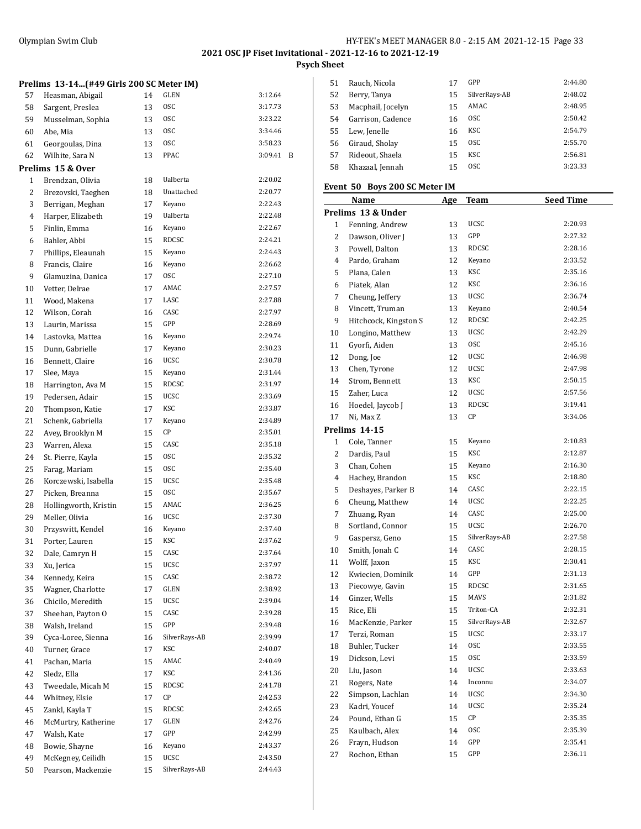**Psych Sheet**

| Prelims 13-14(#49 Girls 200 SC Meter IM) |  |  |  |  |  |  |  |
|------------------------------------------|--|--|--|--|--|--|--|
|------------------------------------------|--|--|--|--|--|--|--|

| 57             | Heasman, Abigail      | 14 | GLEN          | 3:12.64 |   |
|----------------|-----------------------|----|---------------|---------|---|
| 58             | Sargent, Preslea      | 13 | <b>OSC</b>    | 3:17.73 |   |
| 59             | Musselman, Sophia     | 13 | <b>OSC</b>    | 3:23.22 |   |
| 60             | Abe, Mia              | 13 | 0SC           | 3:34.46 |   |
| 61             | Georgoulas, Dina      | 13 | <b>OSC</b>    | 3:58.23 |   |
| 62             | Wilhite, Sara N       | 13 | PPAC          | 3:09.41 | B |
|                | Prelims 15 & Over     |    |               |         |   |
| 1              | Brendzan, Olivia      | 18 | Ualberta      | 2:20.02 |   |
| 2              | Brezovski, Taeghen    | 18 | Unattached    | 2:20.77 |   |
| 3              | Berrigan, Meghan      | 17 | Keyano        | 2:22.43 |   |
| $\overline{4}$ | Harper, Elizabeth     | 19 | Ualberta      | 2:22.48 |   |
| 5              | Finlin, Emma          | 16 | Keyano        | 2:22.67 |   |
| 6              | Bahler, Abbi          | 15 | RDCSC         | 2:24.21 |   |
| 7              | Phillips, Eleaunah    | 15 | Keyano        | 2:24.43 |   |
| 8              | Francis, Claire       | 16 | Keyano        | 2:26.62 |   |
| 9              | Glamuzina, Danica     | 17 | 0SC           | 2:27.10 |   |
| 10             | Vetter, Delrae        | 17 | AMAC          | 2:27.57 |   |
| 11             | Wood, Makena          | 17 | LASC          | 2:27.88 |   |
| 12             | Wilson, Corah         | 16 | CASC          | 2:27.97 |   |
| 13             | Laurin, Marissa       | 15 | GPP           | 2:28.69 |   |
| 14             | Lastovka, Mattea      | 16 | Keyano        | 2:29.74 |   |
| 15             | Dunn, Gabrielle       | 17 | Keyano        | 2:30.23 |   |
| 16             | Bennett, Claire       | 16 | <b>UCSC</b>   | 2:30.78 |   |
| 17             | Slee, Maya            | 15 | Keyano        | 2:31.44 |   |
| 18             | Harrington, Ava M     | 15 | RDCSC         | 2:31.97 |   |
| 19             | Pedersen, Adair       | 15 | <b>UCSC</b>   | 2:33.69 |   |
| 20             | Thompson, Katie       | 17 | KSC           | 2:33.87 |   |
| 21             | Schenk, Gabriella     | 17 | Keyano        | 2:34.89 |   |
| 22             | Avey, Brooklyn M      | 15 | СP            | 2:35.01 |   |
| 23             | Warren, Alexa         | 15 | CASC          | 2:35.18 |   |
| 24             | St. Pierre, Kayla     | 15 | 0SC           | 2:35.32 |   |
| 25             | Farag, Mariam         | 15 | 0SC           | 2:35.40 |   |
| 26             | Korczewski, Isabella  | 15 | <b>UCSC</b>   | 2:35.48 |   |
| 27             | Picken, Breanna       | 15 | 0SC           | 2:35.67 |   |
| 28             | Hollingworth, Kristin | 15 | AMAC          | 2:36.25 |   |
| 29             | Meller, Olivia        | 16 | <b>UCSC</b>   | 2:37.30 |   |
| 30             | Przyswitt, Kendel     | 16 | Keyano        | 2:37.40 |   |
| 31             | Porter, Lauren        | 15 | KSC           | 2:37.62 |   |
| 32             | Dale, Camryn H        | 15 | CASC          | 2:37.64 |   |
| 33             | Xu, Jerica            | 15 | UCSC          | 2:37.97 |   |
| 34             | Kennedy, Keira        | 15 | CASC          | 2:38.72 |   |
| 35             | Wagner, Charlotte     | 17 | <b>GLEN</b>   | 2:38.92 |   |
| 36             | Chicilo, Meredith     | 15 | <b>UCSC</b>   | 2:39.04 |   |
| 37             | Sheehan, Payton O     | 15 | CASC          | 2:39.28 |   |
| 38             | Walsh, Ireland        | 15 | GPP           | 2:39.48 |   |
| 39             | Cyca-Loree, Sienna    | 16 | SilverRays-AB | 2:39.99 |   |
| 40             | Turner, Grace         | 17 | KSC           | 2:40.07 |   |
| 41             | Pachan, Maria         | 15 | AMAC          | 2:40.49 |   |
| 42             | Sledz, Ella           | 17 | KSC           | 2:41.36 |   |
| 43             | Tweedale, Micah M     | 15 | <b>RDCSC</b>  | 2:41.78 |   |
| 44             | Whitney, Elsie        | 17 | CР            | 2:42.53 |   |
| 45             | Zankl, Kayla T        | 15 | RDCSC         | 2:42.65 |   |
| 46             | McMurtry, Katherine   | 17 | GLEN          | 2:42.76 |   |
| 47             | Walsh, Kate           | 17 | GPP           | 2:42.99 |   |
| 48             | Bowie, Shayne         | 16 | Keyano        | 2:43.37 |   |
| 49             | McKegney, Ceilidh     | 15 | <b>UCSC</b>   | 2:43.50 |   |
| 50             | Pearson, Mackenzie    | 15 | SilverRays-AB | 2:44.43 |   |
|                |                       |    |               |         |   |

| 51 | Rauch, Nicola     | 17 | GPP            | 2:44.80 |
|----|-------------------|----|----------------|---------|
| 52 | Berry, Tanya      | 15 | SilverRays-AB  | 2:48.02 |
| 53 | Macphail, Jocelyn | 15 | AMAC           | 2:48.95 |
| 54 | Garrison, Cadence | 16 | <sub>OSC</sub> | 2:50.42 |
| 55 | Lew, Jenelle      | 16 | KSC            | 2:54.79 |
| 56 | Giraud, Sholay    | 15 | <sub>OSC</sub> | 2:55.70 |
| 57 | Rideout, Shaela   | 15 | KSC            | 2:56.81 |
| 58 | Khazaal, Jennah   | 15 | <sub>OSC</sub> | 3:23.33 |
|    |                   |    |                |         |

## **Event 50 Boys 200 SC Meter IM**

|    | <b>Name</b>           | Age | <b>Team</b>   | <b>Seed Time</b> |
|----|-----------------------|-----|---------------|------------------|
|    | Prelims 13 & Under    |     |               |                  |
| 1  | Fenning, Andrew       | 13  | UCSC          | 2:20.93          |
| 2  | Dawson, Oliver J      | 13  | GPP           | 2:27.32          |
| 3  | Powell, Dalton        | 13  | <b>RDCSC</b>  | 2:28.16          |
| 4  | Pardo, Graham         | 12  | Keyano        | 2:33.52          |
| 5  | Plana, Calen          | 13  | <b>KSC</b>    | 2:35.16          |
| 6  | Piatek, Alan          | 12  | KSC           | 2:36.16          |
| 7  | Cheung, Jeffery       | 13  | <b>UCSC</b>   | 2:36.74          |
| 8  | Vincett, Truman       | 13  | Keyano        | 2:40.54          |
| 9  | Hitchcock, Kingston S | 12  | <b>RDCSC</b>  | 2:42.25          |
| 10 | Longino, Matthew      | 13  | <b>UCSC</b>   | 2:42.29          |
| 11 | Gyorfi, Aiden         | 13  | 0SC           | 2:45.16          |
| 12 | Dong, Joe             | 12  | UCSC          | 2:46.98          |
| 13 | Chen, Tyrone          | 12  | UCSC          | 2:47.98          |
| 14 | Strom, Bennett        | 13  | KSC           | 2:50.15          |
| 15 | Zaher, Luca           | 12  | UCSC          | 2:57.56          |
| 16 | Hoedel, Jaycob J      | 13  | <b>RDCSC</b>  | 3:19.41          |
| 17 | Ni, Max Z             | 13  | СP            | 3:34.06          |
|    | Prelims 14-15         |     |               |                  |
| 1  | Cole, Tanner          | 15  | Keyano        | 2:10.83          |
| 2  | Dardis, Paul          | 15  | KSC           | 2:12.87          |
| 3  | Chan, Cohen           | 15  | Keyano        | 2:16.30          |
| 4  | Hachey, Brandon       | 15  | <b>KSC</b>    | 2:18.80          |
| 5  | Deshayes, Parker B    | 14  | CASC          | 2:22.15          |
| 6  | Cheung, Matthew       | 14  | UCSC          | 2:22.25          |
| 7  | Zhuang, Ryan          | 14  | CASC          | 2:25.00          |
| 8  | Sortland, Connor      | 15  | <b>UCSC</b>   | 2:26.70          |
| 9  | Gaspersz, Geno        | 15  | SilverRays-AB | 2:27.58          |
| 10 | Smith, Jonah C        | 14  | CASC          | 2:28.15          |
| 11 | Wolff, Jaxon          | 15  | <b>KSC</b>    | 2:30.41          |
| 12 | Kwiecien, Dominik     | 14  | GPP           | 2:31.13          |
| 13 | Piecowye, Gavin       | 15  | RDCSC         | 2:31.65          |
| 14 | Ginzer, Wells         | 15  | <b>MAVS</b>   | 2:31.82          |
| 15 | Rice, Eli             | 15  | Triton-CA     | 2:32.31          |
| 16 | MacKenzie, Parker     | 15  | SilverRays-AB | 2:32.67          |
| 17 | Terzi, Roman          | 15  | <b>UCSC</b>   | 2:33.17          |
| 18 | Buhler, Tucker        | 14  | 0SC           | 2:33.55          |
| 19 | Dickson, Levi         | 15  | <b>OSC</b>    | 2:33.59          |
| 20 | Liu, Jason            | 14  | UCSC          | 2:33.63          |
| 21 | Rogers, Nate          | 14  | Inconnu       | 2:34.07          |
| 22 | Simpson, Lachlan      | 14  | UCSC          | 2:34.30          |
| 23 | Kadri, Youcef         | 14  | UCSC          | 2:35.24          |
| 24 | Pound, Ethan G        | 15  | СP            | 2:35.35          |
| 25 | Kaulbach, Alex        | 14  | 0SC           | 2:35.39          |
| 26 | Frayn, Hudson         | 14  | GPP           | 2:35.41          |
| 27 | Rochon, Ethan         | 15  | GPP           | 2:36.11          |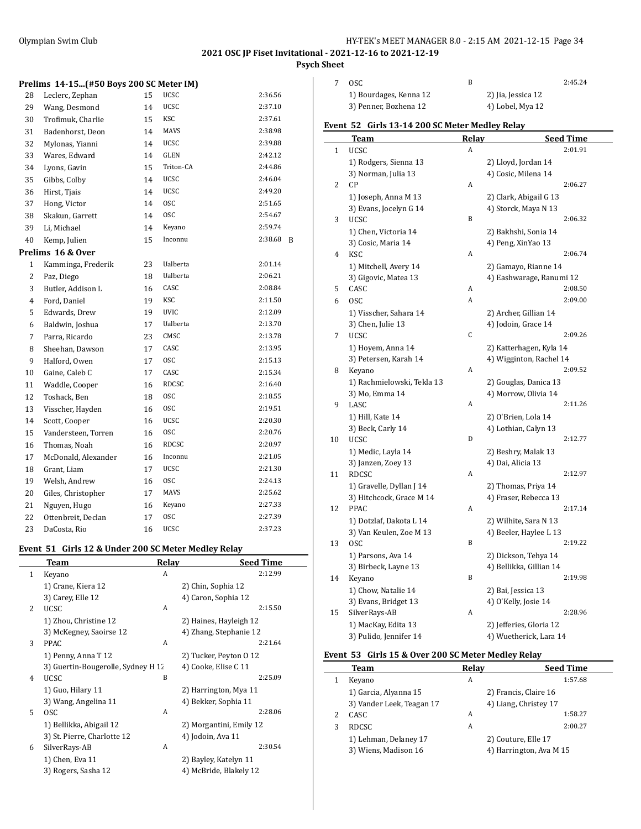#### Olympian Swim Club HY-TEK's MEET MANAGER 8.0 - 2:15 AM 2021-12-15 Page 34

# **2021 OSC JP Fiset Invitational - 2021-12-16 to 2021-12-19**

## **Psych Sheet**

#### **Prelims 14-15...(#50 Boys 200 SC Meter IM)**

| 28             | Leclerc, Zephan     | 15 | <b>UCSC</b>  | 2:36.56      |
|----------------|---------------------|----|--------------|--------------|
| 29             | Wang, Desmond       | 14 | <b>UCSC</b>  | 2:37.10      |
| 30             | Trofimuk, Charlie   | 15 | KSC          | 2:37.61      |
| 31             | Badenhorst, Deon    | 14 | <b>MAVS</b>  | 2:38.98      |
| 32             | Mylonas, Yianni     | 14 | <b>UCSC</b>  | 2:39.88      |
| 33             | Wares, Edward       | 14 | GLEN         | 2:42.12      |
| 34             | Lyons, Gavin        | 15 | Triton-CA    | 2:44.86      |
| 35             | Gibbs, Colby        | 14 | <b>UCSC</b>  | 2:46.04      |
| 36             | Hirst, Tjais        | 14 | <b>UCSC</b>  | 2:49.20      |
| 37             | Hong, Victor        | 14 | <b>OSC</b>   | 2:51.65      |
| 38             | Skakun, Garrett     | 14 | <b>OSC</b>   | 2:54.67      |
| 39             | Li, Michael         | 14 | Keyano       | 2:59.74      |
| 40             | Kemp, Julien        | 15 | Inconnu      | 2:38.68<br>B |
|                | Prelims 16 & Over   |    |              |              |
| $\mathbf{1}$   | Kamminga, Frederik  | 23 | Ualberta     | 2:01.14      |
| $\overline{c}$ | Paz, Diego          | 18 | Ualberta     | 2:06.21      |
| 3              | Butler, Addison L   | 16 | CASC         | 2:08.84      |
| 4              | Ford, Daniel        | 19 | KSC          | 2:11.50      |
| 5              | Edwards, Drew       | 19 | <b>UVIC</b>  | 2:12.09      |
| 6              | Baldwin, Joshua     | 17 | Ualberta     | 2:13.70      |
| 7              | Parra, Ricardo      | 23 | CMSC         | 2:13.78      |
| 8              | Sheehan, Dawson     | 17 | CASC         | 2:13.95      |
| 9              | Halford, Owen       | 17 | <b>OSC</b>   | 2:15.13      |
| 10             | Gaine, Caleb C      | 17 | CASC         | 2:15.34      |
| 11             | Waddle, Cooper      | 16 | <b>RDCSC</b> | 2:16.40      |
| 12             | Toshack, Ben        | 18 | <b>OSC</b>   | 2:18.55      |
| 13             | Visscher, Hayden    | 16 | <b>OSC</b>   | 2:19.51      |
| 14             | Scott, Cooper       | 16 | <b>UCSC</b>  | 2:20.30      |
| 15             | Vandersteen, Torren | 16 | <b>OSC</b>   | 2:20.76      |
| 16             | Thomas, Noah        | 16 | <b>RDCSC</b> | 2:20.97      |
| 17             | McDonald, Alexander | 16 | Inconnu      | 2:21.05      |
| 18             | Grant, Liam         | 17 | <b>UCSC</b>  | 2:21.30      |
| 19             | Welsh, Andrew       | 16 | <b>OSC</b>   | 2:24.13      |
| 20             | Giles, Christopher  | 17 | MAVS         | 2:25.62      |
| 21             | Nguyen, Hugo        | 16 | Keyano       | 2:27.33      |
| 22             | Ottenbreit, Declan  | 17 | <b>OSC</b>   | 2:27.39      |
| 23             | DaCosta, Rio        | 16 | <b>UCSC</b>  | 2:37.23      |

#### **Event 51 Girls 12 & Under 200 SC Meter Medley Relay**

|   | <b>Team</b>                        | Relay | <b>Seed Time</b>        |
|---|------------------------------------|-------|-------------------------|
| 1 | Keyano                             | A     | 2:12.99                 |
|   | 1) Crane, Kiera 12                 |       | 2) Chin, Sophia 12      |
|   | 3) Carey, Elle 12                  |       | 4) Caron, Sophia 12     |
| 2 | <b>UCSC</b>                        | A     | 2:15.50                 |
|   | 1) Zhou, Christine 12              |       | 2) Haines, Hayleigh 12  |
|   | 3) McKegney, Saoirse 12            |       | 4) Zhang, Stephanie 12  |
| 3 | <b>PPAC</b>                        | A     | 2:21.64                 |
|   | 1) Penny, Anna T 12                |       | 2) Tucker, Peyton 0 12  |
|   | 3) Guertin-Bougerolle, Sydney H 12 |       | 4) Cooke, Elise C 11    |
| 4 | <b>UCSC</b>                        | B     | 2:25.09                 |
|   | 1) Guo, Hilary 11                  |       | 2) Harrington, Mya 11   |
|   | 3) Wang, Angelina 11               |       | 4) Bekker, Sophia 11    |
| 5 | <b>OSC</b>                         | A     | 2:28.06                 |
|   | 1) Bellikka, Abigail 12            |       | 2) Morgantini, Emily 12 |
|   | 3) St. Pierre, Charlotte 12        |       | 4) Jodoin, Ava 11       |
| 6 | SilverRays-AB                      | A     | 2:30.54                 |
|   | 1) Chen, Eva 11                    |       | 2) Bayley, Katelyn 11   |
|   | 3) Rogers, Sasha 12                |       | 4) McBride, Blakely 12  |

| OSC.                   |                    | 2:45.24 |
|------------------------|--------------------|---------|
| 1) Bourdages, Kenna 12 | 2) Jia, Jessica 12 |         |
| 3) Penner, Bozhena 12  | 4) Lobel, Mya 12   |         |

#### **Event 52 Girls 13-14 200 SC Meter Medley Relay**

|              | <b>Team</b>                | <b>Relay</b> | <b>Seed Time</b>         |  |
|--------------|----------------------------|--------------|--------------------------|--|
| $\mathbf{1}$ | <b>UCSC</b>                | A            | 2:01.91                  |  |
|              | 1) Rodgers, Sienna 13      |              | 2) Lloyd, Jordan 14      |  |
|              | 3) Norman, Julia 13        |              | 4) Cosic, Milena 14      |  |
| 2            | CP                         | A            | 2:06.27                  |  |
|              | 1) Joseph, Anna M 13       |              | 2) Clark, Abigail G 13   |  |
|              | 3) Evans, Jocelyn G 14     |              | 4) Storck, Maya N 13     |  |
| 3            | <b>UCSC</b>                | B            | 2:06.32                  |  |
|              | 1) Chen, Victoria 14       |              | 2) Bakhshi, Sonia 14     |  |
|              | 3) Cosic, Maria 14         |              | 4) Peng, XinYao 13       |  |
| 4            | KSC                        | A            | 2:06.74                  |  |
|              | 1) Mitchell, Avery 14      |              | 2) Gamayo, Rianne 14     |  |
|              | 3) Gigovic, Matea 13       |              | 4) Eashwarage, Ranumi 12 |  |
| 5            | CASC                       | Α            | 2:08.50                  |  |
| 6            | <b>OSC</b>                 | A            | 2:09.00                  |  |
|              | 1) Visscher, Sahara 14     |              | 2) Archer, Gillian 14    |  |
|              | 3) Chen, Julie 13          |              | 4) Jodoin, Grace 14      |  |
| 7            | <b>UCSC</b>                | C            | 2:09.26                  |  |
|              | 1) Hoyem, Anna 14          |              | 2) Katterhagen, Kyla 14  |  |
|              | 3) Petersen, Karah 14      |              | 4) Wigginton, Rachel 14  |  |
| 8            | Keyano                     | A            | 2:09.52                  |  |
|              | 1) Rachmielowski, Tekla 13 |              | 2) Gouglas, Danica 13    |  |
|              | 3) Mo, Emma 14             |              | 4) Morrow, Olivia 14     |  |
| 9            | LASC                       | A            | 2:11.26                  |  |
|              | 1) Hill, Kate 14           |              | 2) O'Brien, Lola 14      |  |
|              | 3) Beck, Carly 14          |              | 4) Lothian, Calyn 13     |  |
| 10           | <b>UCSC</b>                | D            | 2:12.77                  |  |
|              | 1) Medic, Layla 14         |              | 2) Beshry, Malak 13      |  |
|              | 3) Janzen, Zoey 13         |              | 4) Dai, Alicia 13        |  |
| 11           | <b>RDCSC</b>               | A            | 2:12.97                  |  |
|              | 1) Gravelle, Dyllan J 14   |              | 2) Thomas, Priya 14      |  |
|              | 3) Hitchcock, Grace M 14   |              | 4) Fraser, Rebecca 13    |  |
| 12           | <b>PPAC</b>                | A            | 2:17.14                  |  |
|              | 1) Dotzlaf, Dakota L 14    |              | 2) Wilhite, Sara N 13    |  |
|              | 3) Van Keulen, Zoe M 13    |              | 4) Beeler, Haylee L 13   |  |
| 13           | OSC                        | B            | 2:19.22                  |  |
|              | 1) Parsons, Ava 14         |              | 2) Dickson, Tehya 14     |  |
|              | 3) Birbeck, Layne 13       |              | 4) Bellikka, Gillian 14  |  |
| 14           | Keyano                     | B            | 2:19.98                  |  |
|              | 1) Chow, Natalie 14        |              | 2) Bai, Jessica 13       |  |
|              | 3) Evans, Bridget 13       |              | 4) O'Kelly, Josie 14     |  |
| 15           | SilverRays-AB              | A            | 2:28.96                  |  |
|              | 1) MacKay, Edita 13        |              | 2) Jefferies, Gloria 12  |  |
|              | 3) Pulido, Jennifer 14     |              | 4) Wuetherick, Lara 14   |  |
|              |                            |              |                          |  |

#### **Event 53 Girls 15 & Over 200 SC Meter Medley Relay**

|   | Team                      | Relav | <b>Seed Time</b>        |
|---|---------------------------|-------|-------------------------|
|   | Keyano                    | A     | 1:57.68                 |
|   | 1) Garcia, Alyanna 15     |       | 2) Francis, Claire 16   |
|   | 3) Vander Leek, Teagan 17 |       | 4) Liang, Christey 17   |
| 2 | CASC.                     | A     | 1:58.27                 |
| 3 | <b>RDCSC</b>              | A     | 2:00.27                 |
|   | 1) Lehman, Delaney 17     |       | 2) Couture, Elle 17     |
|   | 3) Wiens, Madison 16      |       | 4) Harrington, Ava M 15 |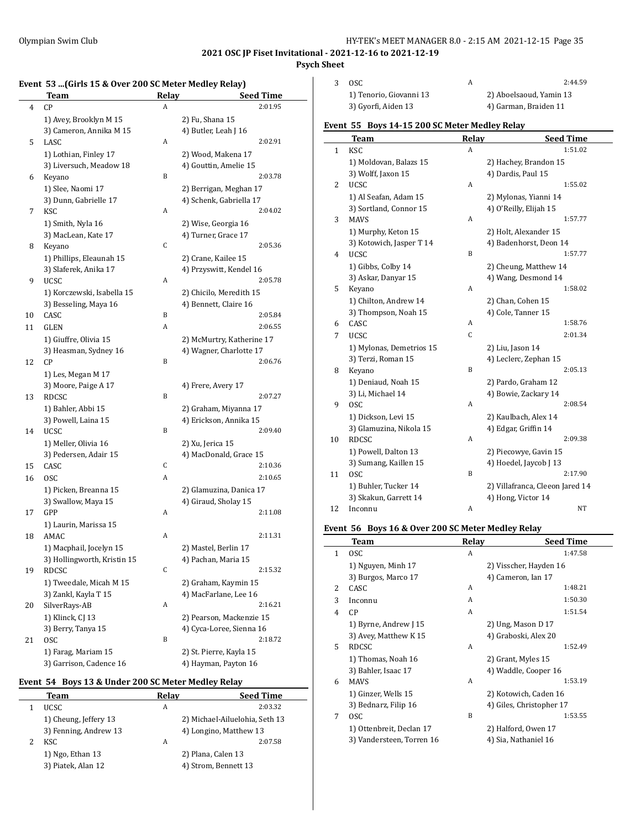## **Psych Sheet**

## **Event 53 ...(Girls 15 & Over 200 SC Meter Medley Relay)**

|    | <b>Team</b>                      | Relay | <b>Seed Time</b>               |
|----|----------------------------------|-------|--------------------------------|
| 4  | CP                               | A     | 2:01.95                        |
|    | 1) Avey, Brooklyn M 15           |       | 2) Fu, Shana 15                |
|    | 3) Cameron, Annika M 15          |       | 4) Butler, Leah J 16           |
| 5  | LASC                             | A     | 2:02.91                        |
|    | 1) Lothian, Finley 17            |       | 2) Wood, Makena 17             |
|    | 3) Liversuch, Meadow 18          |       | 4) Gouttin, Amelie 15          |
| 6  | Keyano                           | B     | 2:03.78                        |
|    | 1) Slee, Naomi 17                |       | 2) Berrigan, Meghan 17         |
|    | 3) Dunn, Gabrielle 17            |       | 4) Schenk, Gabriella 17        |
| 7  | <b>KSC</b>                       | A     | 2:04.02                        |
|    | 1) Smith, Nyla 16                |       | 2) Wise, Georgia 16            |
|    | 3) MacLean, Kate 17              |       | 4) Turner, Grace 17            |
| 8  | Keyano                           | С     | 2:05.36                        |
|    | 1) Phillips, Eleaunah 15         |       | 2) Crane, Kailee 15            |
|    | 3) Slaferek, Anika 17            |       | 4) Przyswitt, Kendel 16        |
| 9  | <b>UCSC</b>                      | A     | 2:05.78                        |
|    | 1) Korczewski, Isabella 15       |       | 2) Chicilo, Meredith 15        |
|    | 3) Besseling, Maya 16            |       | 4) Bennett, Claire 16          |
| 10 | CASC                             | B     | 2:05.84                        |
| 11 | GLEN                             | A     | 2:06.55                        |
|    | 1) Giuffre, Olivia 15            |       | 2) McMurtry, Katherine 17      |
|    | 3) Heasman, Sydney 16            |       | 4) Wagner, Charlotte 17        |
| 12 | CP                               | B     | 2:06.76                        |
|    | 1) Les, Megan M 17               |       |                                |
|    | 3) Moore, Paige A 17             |       | 4) Frere, Avery 17             |
| 13 | <b>RDCSC</b>                     | B     | 2:07.27                        |
|    | 1) Bahler, Abbi 15               |       | 2) Graham, Miyanna 17          |
|    | 3) Powell, Laina 15              |       | 4) Erickson, Annika 15         |
| 14 | <b>UCSC</b>                      | B     | 2:09.40                        |
|    | 1) Meller, Olivia 16             |       | 2) Xu, Jerica 15               |
|    | 3) Pedersen, Adair 15            |       | 4) MacDonald, Grace 15         |
| 15 | CASC                             | С     | 2:10.36                        |
| 16 | 0SC                              | A     | 2:10.65                        |
|    | 1) Picken, Breanna 15            |       | 2) Glamuzina, Danica 17        |
|    | 3) Swallow, Maya 15              |       | 4) Giraud, Sholay 15           |
| 17 | GPP                              | A     | 2:11.08                        |
|    | 1) Laurin, Marissa 15            |       |                                |
| 18 | AMAC                             | A     | 2:11.31                        |
|    | 1) Macphail, Jocelyn 15          |       | 2) Mastel, Berlin 17           |
|    | 3) Hollingworth, Kristin 15      | С     | 4) Pachan, Maria 15<br>2:15.32 |
| 19 | RDCSC<br>1) Tweedale, Micah M 15 |       | 2) Graham, Kaymin 15           |
|    | 3) Zankl, Kayla T 15             |       | 4) MacFarlane, Lee 16          |
| 20 | SilverRays-AB                    | A     | 2:16.21                        |
|    | 1) Klinck, CJ 13                 |       | 2) Pearson, Mackenzie 15       |
|    | 3) Berry, Tanya 15               |       | 4) Cyca-Loree, Sienna 16       |
| 21 | 0SC                              | B     | 2:18.72                        |
|    | 1) Farag, Mariam 15              |       | 2) St. Pierre, Kayla 15        |
|    | 3) Garrison, Cadence 16          |       | 4) Hayman, Payton 16           |
|    |                                  |       |                                |

## **Event 54 Boys 13 & Under 200 SC Meter Medley Relay**

 $\overline{a}$ 

| Team                  | Relay | <b>Seed Time</b>               |
|-----------------------|-------|--------------------------------|
| UCSC.                 | A     | 2:03.32                        |
| 1) Cheung, Jeffery 13 |       | 2) Michael-Ailuelohia, Seth 13 |
| 3) Fenning, Andrew 13 |       | 4) Longino, Matthew 13         |
| KSC                   | A     | 2:07.58                        |
| 1) Ngo, Ethan 13      |       | 2) Plana, Calen 13             |
| 3) Piatek, Alan 12    |       | 4) Strom, Bennett 13           |

| 3 | OSC.                    |                         | 2:44.59 |
|---|-------------------------|-------------------------|---------|
|   | 1) Tenorio, Giovanni 13 | 2) Aboelsaoud, Yamin 13 |         |
|   | 3) Gyorfi, Aiden 13     | 4) Garman, Braiden 11   |         |

## **Event 55 Boys 14-15 200 SC Meter Medley Relay**

|                | Team                     | <b>Relay</b> | <b>Seed Time</b>                |
|----------------|--------------------------|--------------|---------------------------------|
| $\mathbf{1}$   | KSC                      | A            | 1:51.02                         |
|                | 1) Moldovan, Balazs 15   |              | 2) Hachey, Brandon 15           |
|                | 3) Wolff, Jaxon 15       |              | 4) Dardis, Paul 15              |
| 2              | <b>UCSC</b>              | A            | 1:55.02                         |
|                | 1) Al Seafan, Adam 15    |              | 2) Mylonas, Yianni 14           |
|                | 3) Sortland, Connor 15   |              | 4) O'Reilly, Elijah 15          |
| 3              | <b>MAVS</b>              | Α            | 1:57.77                         |
|                | 1) Murphy, Keton 15      |              | 2) Holt, Alexander 15           |
|                | 3) Kotowich, Jasper T 14 |              | 4) Badenhorst, Deon 14          |
| $\overline{4}$ | <b>UCSC</b>              | B            | 1:57.77                         |
|                | 1) Gibbs, Colby 14       |              | 2) Cheung, Matthew 14           |
|                | 3) Askar, Danyar 15      |              | 4) Wang, Desmond 14             |
| 5              | Keyano                   | A            | 1:58.02                         |
|                | 1) Chilton, Andrew 14    |              | 2) Chan, Cohen 15               |
|                | 3) Thompson, Noah 15     |              | 4) Cole, Tanner 15              |
| 6              | CASC                     | А            | 1:58.76                         |
| 7              | <b>UCSC</b>              | $\mathsf C$  | 2:01.34                         |
|                | 1) Mylonas, Demetrios 15 |              | 2) Liu, Jason 14                |
|                | 3) Terzi, Roman 15       |              | 4) Leclerc, Zephan 15           |
| 8              | Keyano                   | B            | 2:05.13                         |
|                | 1) Deniaud, Noah 15      |              | 2) Pardo, Graham 12             |
|                | 3) Li, Michael 14        |              | 4) Bowie, Zackary 14            |
| 9              | <b>OSC</b>               | Α            | 2:08.54                         |
|                | 1) Dickson, Levi 15      |              | 2) Kaulbach, Alex 14            |
|                | 3) Glamuzina, Nikola 15  |              | 4) Edgar, Griffin 14            |
| 10             | <b>RDCSC</b>             | A            | 2:09.38                         |
|                | 1) Powell, Dalton 13     |              | 2) Piecowye, Gavin 15           |
|                | 3) Sumang, Kaillen 15    |              | 4) Hoedel, Jaycob J 13          |
| 11             | <b>OSC</b>               | B            | 2:17.90                         |
|                | 1) Buhler, Tucker 14     |              | 2) Villafranca, Cleeon Jared 14 |
|                | 3) Skakun, Garrett 14    |              | 4) Hong, Victor 14              |
| 12             | Inconnu                  | A            | NT                              |

## **Event 56 Boys 16 & Over 200 SC Meter Medley Relay**

|              | Team                      | Relay | <b>Seed Time</b>         |
|--------------|---------------------------|-------|--------------------------|
| $\mathbf{1}$ | <sub>OSC</sub>            | A     | 1:47.58                  |
|              | 1) Nguyen, Minh 17        |       | 2) Visscher, Hayden 16   |
|              | 3) Burgos, Marco 17       |       | 4) Cameron, Ian 17       |
| 2            | CASC                      | A     | 1:48.21                  |
| 3            | Inconnu                   | A     | 1:50.30                  |
| 4            | CP                        | A     | 1:51.54                  |
|              | 1) Byrne, Andrew J 15     |       | 2) Ung, Mason D 17       |
|              | 3) Avey, Matthew K 15     |       | 4) Graboski, Alex 20     |
| 5            | <b>RDCSC</b>              | A     | 1:52.49                  |
|              | 1) Thomas, Noah 16        |       | 2) Grant, Myles 15       |
|              | 3) Bahler, Isaac 17       |       | 4) Waddle, Cooper 16     |
| 6            | MAVS                      | A     | 1:53.19                  |
|              | 1) Ginzer, Wells 15       |       | 2) Kotowich, Caden 16    |
|              | 3) Bednarz, Filip 16      |       | 4) Giles, Christopher 17 |
| 7            | <sub>OSC</sub>            | B     | 1:53.55                  |
|              | 1) Ottenbreit, Declan 17  |       | 2) Halford, Owen 17      |
|              | 3) Vandersteen, Torren 16 |       | 4) Sia, Nathaniel 16     |